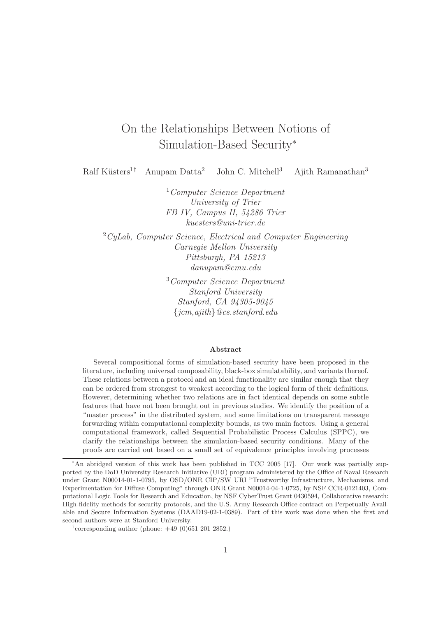# On the Relationships Between Notions of Simulation-Based Security<sup>∗</sup>

Ralf Küsters<sup>1†</sup> Anupam Datta<sup>2</sup> John C. Mitchell<sup>3</sup> Ajith Ramanathan<sup>3</sup>

<sup>1</sup>Computer Science Department University of Trier FB IV, Campus II, 54286 Trier kuesters@uni-trier.de

 $2$ CuLab, Computer Science, Electrical and Computer Engineering Carnegie Mellon University Pittsburgh, PA 15213 danupam@cmu.edu

> <sup>3</sup>Computer Science Department Stanford University Stanford, CA 94305-9045  $\{jcm,ajith\}$  @cs.stanford.edu

## Abstract

Several compositional forms of simulation-based security have been proposed in the literature, including universal composability, black-box simulatability, and variants thereof. These relations between a protocol and an ideal functionality are similar enough that they can be ordered from strongest to weakest according to the logical form of their definitions. However, determining whether two relations are in fact identical depends on some subtle features that have not been brought out in previous studies. We identify the position of a "master process" in the distributed system, and some limitations on transparent message forwarding within computational complexity bounds, as two main factors. Using a general computational framework, called Sequential Probabilistic Process Calculus (SPPC), we clarify the relationships between the simulation-based security conditions. Many of the proofs are carried out based on a small set of equivalence principles involving processes

<sup>∗</sup>An abridged version of this work has been published in TCC 2005 [17]. Our work was partially supported by the DoD University Research Initiative (URI) program administered by the Office of Naval Research under Grant N00014-01-1-0795, by OSD/ONR CIP/SW URI "Trustworthy Infrastructure, Mechanisms, and Experimentation for Diffuse Computing" through ONR Grant N00014-04-1-0725, by NSF CCR-0121403, Computational Logic Tools for Research and Education, by NSF CyberTrust Grant 0430594, Collaborative research: High-fidelity methods for security protocols, and the U.S. Army Research Office contract on Perpetually Available and Secure Information Systems (DAAD19-02-1-0389). Part of this work was done when the first and second authors were at Stanford University.

<sup>&</sup>lt;sup>†</sup>corresponding author (phone:  $+49$  (0)651 201 2852.)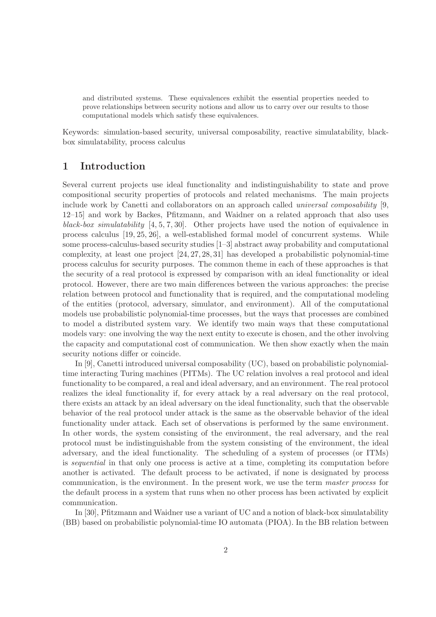and distributed systems. These equivalences exhibit the essential properties needed to prove relationships between security notions and allow us to carry over our results to those computational models which satisfy these equivalences.

Keywords: simulation-based security, universal composability, reactive simulatability, blackbox simulatability, process calculus

# 1 Introduction

Several current projects use ideal functionality and indistinguishability to state and prove compositional security properties of protocols and related mechanisms. The main projects include work by Canetti and collaborators on an approach called universal composability [9, 12–15] and work by Backes, Pfitzmann, and Waidner on a related approach that also uses black-box simulatability  $[4, 5, 7, 30]$ . Other projects have used the notion of equivalence in process calculus [19, 25, 26], a well-established formal model of concurrent systems. While some process-calculus-based security studies [1–3] abstract away probability and computational complexity, at least one project [24, 27, 28, 31] has developed a probabilistic polynomial-time process calculus for security purposes. The common theme in each of these approaches is that the security of a real protocol is expressed by comparison with an ideal functionality or ideal protocol. However, there are two main differences between the various approaches: the precise relation between protocol and functionality that is required, and the computational modeling of the entities (protocol, adversary, simulator, and environment). All of the computational models use probabilistic polynomial-time processes, but the ways that processes are combined to model a distributed system vary. We identify two main ways that these computational models vary: one involving the way the next entity to execute is chosen, and the other involving the capacity and computational cost of communication. We then show exactly when the main security notions differ or coincide.

In [9], Canetti introduced universal composability (UC), based on probabilistic polynomialtime interacting Turing machines (PITMs). The UC relation involves a real protocol and ideal functionality to be compared, a real and ideal adversary, and an environment. The real protocol realizes the ideal functionality if, for every attack by a real adversary on the real protocol, there exists an attack by an ideal adversary on the ideal functionality, such that the observable behavior of the real protocol under attack is the same as the observable behavior of the ideal functionality under attack. Each set of observations is performed by the same environment. In other words, the system consisting of the environment, the real adversary, and the real protocol must be indistinguishable from the system consisting of the environment, the ideal adversary, and the ideal functionality. The scheduling of a system of processes (or ITMs) is *sequential* in that only one process is active at a time, completing its computation before another is activated. The default process to be activated, if none is designated by process communication, is the environment. In the present work, we use the term master process for the default process in a system that runs when no other process has been activated by explicit communication.

In [30], Pfitzmann and Waidner use a variant of UC and a notion of black-box simulatability (BB) based on probabilistic polynomial-time IO automata (PIOA). In the BB relation between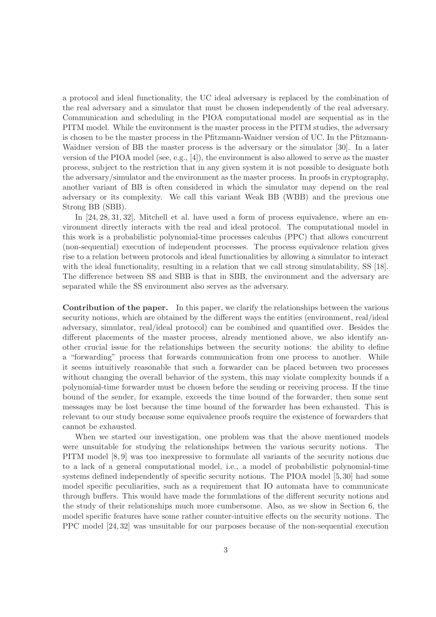a protocol and ideal functionality, the UC ideal adversary is replaced by the combination of the real adversary and a simulator that must be chosen independently of the real adversary. Communication and scheduling in the PIOA computational model are sequential as in the PITM model. While the environment is the master process in the PITM studies, the adversary is chosen to be the master process in the Pfitzmann-Waidner version of UC. In the Pfitzmann-Waidner version of BB the master process is the adversary or the simulator [30]. In a later version of the PIOA model (see, e.g., [4]), the environment is also allowed to serve as the master process, subject to the restriction that in any given system it is not possible to designate both the adversary/simulator and the environment as the master process. In proofs in cryptography, another variant of BB is often considered in which the simulator may depend on the real adversary or its complexity. We call this variant Weak BB (WBB) and the previous one Strong BB (SBB).

In [24, 28, 31, 32], Mitchell et al. have used a form of process equivalence, where an environment directly interacts with the real and ideal protocol. The computational model in this work is a probabilistic polynomial-time processes calculus (PPC) that allows concurrent (non-sequential) execution of independent processes. The process equivalence relation gives rise to a relation between protocols and ideal functionalities by allowing a simulator to interact with the ideal functionality, resulting in a relation that we call strong simulatability, SS [18]. The difference between SS and SBB is that in SBB, the environment and the adversary are separated while the SS environment also serves as the adversary.

Contribution of the paper. In this paper, we clarify the relationships between the various security notions, which are obtained by the different ways the entities (environment, real/ideal adversary, simulator, real/ideal protocol) can be combined and quantified over. Besides the different placements of the master process, already mentioned above, we also identify another crucial issue for the relationships between the security notions: the ability to define a "forwarding" process that forwards communication from one process to another. While it seems intuitively reasonable that such a forwarder can be placed between two processes without changing the overall behavior of the system, this may violate complexity bounds if a polynomial-time forwarder must be chosen before the sending or receiving process. If the time bound of the sender, for example, exceeds the time bound of the forwarder, then some sent messages may be lost because the time bound of the forwarder has been exhausted. This is relevant to our study because some equivalence proofs require the existence of forwarders that cannot be exhausted.

When we started our investigation, one problem was that the above mentioned models were unsuitable for studying the relationships between the various security notions. The PITM model [8, 9] was too inexpressive to formulate all variants of the security notions due to a lack of a general computational model, i.e., a model of probabilistic polynomial-time systems defined independently of specific security notions. The PIOA model [5, 30] had some model specific peculiarities, such as a requirement that IO automata have to communicate through buffers. This would have made the formulations of the different security notions and the study of their relationships much more cumbersome. Also, as we show in Section 6, the model specific features have some rather counter-intuitive effects on the security notions. The PPC model [24, 32] was unsuitable for our purposes because of the non-sequential execution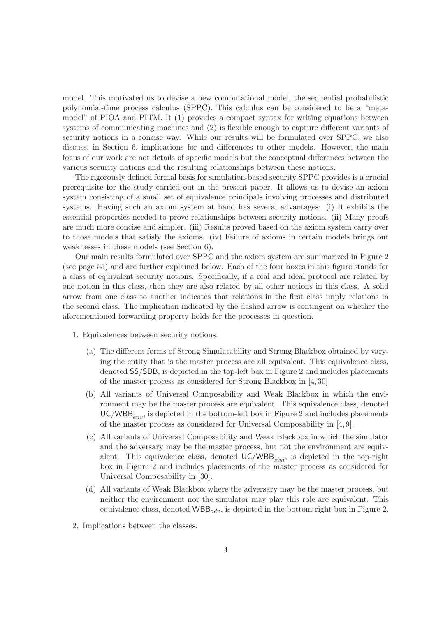model. This motivated us to devise a new computational model, the sequential probabilistic polynomial-time process calculus (SPPC). This calculus can be considered to be a "metamodel" of PIOA and PITM. It (1) provides a compact syntax for writing equations between systems of communicating machines and (2) is flexible enough to capture different variants of security notions in a concise way. While our results will be formulated over SPPC, we also discuss, in Section 6, implications for and differences to other models. However, the main focus of our work are not details of specific models but the conceptual differences between the various security notions and the resulting relationships between these notions.

The rigorously defined formal basis for simulation-based security SPPC provides is a crucial prerequisite for the study carried out in the present paper. It allows us to devise an axiom system consisting of a small set of equivalence principals involving processes and distributed systems. Having such an axiom system at hand has several advantages: (i) It exhibits the essential properties needed to prove relationships between security notions. (ii) Many proofs are much more concise and simpler. (iii) Results proved based on the axiom system carry over to those models that satisfy the axioms. (iv) Failure of axioms in certain models brings out weaknesses in these models (see Section 6).

Our main results formulated over SPPC and the axiom system are summarized in Figure 2 (see page 55) and are further explained below. Each of the four boxes in this figure stands for a class of equivalent security notions. Specifically, if a real and ideal protocol are related by one notion in this class, then they are also related by all other notions in this class. A solid arrow from one class to another indicates that relations in the first class imply relations in the second class. The implication indicated by the dashed arrow is contingent on whether the aforementioned forwarding property holds for the processes in question.

- 1. Equivalences between security notions.
	- (a) The different forms of Strong Simulatability and Strong Blackbox obtained by varying the entity that is the master process are all equivalent. This equivalence class, denoted SS/SBB, is depicted in the top-left box in Figure 2 and includes placements of the master process as considered for Strong Blackbox in [4, 30]
	- (b) All variants of Universal Composability and Weak Blackbox in which the environment may be the master process are equivalent. This equivalence class, denoted  $UC/WBB_{env}$ , is depicted in the bottom-left box in Figure 2 and includes placements of the master process as considered for Universal Composability in [4, 9].
	- (c) All variants of Universal Composability and Weak Blackbox in which the simulator and the adversary may be the master process, but not the environment are equivalent. This equivalence class, denoted  $UC/WBB_{sim}$ , is depicted in the top-right box in Figure 2 and includes placements of the master process as considered for Universal Composability in [30].
	- (d) All variants of Weak Blackbox where the adversary may be the master process, but neither the environment nor the simulator may play this role are equivalent. This equivalence class, denoted  $WBB_{adv}$ , is depicted in the bottom-right box in Figure 2.
- 2. Implications between the classes.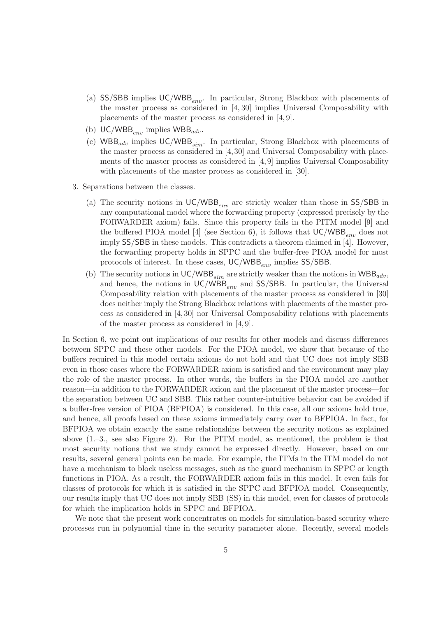- (a) SS/SBB implies  $UC/WBB_{env}$ . In particular, Strong Blackbox with placements of the master process as considered in [4, 30] implies Universal Composability with placements of the master process as considered in [4, 9].
- (b)  $UC/WBB_{env}$  implies  $WBB_{adv}$ .
- (c) WBB<sub>adv</sub> implies  $UC/WBB_{sim}$ . In particular, Strong Blackbox with placements of the master process as considered in [4, 30] and Universal Composability with placements of the master process as considered in [4, 9] implies Universal Composability with placements of the master process as considered in [30].
- 3. Separations between the classes.
	- (a) The security notions in  $UC/WBB_{env}$  are strictly weaker than those in SS/SBB in any computational model where the forwarding property (expressed precisely by the FORWARDER axiom) fails. Since this property fails in the PITM model [9] and the buffered PIOA model [4] (see Section 6), it follows that  $UC/WBB_{env}$  does not imply SS/SBB in these models. This contradicts a theorem claimed in [4]. However, the forwarding property holds in SPPC and the buffer-free PIOA model for most protocols of interest. In these cases,  $UC/WBB_{env}$  implies SS/SBB.
	- (b) The security notions in  $UC/WBB_{sim}$  are strictly weaker than the notions in  $WBB_{adv}$ , and hence, the notions in  $UC/WBB_{env}$  and SS/SBB. In particular, the Universal Composability relation with placements of the master process as considered in [30] does neither imply the Strong Blackbox relations with placements of the master process as considered in [4, 30] nor Universal Composability relations with placements of the master process as considered in [4, 9].

In Section 6, we point out implications of our results for other models and discuss differences between SPPC and these other models. For the PIOA model, we show that because of the buffers required in this model certain axioms do not hold and that UC does not imply SBB even in those cases where the FORWARDER axiom is satisfied and the environment may play the role of the master process. In other words, the buffers in the PIOA model are another reason—in addition to the FORWARDER axiom and the placement of the master process—for the separation between UC and SBB. This rather counter-intuitive behavior can be avoided if a buffer-free version of PIOA (BFPIOA) is considered. In this case, all our axioms hold true, and hence, all proofs based on these axioms immediately carry over to BFPIOA. In fact, for BFPIOA we obtain exactly the same relationships between the security notions as explained above (1.–3., see also Figure 2). For the PITM model, as mentioned, the problem is that most security notions that we study cannot be expressed directly. However, based on our results, several general points can be made. For example, the ITMs in the ITM model do not have a mechanism to block useless messages, such as the guard mechanism in SPPC or length functions in PIOA. As a result, the FORWARDER axiom fails in this model. It even fails for classes of protocols for which it is satisfied in the SPPC and BFPIOA model. Consequently, our results imply that UC does not imply SBB (SS) in this model, even for classes of protocols for which the implication holds in SPPC and BFPIOA.

We note that the present work concentrates on models for simulation-based security where processes run in polynomial time in the security parameter alone. Recently, several models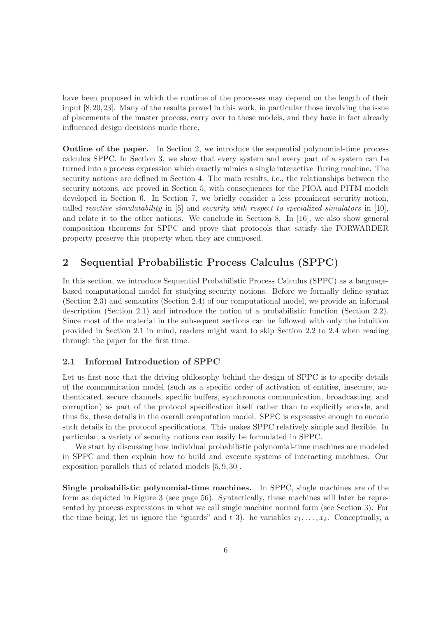have been proposed in which the runtime of the processes may depend on the length of their input [8,20,23]. Many of the results proved in this work, in particular those involving the issue of placements of the master process, carry over to these models, and they have in fact already influenced design decisions made there.

Outline of the paper. In Section 2, we introduce the sequential polynomial-time process calculus SPPC. In Section 3, we show that every system and every part of a system can be turned into a process expression which exactly mimics a single interactive Turing machine. The security notions are defined in Section 4. The main results, i.e., the relationships between the security notions, are proved in Section 5, with consequences for the PIOA and PITM models developed in Section 6. In Section 7, we briefly consider a less prominent security notion, called reactive simulatability in [5] and security with respect to specialized simulators in [10], and relate it to the other notions. We conclude in Section 8. In [16], we also show general composition theorems for SPPC and prove that protocols that satisfy the FORWARDER property preserve this property when they are composed.

# 2 Sequential Probabilistic Process Calculus (SPPC)

In this section, we introduce Sequential Probabilistic Process Calculus (SPPC) as a languagebased computational model for studying security notions. Before we formally define syntax (Section 2.3) and semantics (Section 2.4) of our computational model, we provide an informal description (Section 2.1) and introduce the notion of a probabilistic function (Section 2.2). Since most of the material in the subsequent sections can be followed with only the intuition provided in Section 2.1 in mind, readers might want to skip Section 2.2 to 2.4 when reading through the paper for the first time.

## 2.1 Informal Introduction of SPPC

Let us first note that the driving philosophy behind the design of SPPC is to specify details of the communication model (such as a specific order of activation of entities, insecure, authenticated, secure channels, specific buffers, synchronous communication, broadcasting, and corruption) as part of the protocol specification itself rather than to explicitly encode, and thus fix, these details in the overall computation model. SPPC is expressive enough to encode such details in the protocol specifications. This makes SPPC relatively simple and flexible. In particular, a variety of security notions can easily be formulated in SPPC.

We start by discussing how individual probabilistic polynomial-time machines are modeled in SPPC and then explain how to build and execute systems of interacting machines. Our exposition parallels that of related models [5, 9, 30].

Single probabilistic polynomial-time machines. In SPPC, single machines are of the form as depicted in Figure 3 (see page 56). Syntactically, these machines will later be represented by process expressions in what we call single machine normal form (see Section 3). For the time being, let us ignore the "guards" and t 3). he variables  $x_1, \ldots, x_k$ . Conceptually, a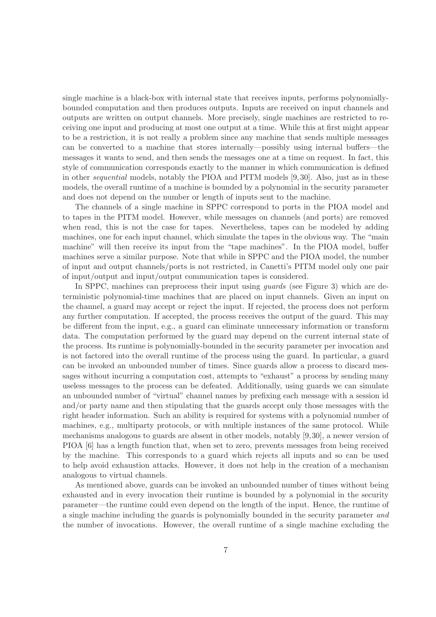single machine is a black-box with internal state that receives inputs, performs polynomiallybounded computation and then produces outputs. Inputs are received on input channels and outputs are written on output channels. More precisely, single machines are restricted to receiving one input and producing at most one output at a time. While this at first might appear to be a restriction, it is not really a problem since any machine that sends multiple messages can be converted to a machine that stores internally—possibly using internal buffers—the messages it wants to send, and then sends the messages one at a time on request. In fact, this style of communication corresponds exactly to the manner in which communication is defined in other sequential models, notably the PIOA and PITM models [9, 30]. Also, just as in these models, the overall runtime of a machine is bounded by a polynomial in the security parameter and does not depend on the number or length of inputs sent to the machine.

The channels of a single machine in SPPC correspond to ports in the PIOA model and to tapes in the PITM model. However, while messages on channels (and ports) are removed when read, this is not the case for tapes. Nevertheless, tapes can be modeled by adding machines, one for each input channel, which simulate the tapes in the obvious way. The "main machine" will then receive its input from the "tape machines". In the PIOA model, buffer machines serve a similar purpose. Note that while in SPPC and the PIOA model, the number of input and output channels/ports is not restricted, in Canetti's PITM model only one pair of input/output and input/output communication tapes is considered.

In SPPC, machines can preprocess their input using *guards* (see Figure 3) which are deterministic polynomial-time machines that are placed on input channels. Given an input on the channel, a guard may accept or reject the input. If rejected, the process does not perform any further computation. If accepted, the process receives the output of the guard. This may be different from the input, e.g., a guard can eliminate unnecessary information or transform data. The computation performed by the guard may depend on the current internal state of the process. Its runtime is polynomially-bounded in the security parameter per invocation and is not factored into the overall runtime of the process using the guard. In particular, a guard can be invoked an unbounded number of times. Since guards allow a process to discard messages without incurring a computation cost, attempts to "exhaust" a process by sending many useless messages to the process can be defeated. Additionally, using guards we can simulate an unbounded number of "virtual" channel names by prefixing each message with a session id and/or party name and then stipulating that the guards accept only those messages with the right header information. Such an ability is required for systems with a polynomial number of machines, e.g., multiparty protocols, or with multiple instances of the same protocol. While mechanisms analogous to guards are absent in other models, notably [9,30], a newer version of PIOA [6] has a length function that, when set to zero, prevents messages from being received by the machine. This corresponds to a guard which rejects all inputs and so can be used to help avoid exhaustion attacks. However, it does not help in the creation of a mechanism analogous to virtual channels.

As mentioned above, guards can be invoked an unbounded number of times without being exhausted and in every invocation their runtime is bounded by a polynomial in the security parameter—the runtime could even depend on the length of the input. Hence, the runtime of a single machine including the guards is polynomially bounded in the security parameter and the number of invocations. However, the overall runtime of a single machine excluding the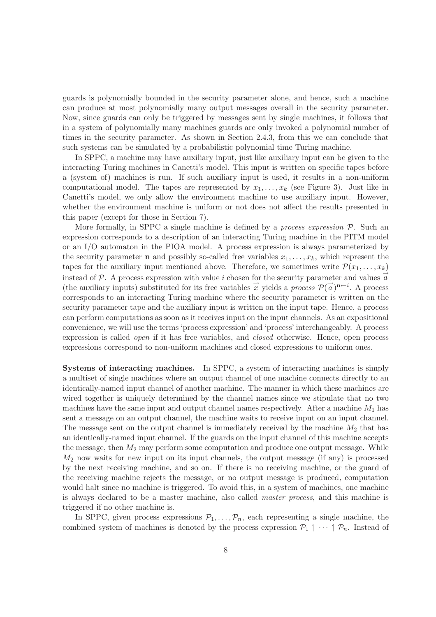guards is polynomially bounded in the security parameter alone, and hence, such a machine can produce at most polynomially many output messages overall in the security parameter. Now, since guards can only be triggered by messages sent by single machines, it follows that in a system of polynomially many machines guards are only invoked a polynomial number of times in the security parameter. As shown in Section 2.4.3, from this we can conclude that such systems can be simulated by a probabilistic polynomial time Turing machine.

In SPPC, a machine may have auxiliary input, just like auxiliary input can be given to the interacting Turing machines in Canetti's model. This input is written on specific tapes before a (system of) machines is run. If such auxiliary input is used, it results in a non-uniform computational model. The tapes are represented by  $x_1, \ldots, x_k$  (see Figure 3). Just like in Canetti's model, we only allow the environment machine to use auxiliary input. However, whether the environment machine is uniform or not does not affect the results presented in this paper (except for those in Section 7).

More formally, in SPPC a single machine is defined by a *process expression*  $P$ . Such an expression corresponds to a description of an interacting Turing machine in the PITM model or an I/O automaton in the PIOA model. A process expression is always parameterized by the security parameter **n** and possibly so-called free variables  $x_1, \ldots, x_k$ , which represent the tapes for the auxiliary input mentioned above. Therefore, we sometimes write  $\mathcal{P}(x_1, \ldots, x_k)$ instead of P. A process expression with value i chosen for the security parameter and values  $\overrightarrow{a}$ (the auxiliary inputs) substituted for its free variables  $\vec{x}$  yields a process  $\mathcal{P}(\vec{a})^{\mathbf{n}-i}$ . A process corresponds to an interacting Turing machine where the security parameter is written on the security parameter tape and the auxiliary input is written on the input tape. Hence, a process can perform computations as soon as it receives input on the input channels. As an expositional convenience, we will use the terms 'process expression' and 'process' interchangeably. A process expression is called open if it has free variables, and closed otherwise. Hence, open process expressions correspond to non-uniform machines and closed expressions to uniform ones.

Systems of interacting machines. In SPPC, a system of interacting machines is simply a multiset of single machines where an output channel of one machine connects directly to an identically-named input channel of another machine. The manner in which these machines are wired together is uniquely determined by the channel names since we stipulate that no two machines have the same input and output channel names respectively. After a machine  $M_1$  has sent a message on an output channel, the machine waits to receive input on an input channel. The message sent on the output channel is immediately received by the machine  $M_2$  that has an identically-named input channel. If the guards on the input channel of this machine accepts the message, then  $M_2$  may perform some computation and produce one output message. While  $M_2$  now waits for new input on its input channels, the output message (if any) is processed by the next receiving machine, and so on. If there is no receiving machine, or the guard of the receiving machine rejects the message, or no output message is produced, computation would halt since no machine is triggered. To avoid this, in a system of machines, one machine is always declared to be a master machine, also called master process, and this machine is triggered if no other machine is.

In SPPC, given process expressions  $\mathcal{P}_1, \ldots, \mathcal{P}_n$ , each representing a single machine, the combined system of machines is denoted by the process expression  $\mathcal{P}_1 \cap \cdots \cap \mathcal{P}_n$ . Instead of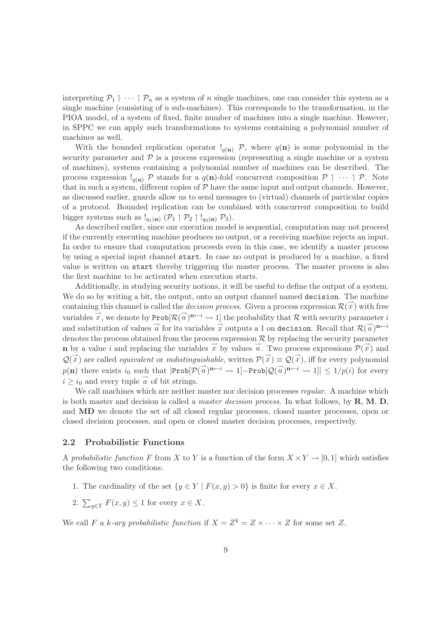interpreting  $\mathcal{P}_1 \cap \cdots \cap \mathcal{P}_n$  as a system of n single machines, one can consider this system as a single machine (consisting of  $n$  sub-machines). This corresponds to the transformation, in the PIOA model, of a system of fixed, finite number of machines into a single machine. However, in SPPC we can apply such transformations to systems containing a polynomial number of machines as well.

With the bounded replication operator  $\mathcal{L}_{q(\mathbf{n})}$   $\mathcal{P}$ , where  $q(\mathbf{n})$  is some polynomial in the security parameter and  $\mathcal P$  is a process expression (representing a single machine or a system of machines), systems containing a polynomial number of machines can be described. The process expression  $!_{q(n)} \mathcal{P}$  stands for a  $q(n)$ -fold concurrent composition  $\mathcal{P} \uparrow \cdots \uparrow \mathcal{P}$ . Note that in such a system, different copies of  $P$  have the same input and output channels. However, as discussed earlier, guards allow us to send messages to (virtual) channels of particular copies of a protocol. Bounded replication can be combined with concurrent composition to build bigger systems such as  $!_{q_1(n)}$  ( $\mathcal{P}_1 \uparrow \mathcal{P}_2 \uparrow !_{q_3(n)} \mathcal{P}_3$ ).

As described earlier, since our execution model is sequential, computation may not proceed if the currently executing machine produces no output, or a receiving machine rejects an input. In order to ensure that computation proceeds even in this case, we identify a master process by using a special input channel start. In case no output is produced by a machine, a fixed value is written on start thereby triggering the master process. The master process is also the first machine to be activated when execution starts.

Additionally, in studying security notions, it will be useful to define the output of a system. We do so by writing a bit, the output, onto an output channel named decision. The machine containing this channel is called the *decision process*. Given a process expression  $\mathcal{R}(\vec{x})$  with free variables  $\overrightarrow{x}$ , we denote by  $\text{Prob}[\mathcal{R}(\overrightarrow{a})^{\mathbf{n}\leftarrow i} \leadsto 1]$  the probability that  $\mathcal R$  with security parameter i and substitution of values  $\vec{a}$  for its variables  $\vec{x}$  outputs a 1 on decision. Recall that  $\mathcal{R}(\vec{a})^{n-i}$ denotes the process obtained from the process expression  $R$  by replacing the security parameter **n** by a value i and replacing the variables  $\vec{x}$  by values  $\vec{a}$ . Two process expressions  $\mathcal{P}(\vec{x})$  and  $\mathcal{Q}(\vec{\dot{x}})$  are called *equivalent* or *indistinguishable*, written  $\mathcal{P}(\vec{\dot{x}}) \equiv \mathcal{Q}(\vec{\dot{x}})$ , iff for every polynomial  $p(n)$  there exists  $i_0$  such that  $|\text{Prob}[\mathcal{P}(\vec{a})^{n-i} \leadsto 1] - \text{Prob}[\mathcal{Q}(\vec{a})^{n-i} \leadsto 1] \leq 1/p(i)$  for every  $i \geq i_0$  and every tuple  $\vec{a}$  of bit strings.

We call machines which are neither master nor decision processes *regular*. A machine which is both master and decision is called a *master decision process*. In what follows, by  $\mathbf{R}, \mathbf{M}, \mathbf{D}$ , and MD we denote the set of all closed regular processes, closed master processes, open or closed decision processes, and open or closed master decision processes, respectively.

## 2.2 Probabilistic Functions

A probabilistic function F from X to Y is a function of the form  $X \times Y \to [0, 1]$  which satisfies the following two conditions:

- 1. The cardinality of the set  $\{y \in Y \mid F(x, y) > 0\}$  is finite for every  $x \in X$ .
- 2.  $\sum_{y \in Y} F(x, y) \leq 1$  for every  $x \in X$ .

We call F a k-ary probabilistic function if  $X = Z^k = Z \times \cdots \times Z$  for some set Z.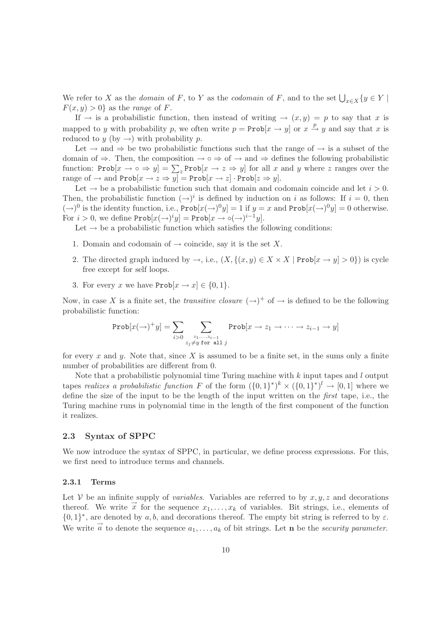We refer to X as the *domain* of F, to Y as the *codomain* of F, and to the set  $\bigcup_{x\in X} \{y \in Y \mid$  $F(x, y) > 0$  as the *range* of F.

If  $\rightarrow$  is a probabilistic function, then instead of writing  $\rightarrow (x, y) = p$  to say that x is mapped to y with probability p, we often write  $p = \text{Prob}[x \to y]$  or  $x \stackrel{p}{\to} y$  and say that x is reduced to y (by  $\rightarrow$ ) with probability p.

Let  $\rightarrow$  and  $\Rightarrow$  be two probabilistic functions such that the range of  $\rightarrow$  is a subset of the domain of  $\Rightarrow$ . Then, the composition  $\rightarrow \circ \Rightarrow$  of  $\rightarrow$  and  $\Rightarrow$  defines the following probabilistic function:  $\text{Prob}[x \to \infty \Rightarrow y] = \sum_z \text{Prob}[x \to z \Rightarrow y]$  for all x and y where z ranges over the range of  $\rightarrow$  and Prob $[x \rightarrow z \Rightarrow y] =$ Prob $[x \rightarrow z] \cdot$ Prob $[z \Rightarrow y]$ .

Let  $\rightarrow$  be a probabilistic function such that domain and codomain coincide and let  $i > 0$ . Then, the probabilistic function  $(\rightarrow)^i$  is defined by induction on i as follows: If  $i = 0$ , then  $(\rightarrow)^0$  is the identity function, i.e.,  $\text{Prob}[x(\rightarrow)^0 y] = 1$  if  $y = x$  and  $\text{Prob}[x(\rightarrow)^0 y] = 0$  otherwise. For  $i > 0$ , we define  $\text{Prob}[x(\rightarrow)^{i}y] = \text{Prob}[x \rightarrow \circ(\rightarrow)^{i-1}y].$ 

Let  $\rightarrow$  be a probabilistic function which satisfies the following conditions:

- 1. Domain and codomain of  $\rightarrow$  coincide, say it is the set X.
- 2. The directed graph induced by  $\rightarrow$ , i.e.,  $(X, \{(x, y) \in X \times X \mid \text{Prob}[x \rightarrow y] > 0\})$  is cycle free except for self loops.
- 3. For every x we have  $\text{Prob}[x \to x] \in \{0, 1\}.$

Now, in case X is a finite set, the *transitive closure*  $(\rightarrow)^+$  of  $\rightarrow$  is defined to be the following probabilistic function:

$$
\text{Prob}[x(\rightarrow)^+ y] = \sum_{i>0} \sum_{\substack{z_1,\dots,z_{i-1} \\ z_j \neq y \text{ for all } j}} \text{Prob}[x \rightarrow z_1 \rightarrow \dots \rightarrow z_{i-1} \rightarrow y]
$$

for every x and y. Note that, since X is assumed to be a finite set, in the sums only a finite number of probabilities are different from 0.

Note that a probabilistic polynomial time Turing machine with  $k$  input tapes and  $l$  output tapes realizes a probabilistic function F of the form  $({0,1}^*)^k \times ({0,1}^*)^l \to [0,1]$  where we define the size of the input to be the length of the input written on the first tape, i.e., the Turing machine runs in polynomial time in the length of the first component of the function it realizes.

## 2.3 Syntax of SPPC

We now introduce the syntax of SPPC, in particular, we define process expressions. For this, we first need to introduce terms and channels.

### 2.3.1 Terms

Let V be an infinite supply of *variables*. Variables are referred to by  $x, y, z$  and decorations thereof. We write  $\vec{x}$  for the sequence  $x_1, \ldots, x_k$  of variables. Bit strings, i.e., elements of  $\{0,1\}^*$ , are denoted by a, b, and decorations thereof. The empty bit string is referred to by  $\varepsilon$ . We write  $\vec{a}$  to denote the sequence  $a_1, \ldots, a_k$  of bit strings. Let **n** be the *security parameter*.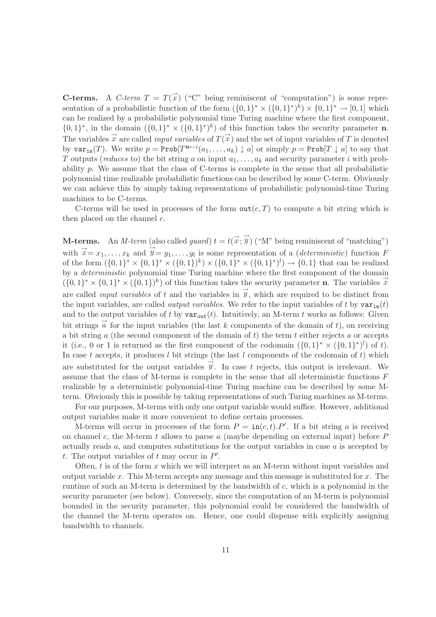**C-terms.** A C-term  $T = T(\vec{x})$  ("C" being reminiscent of "computation") is some representation of a probabilistic function of the form  $({0,1}^* \times ({0,1}^*)^k) \times ({0,1}^* \to [0,1]$  which can be realized by a probabilistic polynomial time Turing machine where the first component,  $\{0,1\}^*$ , in the domain  $(\{0,1\}^* \times (\{0,1\}^*)^k)$  of this function takes the security parameter **n**. The variables  $\vec{x}$  are called *input variables* of  $T(\vec{x})$  and the set of input variables of T is denoted by  $var_{\text{in}}(T)$ . We write  $p = \text{Prob}[T^{\text{n}-i}(a_1, \ldots, a_k) \downarrow a]$  or simply  $p = \text{Prob}[T \downarrow a]$  to say that T outputs (reduces to) the bit string a on input  $a_1, \ldots, a_k$  and security parameter i with probability p. We assume that the class of C-terms is complete in the sense that all probabilistic polynomial time realizable probabilistic functions can be described by some C-term. Obviously we can achieve this by simply taking representations of probabilistic polynomial-time Turing machines to be C-terms.

C-terms will be used in processes of the form  $\text{out}(c, T)$  to compute a bit string which is then placed on the channel c.

**M-terms.** An *M-term* (also called *guard*)  $t = t(\vec{x}; \vec{y})$  ("M" being reminiscent of "matching") with  $\vec{x} = x_1, \ldots, x_k$  and  $\vec{y} = y_1, \ldots, y_l$  is some representation of a (*deterministic*) function F of the form  $({0, 1}^* \times {0, 1}^* \times ({0, 1})^k) \times ({0, 1}^* \times ({0, 1}^*)^l) \rightarrow {0, 1}$  that can be realized by a deterministic polynomial time Turing machine where the first component of the domain  $( \{0,1\}^* \times \{0,1\}^* \times (\{0,1\})^k )$  of this function takes the security parameter **n**. The variables  $\vec{x}$ are called *input variables* of t and the variables in  $\overrightarrow{y}$ , which are required to be distinct from the input variables, are called *output variables*. We refer to the input variables of t by  $var_{in}(t)$ and to the output variables of t by  $var_{out}(t)$ . Intuitively, an M-term t works as follows: Given bit strings  $\overrightarrow{a}$  for the input variables (the last k components of the domain of t), on receiving a bit string a (the second component of the domain of  $t$ ) the term  $t$  either rejects a or accepts it (i.e., 0 or 1 is returned as the first component of the codomain  $(\{0,1\}^* \times (\{0,1\}^*)^l)$  of t). In case t accepts, it produces l bit strings (the last l components of the codomain of t) which are substituted for the output variables  $\overrightarrow{y}$ . In case t rejects, this output is irrelevant. We assume that the class of M-terms is complete in the sense that all deterministic functions F realizable by a deterministic polynomial-time Turing machine can be described by some Mterm. Obviously this is possible by taking representations of such Turing machines as M-terms.

For our purposes, M-terms with only one output variable would suffice. However, additional output variables make it more convenient to define certain processes.

M-terms will occur in processes of the form  $P = \text{in}(c, t)$ . If a bit string a is received on channel c, the M-term  $t$  allows to parse  $a$  (maybe depending on external input) before  $P$ actually reads  $a$ , and computes substitutions for the output variables in case  $a$  is accepted by t. The output variables of t may occur in  $P'$ .

Often,  $t$  is of the form  $x$  which we will interpret as an M-term without input variables and output variable  $x$ . This M-term accepts any message and this message is substituted for  $x$ . The runtime of such an M-term is determined by the bandwidth of  $c$ , which is a polynomial in the security parameter (see below). Conversely, since the computation of an M-term is polynomial bounded in the security parameter, this polynomial could be considered the bandwidth of the channel the M-term operates on. Hence, one could dispense with explicitly assigning bandwidth to channels.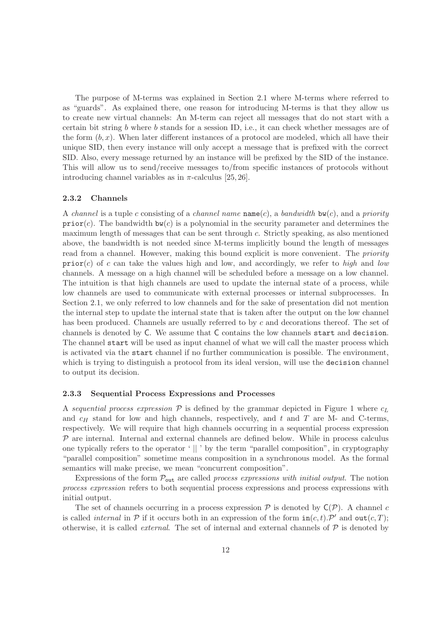The purpose of M-terms was explained in Section 2.1 where M-terms where referred to as "guards". As explained there, one reason for introducing M-terms is that they allow us to create new virtual channels: An M-term can reject all messages that do not start with a certain bit string  $b$  where  $b$  stands for a session ID, i.e., it can check whether messages are of the form  $(b, x)$ . When later different instances of a protocol are modeled, which all have their unique SID, then every instance will only accept a message that is prefixed with the correct SID. Also, every message returned by an instance will be prefixed by the SID of the instance. This will allow us to send/receive messages to/from specific instances of protocols without introducing channel variables as in  $\pi$ -calculus [25, 26].

#### 2.3.2 Channels

A channel is a tuple c consisting of a channel name name(c), a bandwidth bw(c), and a priority  $\text{prior}(c)$ . The bandwidth  $\text{bw}(c)$  is a polynomial in the security parameter and determines the maximum length of messages that can be sent through c. Strictly speaking, as also mentioned above, the bandwidth is not needed since M-terms implicitly bound the length of messages read from a channel. However, making this bound explicit is more convenient. The *priority*  $\text{prior}(c)$  of c can take the values high and low, and accordingly, we refer to high and low channels. A message on a high channel will be scheduled before a message on a low channel. The intuition is that high channels are used to update the internal state of a process, while low channels are used to communicate with external processes or internal subprocesses. In Section 2.1, we only referred to low channels and for the sake of presentation did not mention the internal step to update the internal state that is taken after the output on the low channel has been produced. Channels are usually referred to by c and decorations thereof. The set of channels is denoted by C. We assume that C contains the low channels start and decision. The channel start will be used as input channel of what we will call the master process which is activated via the start channel if no further communication is possible. The environment, which is trying to distinguish a protocol from its ideal version, will use the decision channel to output its decision.

#### 2.3.3 Sequential Process Expressions and Processes

A sequential process expression  $\mathcal P$  is defined by the grammar depicted in Figure 1 where  $c_L$ and  $c_H$  stand for low and high channels, respectively, and t and T are M- and C-terms, respectively. We will require that high channels occurring in a sequential process expression  $P$  are internal. Internal and external channels are defined below. While in process calculus one typically refers to the operator ' || ' by the term "parallel composition", in cryptography "parallel composition" sometime means composition in a synchronous model. As the formal semantics will make precise, we mean "concurrent composition".

Expressions of the form  $\mathcal{P}_{\text{out}}$  are called process expressions with initial output. The notion process expression refers to both sequential process expressions and process expressions with initial output.

The set of channels occurring in a process expression  $P$  is denoted by  $C(P)$ . A channel c is called *internal* in  $P$  if it occurs both in an expression of the form  $in(c, t)$ .  $P'$  and  $out(c, T)$ ; otherwise, it is called *external*. The set of internal and external channels of  $P$  is denoted by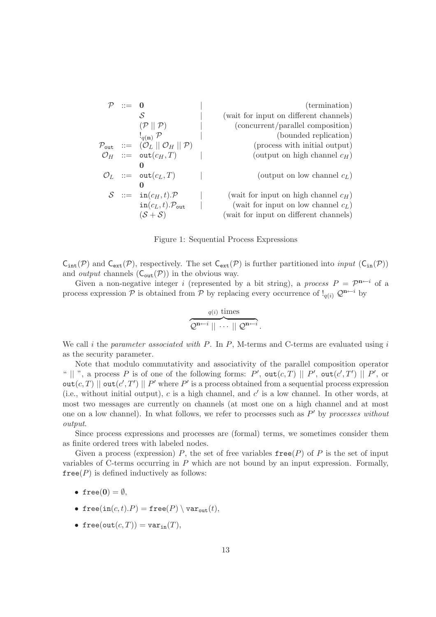| $P$                                                                                   | $\mathcal{S}$                                         | (termination)                   |
|---------------------------------------------------------------------------------------|-------------------------------------------------------|---------------------------------|
| $S$                                                                                   | (wait for input on different channels)                |                                 |
| $(P \parallel P)$                                                                     | (concurrent/parallel composition)                     |                                 |
| $P_{\text{out}}$                                                                      | $\mathcal{C}_L \parallel \mathcal{O}_H \parallel P$ ) | (process with initial output)   |
| $\mathcal{O}_H$                                                                       | $\mathcal{O}_L \cup \mathcal{C}_L, T$ )               | (output on high channel $c_H$ ) |
| $O_L$                                                                                 | $\mathcal{O}_L \cup \mathcal{C}_L, T$ )               | (output on low channel $c_L$ )  |
| $\mathcal{O}_L$                                                                       | $\mathcal{O}_L \cup \mathcal{C}_L, T$ )               | (output on low channel $c_L$ )  |
| $\mathcal{S} \cup \mathcal{S} \cup \mathcal{S}_L \cup \mathcal{C}_L, \mathcal{S}_L$ ) | (wait for input on high channel $c_H$ )               |                                 |
| $\mathcal{S} \cup \mathcal{S}_L \cup \mathcal{S}_L$                                   | (wait for input on low channel $c_L$ )                |                                 |
| $(S + S)$                                                                             | (wait for input on different channels)                |                                 |



 $\mathsf{C}_{\texttt{int}}(\mathcal{P})$  and  $\mathsf{C}_{\texttt{ext}}(\mathcal{P})$ , respectively. The set  $\mathsf{C}_{\texttt{ext}}(\mathcal{P})$  is further partitioned into *input*  $(\mathsf{C}_{\texttt{in}}(\mathcal{P}))$ and *output* channels  $(C_{out}(\mathcal{P}))$  in the obvious way.

Given a non-negative integer i (represented by a bit string), a *process*  $P = \mathcal{P}^{n \leftarrow i}$  of a process expression P is obtained from P by replacing every occurrence of  $!_{q(i)} \mathcal{Q}^{n-i}$  by

$$
\overbrace{\mathcal{Q}^{n\leftarrow i}\mid\mid\cdots\mid\mid\mathcal{Q}^{n\leftarrow i}}^{q(i) \text{ times}}.
$$

We call i the parameter associated with  $P$ . In  $P$ , M-terms and C-terms are evaluated using i as the security parameter.

Note that modulo commutativity and associativity of the parallel composition operator " || ", a process P is of one of the following forms: P',  $\text{out}(c,T)$  || P',  $\text{out}(c',T')$  || P', or out $(c, T)$  || out $(c', T')$  || P' where P' is a process obtained from a sequential process expression (i.e., without initial output),  $c$  is a high channel, and  $c'$  is a low channel. In other words, at most two messages are currently on channels (at most one on a high channel and at most one on a low channel). In what follows, we refer to processes such as  $P'$  by processes without output.

Since process expressions and processes are (formal) terms, we sometimes consider them as finite ordered trees with labeled nodes.

Given a process (expression) P, the set of free variables  $\text{free}(P)$  of P is the set of input variables of C-terms occurring in  $P$  which are not bound by an input expression. Formally,  $free(P)$  is defined inductively as follows:

- free(0) =  $\emptyset$ ,
- free $(in(c, t).P) = free(P) \setminus var_{out}(t),$
- free(out(c, T)) =  $var_{\text{in}}(T)$ ,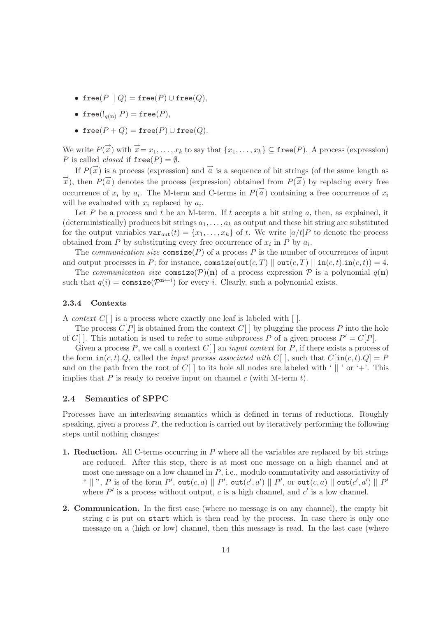- free( $P \parallel Q$ ) = free( $P$ ) ∪ free( $Q$ ),
- free( $!_{q(\mathbf{n})}$   $P)$  = free( $P$ ),
- free $(P+Q)$  = free $(P)$   $\cup$  free $(Q)$ .

We write  $P(\vec{x})$  with  $\vec{x} = x_1, \ldots, x_k$  to say that  $\{x_1, \ldots, x_k\} \subseteq \text{free}(P)$ . A process (expression) P is called *closed* if  $\text{free}(P) = \emptyset$ .

If  $P(\vec{x})$  is a process (expression) and  $\vec{a}$  is a sequence of bit strings (of the same length as  $\vec{x}$ ), then  $P(\vec{a})$  denotes the process (expression) obtained from  $P(\vec{x})$  by replacing every free occurrence of  $x_i$  by  $a_i$ . The M-term and C-terms in  $P(\vec{a})$  containing a free occurrence of  $x_i$ will be evaluated with  $x_i$  replaced by  $a_i$ .

Let P be a process and t be an M-term. If t accepts a bit string a, then, as explained, it (deterministically) produces bit strings  $a_1, \ldots, a_k$  as output and these bit string are substituted for the output variables  $var_{\text{out}}(t) = \{x_1, \ldots, x_k\}$  of t. We write  $[a/t]P$  to denote the process obtained from P by substituting every free occurrence of  $x_i$  in P by  $a_i$ .

The *communication size* comsize(P) of a process P is the number of occurrences of input and output processes in P; for instance, comsize( $\text{out}(c, T)$  ||  $\text{out}(c, T)$  ||  $\text{in}(c, t)$ .in( $c, t$ )) = 4.

The *communication size* comsize( $\mathcal{P}(\mathbf{n})$  of a process expression  $\mathcal{P}$  is a polynomial  $q(\mathbf{n})$ such that  $q(i) = \text{consize}(\mathcal{P}^{n-i})$  for every i. Clearly, such a polynomial exists.

## 2.3.4 Contexts

A *context*  $C[\ ]$  is a process where exactly one leaf is labeled with  $[\ ]$ .

The process  $C[P]$  is obtained from the context  $C[\ ]$  by plugging the process P into the hole of C[]. This notation is used to refer to some subprocess P of a given process  $P' = C[P]$ .

Given a process P, we call a context  $C[\ ]$  an *input context* for P, if there exists a process of the form  $\text{in}(c, t) \cdot Q$ , called the *input process associated with* C[ ], such that  $C[\text{in}(c, t) \cdot Q] = P$ and on the path from the root of  $C[\ ]$  to its hole all nodes are labeled with ' $\ || \ '$  or '+'. This implies that P is ready to receive input on channel  $c$  (with M-term  $t$ ).

#### 2.4 Semantics of SPPC

Processes have an interleaving semantics which is defined in terms of reductions. Roughly speaking, given a process  $P$ , the reduction is carried out by iteratively performing the following steps until nothing changes:

- 1. Reduction. All C-terms occurring in  $P$  where all the variables are replaced by bit strings are reduced. After this step, there is at most one message on a high channel and at most one message on a low channel in  $P$ , i.e., modulo commutativity and associativity of " || ", P is of the form P',  $\text{out}(c, a) \parallel P'$ ,  $\text{out}(c', a') \parallel P'$ , or  $\text{out}(c, a) \parallel \text{out}(c', a') \parallel P'$ where  $P'$  is a process without output, c is a high channel, and c' is a low channel.
- 2. Communication. In the first case (where no message is on any channel), the empty bit string  $\varepsilon$  is put on start which is then read by the process. In case there is only one message on a (high or low) channel, then this message is read. In the last case (where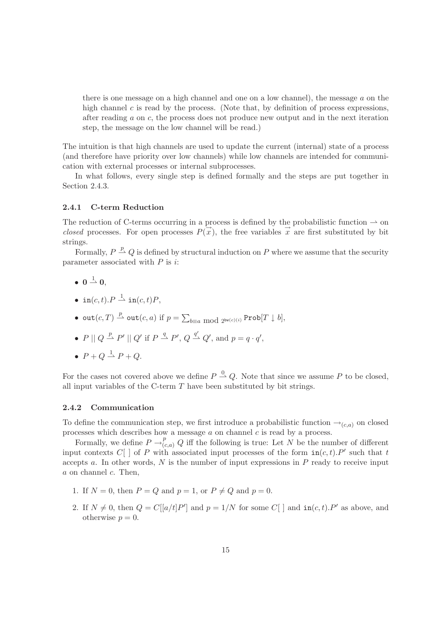there is one message on a high channel and one on a low channel), the message  $a$  on the high channel  $c$  is read by the process. (Note that, by definition of process expressions, after reading a on c, the process does not produce new output and in the next iteration step, the message on the low channel will be read.)

The intuition is that high channels are used to update the current (internal) state of a process (and therefore have priority over low channels) while low channels are intended for communication with external processes or internal subprocesses.

In what follows, every single step is defined formally and the steps are put together in Section 2.4.3.

#### 2.4.1 C-term Reduction

The reduction of C-terms occurring in a process is defined by the probabilistic function  $\rightarrow$  on closed processes. For open processes  $P(\vec{x})$ , the free variables  $\vec{x}$  are first substituted by bit strings.

Formally,  $P \stackrel{p}{\rightarrow} Q$  is defined by structural induction on P where we assume that the security parameter associated with  $P$  is  $i$ :

- $\bullet$  0  $\stackrel{1}{\rightharpoonup}$  0,
- in(c, t).  $P \stackrel{1}{\rightharpoonup}$  in(c, t) P,
- out $(c, T) \stackrel{p}{\rightharpoonup}$  out $(c, a)$  if  $p = \sum_{b \equiv a \bmod 2^{\text{bw}(c)(i)}} \text{Prob}[T \downarrow b],$
- $P \parallel Q \stackrel{p}{\rightharpoonup} P' \parallel Q'$  if  $P \stackrel{q}{\rightharpoonup} P', Q \stackrel{q'}{\rightharpoonup} Q',$  and  $p = q \cdot q',$
- $P + Q \stackrel{1}{\rightharpoonup} P + Q$ .

For the cases not covered above we define  $P \stackrel{0}{\rightarrow} Q$ . Note that since we assume P to be closed, all input variables of the C-term  $T$  have been substituted by bit strings.

#### 2.4.2 Communication

To define the communication step, we first introduce a probabilistic function  $\rightarrow_{(c,a)}$  on closed processes which describes how a message  $a$  on channel  $c$  is read by a process.

Formally, we define  $P \rightarrow_{(c,a)}^p Q$  iff the following is true: Let N be the number of different input contexts  $C[\ ]$  of P with associated input processes of the form  $\text{in}(c, t)$ . P' such that t accepts a. In other words,  $N$  is the number of input expressions in  $P$  ready to receive input a on channel c. Then,

- 1. If  $N = 0$ , then  $P = Q$  and  $p = 1$ , or  $P \neq Q$  and  $p = 0$ .
- 2. If  $N \neq 0$ , then  $Q = C[[a/t]P']$  and  $p = 1/N$  for some  $C[ ]$  and  $\text{in}(c, t)$ . P' as above, and otherwise  $p = 0$ .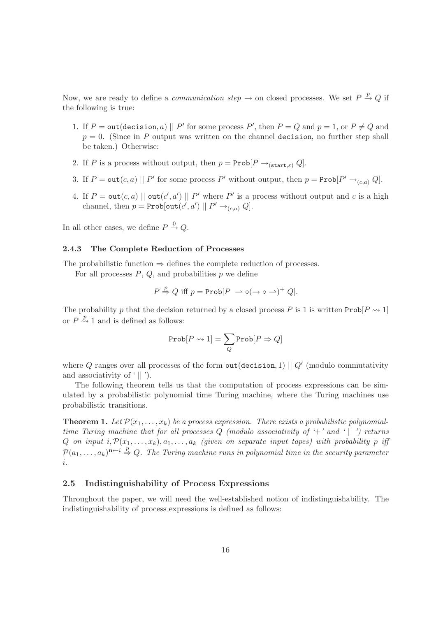Now, we are ready to define a *communication step*  $\rightarrow$  on closed processes. We set  $P \stackrel{p}{\rightarrow} Q$  if the following is true:

- 1. If  $P = \text{out}(\text{decision}, a) \parallel P'$  for some process P', then  $P = Q$  and  $p = 1$ , or  $P \neq Q$  and  $p = 0$ . (Since in P output was written on the channel decision, no further step shall be taken.) Otherwise:
- 2. If P is a process without output, then  $p = \text{Prob}[P \rightarrow_{(\text{start}, \varepsilon)} Q]$ .
- 3. If  $P = \text{out}(c, a) \mid P'$  for some process P' without output, then  $p = \text{Prob}[P' \to_{(c,a)} Q]$ .
- 4. If  $P = \text{out}(c, a) \parallel \text{out}(c', a') \parallel P'$  where P' is a process without output and c is a high channel, then  $p = \text{Prob}[\text{out}(c', a') || P' \rightarrow_{(c,a)} Q].$

In all other cases, we define  $P \stackrel{0}{\rightarrow} Q$ .

#### 2.4.3 The Complete Reduction of Processes

The probabilistic function  $\Rightarrow$  defines the complete reduction of processes.

For all processes  $P, Q$ , and probabilities  $p$  we define

$$
P \stackrel{p}{\Rightarrow} Q \text{ iff } p = \text{Prob}[P \rightarrow o(\rightarrow o \rightarrow)^+ Q].
$$

The probability p that the decision returned by a closed process P is 1 is written  $\text{Prob}[P \leadsto 1]$ or  $P \stackrel{p}{\rightsquigarrow} 1$  and is defined as follows:

$$
\text{Prob}[P \leadsto 1] = \sum_{Q} \text{Prob}[P \Rightarrow Q]
$$

where Q ranges over all processes of the form  $\text{out}(\text{decision}, 1) \parallel Q'$  (modulo commutativity and associativity of  $\lvert \rvert$   $\rvert$ .

The following theorem tells us that the computation of process expressions can be simulated by a probabilistic polynomial time Turing machine, where the Turing machines use probabilistic transitions.

**Theorem 1.** Let  $\mathcal{P}(x_1, \ldots, x_k)$  be a process expression. There exists a probabilistic polynomialtime Turing machine that for all processes  $Q$  (modulo associativity of  $\ddot{+}$  and  $\ddot{ }$ ) returns Q on input i,  $\mathcal{P}(x_1,\ldots,x_k), a_1,\ldots,a_k$  (given on separate input tapes) with probability p iff  $\mathcal{P}(a_1,\ldots,a_k)^{n-i} \stackrel{p}{\Rightarrow} Q$ . The Turing machine runs in polynomial time in the security parameter i.

## 2.5 Indistinguishability of Process Expressions

Throughout the paper, we will need the well-established notion of indistinguishability. The indistinguishability of process expressions is defined as follows: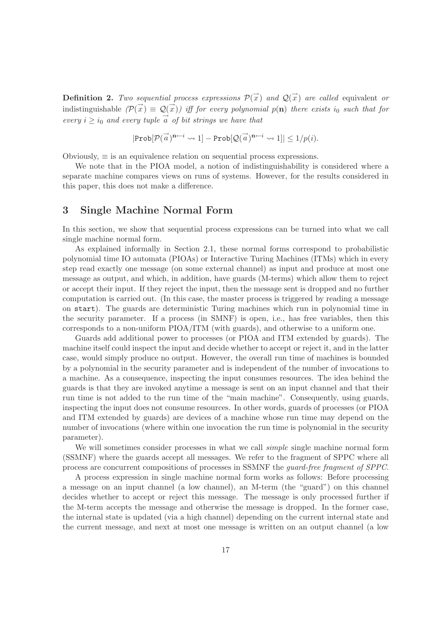**Definition 2.** Two sequential process expressions  $\mathcal{P}(\vec{x})$  and  $\mathcal{Q}(\vec{x})$  are called equivalent or indistinguishable  $(\mathcal{P}(\vec{x}) \equiv \mathcal{Q}(\vec{x}))$  iff for every polynomial  $p(\mathbf{n})$  there exists  $i_0$  such that for every  $i \geq i_0$  and every tuple  $\overrightarrow{a}$  of bit strings we have that

$$
|\text{Prob}[\mathcal{P}(\vec{a})^{\mathbf{n}\leftarrow i} \leadsto 1] - \text{Prob}[\mathcal{Q}(\vec{a})^{\mathbf{n}\leftarrow i} \leadsto 1]| \leq 1/p(i).
$$

Obviously,  $\equiv$  is an equivalence relation on sequential process expressions.

We note that in the PIOA model, a notion of indistinguishability is considered where a separate machine compares views on runs of systems. However, for the results considered in this paper, this does not make a difference.

# 3 Single Machine Normal Form

In this section, we show that sequential process expressions can be turned into what we call single machine normal form.

As explained informally in Section 2.1, these normal forms correspond to probabilistic polynomial time IO automata (PIOAs) or Interactive Turing Machines (ITMs) which in every step read exactly one message (on some external channel) as input and produce at most one message as output, and which, in addition, have guards (M-terms) which allow them to reject or accept their input. If they reject the input, then the message sent is dropped and no further computation is carried out. (In this case, the master process is triggered by reading a message on start). The guards are deterministic Turing machines which run in polynomial time in the security parameter. If a process (in SMNF) is open, i.e., has free variables, then this corresponds to a non-uniform PIOA/ITM (with guards), and otherwise to a uniform one.

Guards add additional power to processes (or PIOA and ITM extended by guards). The machine itself could inspect the input and decide whether to accept or reject it, and in the latter case, would simply produce no output. However, the overall run time of machines is bounded by a polynomial in the security parameter and is independent of the number of invocations to a machine. As a consequence, inspecting the input consumes resources. The idea behind the guards is that they are invoked anytime a message is sent on an input channel and that their run time is not added to the run time of the "main machine". Consequently, using guards, inspecting the input does not consume resources. In other words, guards of processes (or PIOA and ITM extended by guards) are devices of a machine whose run time may depend on the number of invocations (where within one invocation the run time is polynomial in the security parameter).

We will sometimes consider processes in what we call *simple* single machine normal form (SSMNF) where the guards accept all messages. We refer to the fragment of SPPC where all process are concurrent compositions of processes in SSMNF the guard-free fragment of SPPC.

A process expression in single machine normal form works as follows: Before processing a message on an input channel (a low channel), an M-term (the "guard") on this channel decides whether to accept or reject this message. The message is only processed further if the M-term accepts the message and otherwise the message is dropped. In the former case, the internal state is updated (via a high channel) depending on the current internal state and the current message, and next at most one message is written on an output channel (a low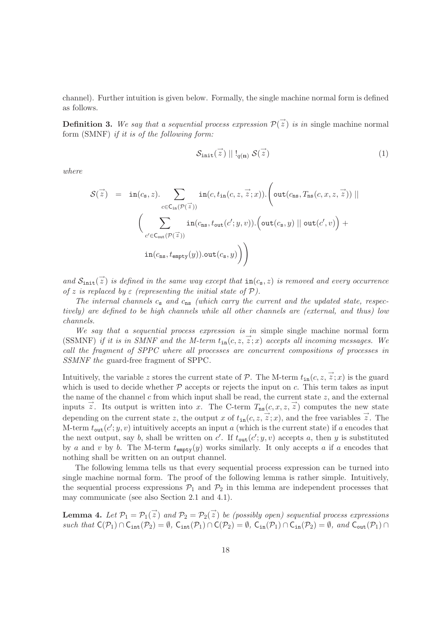channel). Further intuition is given below. Formally, the single machine normal form is defined as follows.

**Definition 3.** We say that a sequential process expression  $\mathcal{P}(\vec{z})$  is in single machine normal form (SMNF) if it is of the following form:

$$
\mathcal{S}_{\text{init}}(\vec{z}) \mid \mid !_{q(\mathbf{n})} \mathcal{S}(\vec{z}) \tag{1}
$$

where

$$
\mathcal{S}(\vec{z}) = \text{in}(c_{s}, z). \sum_{c \in \text{C}_{\text{in}}(\mathcal{P}(\vec{z}))} \text{in}(c, t_{\text{in}}(c, z, \vec{z}; x)). \left( \text{out}(c_{\text{ns}}, T_{\text{ns}}(c, x, z, \vec{z})) \mid \right)
$$

$$
\left( \sum_{c' \in \text{C}_{\text{out}}(\mathcal{P}(\vec{z}))} \text{in}(c_{\text{ns}}, t_{\text{out}}(c'; y, v)). \left( \text{out}(c_{s}, y) \mid \mid \text{out}(c', v) \right) + \text{in}(c_{\text{ns}}, t_{\text{empty}}(y)). \text{out}(c_{s}, y) \right) \right)
$$

and  $S_{\text{init}}(\vec{z})$  is defined in the same way except that  $\text{in}(c_{s}, z)$  is removed and every occurrence of z is replaced by  $\varepsilon$  (representing the initial state of  $P$ ).

The internal channels  $c_s$  and  $c_{ns}$  (which carry the current and the updated state, respectively) are defined to be high channels while all other channels are (external, and thus) low channels.

We say that a sequential process expression is in simple single machine normal form (SSMNF) if it is in SMNF and the M-term  $t_{\text{in}}(c, z, \overrightarrow{z}; x)$  accepts all incoming messages. We call the fragment of SPPC where all processes are concurrent compositions of processes in SSMNF the guard-free fragment of SPPC.

Intuitively, the variable z stores the current state of P. The M-term  $t_{\text{in}}(c, z, \overrightarrow{z}; x)$  is the guard which is used to decide whether  $P$  accepts or rejects the input on c. This term takes as input the name of the channel  $c$  from which input shall be read, the current state  $z$ , and the external inputs  $\overrightarrow{z}$ . Its output is written into x. The C-term  $T_{ns}(c, x, z, \overrightarrow{z})$  computes the new state depending on the current state z, the output x of  $t_{\text{in}}(c, z, \overrightarrow{z}; x)$ , and the free variables  $\overrightarrow{z}$ . The M-term  $t_{\text{out}}(c'; y, v)$  intuitively accepts an input a (which is the current state) if a encodes that the next output, say b, shall be written on c'. If  $t_{\text{out}}(c'; y, v)$  accepts a, then y is substituted by a and v by b. The M-term  $t_{\text{empty}}(y)$  works similarly. It only accepts a if a encodes that nothing shall be written on an output channel.

The following lemma tells us that every sequential process expression can be turned into single machine normal form. The proof of the following lemma is rather simple. Intuitively, the sequential process expressions  $P_1$  and  $P_2$  in this lemma are independent processes that may communicate (see also Section 2.1 and 4.1).

**Lemma 4.** Let  $\mathcal{P}_1 = \mathcal{P}_1(\vec{z})$  and  $\mathcal{P}_2 = \mathcal{P}_2(\vec{z})$  be (possibly open) sequential process expressions such that  $C(\mathcal{P}_1) \cap C_{\text{int}}(\mathcal{P}_2) = \emptyset$ ,  $C_{\text{int}}(\mathcal{P}_1) \cap C(\mathcal{P}_2) = \emptyset$ ,  $C_{\text{in}}(\mathcal{P}_1) \cap C_{\text{in}}(\mathcal{P}_2) = \emptyset$ , and  $C_{\text{out}}(\mathcal{P}_1) \cap C_{\text{out}}(\mathcal{P}_2) = \emptyset$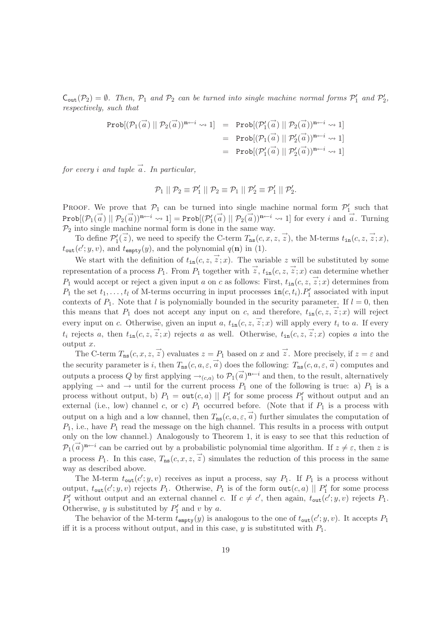$C_{out}(\mathcal{P}_2) = \emptyset$ . Then,  $\mathcal{P}_1$  and  $\mathcal{P}_2$  can be turned into single machine normal forms  $\mathcal{P}'_1$  and  $\mathcal{P}'_2$ , respectively, such that

$$
\begin{array}{rcl} \texttt{Prob}[(\mathcal{P}_1(\vec{a}) \ || \ \mathcal{P}_2(\vec{a}))^{\mathbf{n} \leftarrow i} \leadsto 1] & = & \texttt{Prob}[(\mathcal{P}'_1(\vec{a}) \ || \ \mathcal{P}_2(\vec{a}))^{\mathbf{n} \leftarrow i} \leadsto 1] \\ \\ & = & \texttt{Prob}[(\mathcal{P}_1(\vec{a}) \ || \ \mathcal{P}'_2(\vec{a}))^{\mathbf{n} \leftarrow i} \leadsto 1] \\ \\ & = & \texttt{Prob}[(\mathcal{P}'_1(\vec{a}) \ || \ \mathcal{P}'_2(\vec{a}))^{\mathbf{n} \leftarrow i} \leadsto 1] \end{array}
$$

for every i and tuple  $\vec{a}$ . In particular,

$$
\mathcal{P}_1 \mid\mid \mathcal{P}_2 \equiv \mathcal{P}_1' \mid\mid \mathcal{P}_2 \equiv \mathcal{P}_1 \mid\mid \mathcal{P}_2' \equiv \mathcal{P}_1' \mid\mid \mathcal{P}_2'.
$$

PROOF. We prove that  $P_1$  can be turned into single machine normal form  $P'_1$  such that  $\text{Prob}[(\mathcal{P}_1(\vec{a}) \mid \mid \mathcal{P}_2(\vec{a}))^{\mathbf{n-i}} \leadsto 1] = \text{Prob}[(\mathcal{P}_1'(\vec{a}) \mid \mid \mathcal{P}_2(\vec{a}))^{\mathbf{n-i}} \leadsto 1]$  for every i and  $\overrightarrow{a}$ . Turning  $\mathcal{P}_2$  into single machine normal form is done in the same way.

To define  $\mathcal{P}'_1(\vec{z})$ , we need to specify the C-term  $T_{\text{ns}}(c, x, z, \vec{z})$ , the M-terms  $t_{\text{in}}(c, z, \vec{z}; x)$ ,  $t_{\text{out}}(c'; y, v)$ , and  $t_{\text{empty}}(y)$ , and the polynomial  $q(\mathbf{n})$  in (1).

We start with the definition of  $t_{\text{in}}(c, z, \vec{z}; x)$ . The variable z will be substituted by some representation of a process  $P_1$ . From  $P_1$  together with  $\vec{z}$ ,  $t_{\text{in}}(c, z, \vec{z}; x)$  can determine whether  $P_1$  would accept or reject a given input a on c as follows: First,  $t_{\text{in}}(c, z, \vec{z}; x)$  determines from  $P_1$  the set  $t_1, \ldots, t_l$  of M-terms occurring in input processes  $\text{in}(c, t_i)$ .  $P'_1$  associated with input contexts of  $P_1$ . Note that l is polynomially bounded in the security parameter. If  $l = 0$ , then this means that  $P_1$  does not accept any input on c, and therefore,  $t_{\text{in}}(c, z, \overrightarrow{z}; x)$  will reject every input on c. Otherwise, given an input a,  $t_{\text{in}}(c, z, \overrightarrow{z}; x)$  will apply every  $t_i$  to a. If every  $t_i$  rejects a, then  $t_{\text{in}}(c, z, \overrightarrow{z}; x)$  rejects a as well. Otherwise,  $t_{\text{in}}(c, z, \overrightarrow{z}; x)$  copies a into the output x.

The C-term  $T_{ns}(c, x, z, \vec{z})$  evaluates  $z = P_1$  based on x and  $\vec{z}$ . More precisely, if  $z = \varepsilon$  and the security parameter is i, then  $T_{ns}(c, a, \varepsilon, \overrightarrow{a})$  does the following:  $T_{ns}(c, a, \varepsilon, \overrightarrow{a})$  computes and outputs a process Q by first applying  $\rightarrow_{(c,a)}$  to  $\mathcal{P}_1(\vec{a})^{\mathbf{n}-i}$  and then, to the result, alternatively applying  $\rightarrow$  and  $\rightarrow$  until for the current process  $P_1$  one of the following is true: a)  $P_1$  is a process without output, b)  $P_1 = \text{out}(c, a) \parallel P'_1$  for some process  $P'_1$  without output and an external (i.e., low) channel c, or c)  $P_1$  occurred before. (Note that if  $P_1$  is a process with output on a high and a low channel, then  $T_{ns}(c, a, \varepsilon, \vec{a})$  further simulates the computation of  $P_1$ , i.e., have  $P_1$  read the message on the high channel. This results in a process with output only on the low channel.) Analogously to Theorem 1, it is easy to see that this reduction of  $\mathcal{P}_1(\vec{a})^{n-i}$  can be carried out by a probabilistic polynomial time algorithm. If  $z \neq \varepsilon$ , then z is a process  $P_1$ . In this case,  $T_{ns}(c, x, z, \vec{z})$  simulates the reduction of this process in the same way as described above.

The M-term  $t_{\text{out}}(c'; y, v)$  receives as input a process, say  $P_1$ . If  $P_1$  is a process without output,  $t_{\text{out}}(c'; y, v)$  rejects  $P_1$ . Otherwise,  $P_1$  is of the form  $\text{out}(c, a) \parallel P'_1$  for some process  $P'_1$  without output and an external channel c. If  $c \neq c'$ , then again,  $t_{\text{out}}(c'; y, v)$  rejects  $P_1$ . Otherwise,  $y$  is substituted by  $P'_1$  and  $v$  by  $a$ .

The behavior of the M-term  $t_{\text{empty}}(y)$  is analogous to the one of  $t_{\text{out}}(c'; y, v)$ . It accepts  $P_1$ iff it is a process without output, and in this case, y is substituted with  $P_1$ .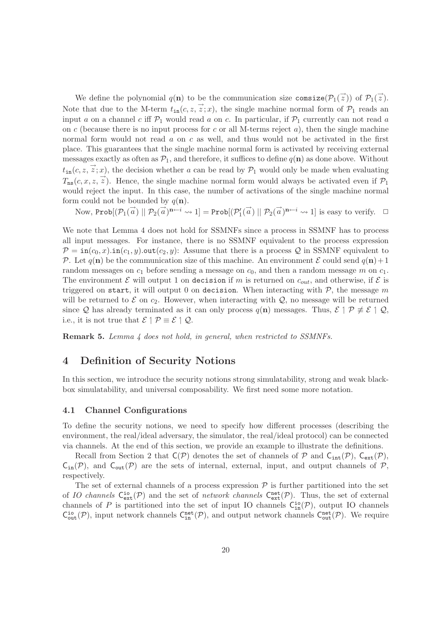We define the polynomial  $q(\mathbf{n})$  to be the communication size comsize  $(\mathcal{P}_1(\vec{z}))$  of  $\mathcal{P}_1(\vec{z})$ . Note that due to the M-term  $t_{\text{in}}(c, z, \vec{z}; x)$ , the single machine normal form of  $\mathcal{P}_1$  reads an input a on a channel c iff  $\mathcal{P}_1$  would read a on c. In particular, if  $\mathcal{P}_1$  currently can not read a on c (because there is no input process for c or all M-terms reject a), then the single machine normal form would not read  $a$  on  $c$  as well, and thus would not be activated in the first place. This guarantees that the single machine normal form is activated by receiving external messages exactly as often as  $\mathcal{P}_1$ , and therefore, it suffices to define  $q(\mathbf{n})$  as done above. Without  $t_{\text{in}}(c, z, \overrightarrow{z}; x)$ , the decision whether a can be read by  $\mathcal{P}_1$  would only be made when evaluating  $T_{\text{ns}}(c, x, z, \vec{z})$ . Hence, the single machine normal form would always be activated even if  $\mathcal{P}_1$ would reject the input. In this case, the number of activations of the single machine normal form could not be bounded by  $q(\mathbf{n})$ .

Now, 
$$
\text{Prob}[(\mathcal{P}_1(\vec{a}) \mid \mid \mathcal{P}_2(\vec{a})^{\mathbf{n-i}} \leadsto 1] = \text{Prob}[(\mathcal{P}'_1(\vec{a}) \mid \mid \mathcal{P}_2(\vec{a})^{\mathbf{n-i}} \leadsto 1]
$$
 is easy to verify.  $\Box$ 

We note that Lemma 4 does not hold for SSMNFs since a process in SSMNF has to process all input messages. For instance, there is no SSMNF equivalent to the process expression  $\mathcal{P} = \text{in}(c_0, x) \cdot \text{in}(c_1, y) \cdot \text{out}(c_2, y)$ : Assume that there is a process Q in SSMNF equivalent to P. Let  $q(n)$  be the communication size of this machine. An environment E could send  $q(n)+1$ random messages on  $c_1$  before sending a message on  $c_0$ , and then a random message m on  $c_1$ . The environment  $\mathcal E$  will output 1 on decision if m is returned on  $c_{out}$ , and otherwise, if  $\mathcal E$  is triggered on start, it will output 0 on decision. When interacting with  $P$ , the message m will be returned to  $\mathcal E$  on  $c_2$ . However, when interacting with  $\mathcal Q$ , no message will be returned since Q has already terminated as it can only process  $q(n)$  messages. Thus,  $\mathcal{E} \uparrow \mathcal{P} \neq \mathcal{E} \uparrow \mathcal{Q}$ , i.e., it is not true that  $\mathcal{E} \uparrow \mathcal{P} \equiv \mathcal{E} \uparrow \mathcal{Q}$ .

Remark 5. Lemma 4 does not hold, in general, when restricted to SSMNFs.

# 4 Definition of Security Notions

In this section, we introduce the security notions strong simulatability, strong and weak blackbox simulatability, and universal composability. We first need some more notation.

## 4.1 Channel Configurations

To define the security notions, we need to specify how different processes (describing the environment, the real/ideal adversary, the simulator, the real/ideal protocol) can be connected via channels. At the end of this section, we provide an example to illustrate the definitions.

Recall from Section 2 that  $C(\mathcal{P})$  denotes the set of channels of  $\mathcal{P}$  and  $C_{\text{int}}(\mathcal{P})$ ,  $C_{\text{ext}}(\mathcal{P})$ ,  $\mathsf{C}_{\texttt{in}}(\mathcal{P})$ , and  $\mathsf{C}_{\texttt{out}}(\mathcal{P})$  are the sets of internal, external, input, and output channels of  $\mathcal{P}$ , respectively.

The set of external channels of a process expression  $\mathcal P$  is further partitioned into the set of IO channels  $\mathsf{C}_{\text{ext}}^{i\circ}(\mathcal{P})$  and the set of network channels  $\mathsf{C}_{\text{ext}}^{n\circ}(\mathcal{P})$ . Thus, the set of external channels of P is partitioned into the set of input IO channels  $C_{in}^{io}(\mathcal{P})$ , output IO channels  $C_{out}^{io}(\mathcal{P})$ , input network channels  $C_{in}^{net}(\mathcal{P})$ , and output network channels  $C_{out}^{net}(\mathcal{P})$ . We require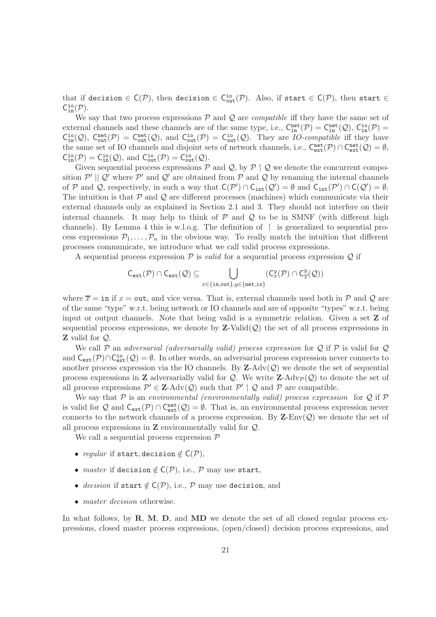that if decision  $\in C(\mathcal{P})$ , then decision  $\in C_{\text{out}}^{i\circ}(\mathcal{P})$ . Also, if start  $\in C(\mathcal{P})$ , then start  $\in$  $\mathsf{C}^\mathtt{io}_\mathtt{in}(\mathcal{P}).$ 

We say that two process expressions  $P$  and  $Q$  are *compatible* iff they have the same set of external channels and these channels are of the same type, i.e.,  $C_{in}^{net}(\mathcal{P}) = C_{in}^{net}(\mathcal{Q})$ ,  $C_{in}^{io}(\mathcal{P}) =$  $\mathsf{C}_{\textsf{in}}^{\textsf{io}}(\mathcal{Q})$ ,  $\mathsf{C}_{\textsf{out}}^{\textsf{net}}(\mathcal{P}) = \mathsf{C}_{\textsf{out}}^{\textsf{io}}(\mathcal{P}) = \mathsf{C}_{\textsf{out}}^{\textsf{io}}(\mathcal{Q})$ . They are *IO-compatible* iff they have the same set of IO channels and disjoint sets of network channels, i.e.,  $C_{ext}^{net}(\mathcal{P}) \cap C_{ext}^{net}(\mathcal{Q}) = \emptyset$ ,  $C_{\text{in}}^{\text{io}}(\mathcal{P}) = C_{\text{in}}^{\text{io}}(\mathcal{Q}),$  and  $C_{\text{out}}^{\text{io}}(\mathcal{P}) = C_{\text{out}}^{\text{io}}(\mathcal{Q}).$ 

Given sequential process expressions  $P$  and  $Q$ , by  $P \uparrow Q$  we denote the concurrent composition  $\mathcal{P}' \parallel \mathcal{Q}'$  where  $\mathcal{P}'$  and  $\mathcal{Q}'$  are obtained from  $\mathcal{P}$  and  $\mathcal{Q}$  by renaming the internal channels of P and Q, respectively, in such a way that  $C(\mathcal{P}') \cap C_{int}(\mathcal{Q}') = \emptyset$  and  $C_{int}(\mathcal{P}') \cap C(\mathcal{Q}') = \emptyset$ . The intuition is that  $P$  and  $Q$  are different processes (machines) which communicate via their external channels only as explained in Section 2.1 and 3. They should not interfere on their internal channels. It may help to think of  $P$  and  $Q$  to be in SMNF (with different high channels). By Lemma 4 this is w.l.o.g. The definition of  $\uparrow$  is generalized to sequential process expressions  $P_1, \ldots, P_n$  in the obvious way. To really match the intuition that different processes communicate, we introduce what we call valid process expressions.

A sequential process expression  $\mathcal P$  is valid for a sequential process expression  $\mathcal Q$  if

$$
\mathsf{C}_{\text{ext}}(\mathcal{P}) \cap \mathsf{C}_{\text{ext}}(\mathcal{Q}) \subseteq \bigcup_{x \in \{\text{in}, \text{out}\}, y \in \{\text{net}, \text{io}\}} (\mathsf{C}^y_x(\mathcal{P}) \cap \mathsf{C}^y_{\overline{x}}(\mathcal{Q}))
$$

where  $\overline{x} = \text{in if } x = \text{out},$  and vice versa. That is, external channels used both in P and Q are of the same "type" w.r.t. being network or IO channels and are of opposite "types" w.r.t. being input or output channels. Note that being valid is a symmetric relation. Given a set  $\mathbf Z$  of sequential process expressions, we denote by  $\mathbb{Z}\text{-}\mathrm{Valid}(\mathcal{Q})$  the set of all process expressions in  $Z$  valid for  $Q$ .

We call  $P$  an adversarial (adversarially valid) process expression for  $Q$  if  $P$  is valid for  $Q$ and  $C_{ext}(\mathcal{P}) \cap C_{ext}^{io}(\mathcal{Q}) = \emptyset$ . In other words, an adversarial process expression never connects to another process expression via the IO channels. By  $\mathbb{Z}\text{-}\mathrm{Adv}(\mathcal{Q})$  we denote the set of sequential process expressions in **Z** adversarially valid for Q. We write  $\mathbb{Z}\text{-}\mathrm{Adv}_{\mathcal{P}}(Q)$  to denote the set of all process expressions  $\mathcal{P}' \in \mathbf{Z}$ -Adv $(\mathcal{Q})$  such that  $\mathcal{P}' \upharpoonright \mathcal{Q}$  and  $\mathcal{P}$  are compatible.

We say that  $P$  is an environmental (environmentally valid) process expression for  $Q$  if  $P$ is valid for Q and  $C_{ext}(\mathcal{P}) \cap C_{ext}^{net}(\mathcal{Q}) = \emptyset$ . That is, an environmental process expression never connects to the network channels of a process expression. By  $\mathbb{Z}$ -Env $(\mathcal{Q})$  we denote the set of all process expressions in  $Z$  environmentally valid for  $Q$ .

We call a sequential process expression P

- regular if start, decision  $\notin C(\mathcal{P})$ ,
- master if decision  $\notin C(\mathcal{P})$ , i.e.,  $\mathcal{P}$  may use start,
- decision if start  $\notin C(\mathcal{P})$ , i.e.,  $\mathcal P$  may use decision, and
- master decision otherwise.

In what follows, by  $R$ ,  $M$ ,  $D$ , and  $MD$  we denote the set of all closed regular process expressions, closed master process expressions, (open/closed) decision process expressions, and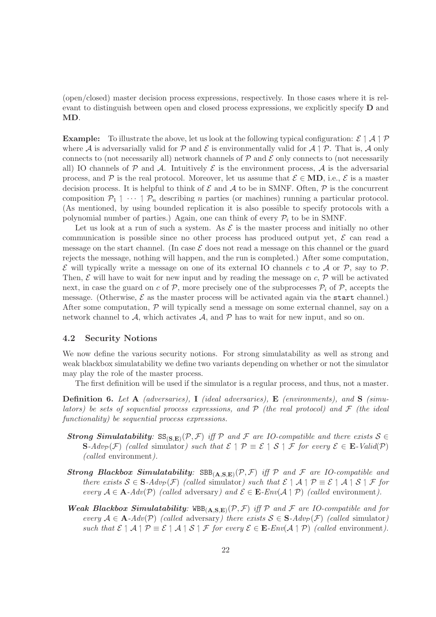(open/closed) master decision process expressions, respectively. In those cases where it is relevant to distinguish between open and closed process expressions, we explicitly specify D and MD.

**Example:** To illustrate the above, let us look at the following typical configuration:  $\mathcal{E} \uparrow \mathcal{A} \uparrow \mathcal{P}$ where A is adversarially valid for P and E is environmentally valid for  $\mathcal{A} \uparrow \mathcal{P}$ . That is, A only connects to (not necessarily all) network channels of  $P$  and  $E$  only connects to (not necessarily all) IO channels of  $P$  and  $\mathcal{A}$ . Intuitively  $\mathcal E$  is the environment process,  $\mathcal A$  is the adversarial process, and P is the real protocol. Moreover, let us assume that  $\mathcal{E} \in \mathbf{MD}$ , i.e.,  $\mathcal{E}$  is a master decision process. It is helpful to think of  $\mathcal E$  and  $\mathcal A$  to be in SMNF. Often,  $\mathcal P$  is the concurrent composition  $P_1 \sim 1$   $P_n$  describing n parties (or machines) running a particular protocol. (As mentioned, by using bounded replication it is also possible to specify protocols with a polynomial number of parties.) Again, one can think of every  $P_i$  to be in SMNF.

Let us look at a run of such a system. As  $\mathcal E$  is the master process and initially no other communication is possible since no other process has produced output yet,  $\mathcal E$  can read a message on the start channel. (In case  $\mathcal E$  does not read a message on this channel or the guard rejects the message, nothing will happen, and the run is completed.) After some computation,  $\mathcal E$  will typically write a message on one of its external IO channels c to  $\mathcal A$  or  $\mathcal P$ , say to  $\mathcal P$ . Then,  $\mathcal E$  will have to wait for new input and by reading the message on  $c, \mathcal P$  will be activated next, in case the guard on c of  $P$ , more precisely one of the subprocesses  $P_i$  of  $P$ , accepts the message. (Otherwise,  $\mathcal E$  as the master process will be activated again via the start channel.) After some computation,  $\mathcal{P}$  will typically send a message on some external channel, say on a network channel to A, which activates A, and  $\mathcal P$  has to wait for new input, and so on.

## 4.2 Security Notions

We now define the various security notions. For strong simulatability as well as strong and weak blackbox simulatability we define two variants depending on whether or not the simulator may play the role of the master process.

The first definition will be used if the simulator is a regular process, and thus, not a master.

Definition 6. Let A (adversaries), I (ideal adversaries), E (environments), and S (simulators) be sets of sequential process expressions, and  $P$  (the real protocol) and  $\mathcal F$  (the ideal functionality) be sequential process expressions.

- **Strong Simulatability:**  $SS_{(S,E)}(\mathcal{P},\mathcal{F})$  iff  $\mathcal{P}$  and  $\mathcal{F}$  are IO-compatible and there exists  $\mathcal{S} \in$  $\mathbf{S}\text{-}Adv_{\mathcal{P}}(\mathcal{F})$  (called simulator) such that  $\mathcal{E} \uparrow \mathcal{P} \equiv \mathcal{E} \uparrow \mathcal{S} \uparrow \mathcal{F}$  for every  $\mathcal{E} \in \mathbf{E}\text{-}Valid(\mathcal{P})$ (called environment).
- **Strong Blackbox Simulatability:**  $SBB_{(A,S,E)}(\mathcal{P},\mathcal{F})$  iff  $\mathcal{P}$  and  $\mathcal{F}$  are IO-compatible and there exists  $S \in S$ -Adv $p(\mathcal{F})$  (called simulator) such that  $\mathcal{E} \upharpoonright \mathcal{A} \upharpoonright \mathcal{P} \equiv \mathcal{E} \upharpoonright \mathcal{A} \upharpoonright S \upharpoonright \mathcal{F}$  for every  $A \in \mathbf{A}$ -Adv $(\mathcal{P})$  (called adversary) and  $\mathcal{E} \in \mathbf{E}$ -Env $(\mathcal{A} \mid \mathcal{P})$  (called environment).
- **Weak Blackbox Simulatability:**  $WBB_{(A,S,E)}(\mathcal{P},\mathcal{F})$  iff  $\mathcal{P}$  and  $\mathcal{F}$  are IO-compatible and for every  $A \in \mathbf{A}$ -Adv $(\mathcal{P})$  (called adversary) there exists  $S \in \mathbf{S}$ -Adv $p(\mathcal{F})$  (called simulator) such that  $\mathcal{E} \uparrow \mathcal{A} \uparrow \mathcal{P} \equiv \mathcal{E} \uparrow \mathcal{A} \uparrow \mathcal{S} \uparrow \mathcal{F}$  for every  $\mathcal{E} \in \mathbf{E}$ -Env( $\mathcal{A} \uparrow \mathcal{P}$ ) (called environment).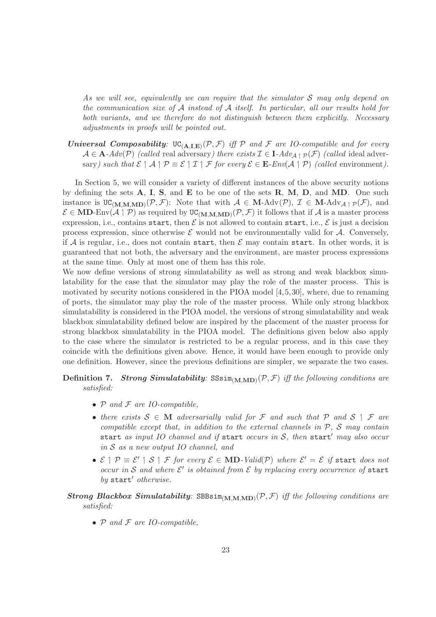As we will see, equivalently we can require that the simulator S may only depend on the communication size of  $A$  instead of  $A$  itself. In particular, all our results hold for both variants, and we therefore do not distinguish between them explicitly. Necessary adjustments in proofs will be pointed out.

**Universal Composability:**  $UC_{(A,I,E)}(\mathcal{P},\mathcal{F})$  iff  $\mathcal{P}$  and  $\mathcal{F}$  are IO-compatible and for every  $A \in \mathbf{A}$ -Adv $(\mathcal{P})$  (called real adversary) there exists  $\mathcal{I} \in \mathbf{I}$ -Adv $\mathcal{A} \uparrow \mathcal{P}(\mathcal{F})$  (called ideal adversary) such that  $\mathcal{E} \upharpoonleft \mathcal{A} \upharpoonleft \mathcal{P} \equiv \mathcal{E} \upharpoonright \mathcal{I} \upharpoonright \mathcal{F}$  for every  $\mathcal{E} \in \mathbf{E}$ -Env( $\mathcal{A} \upharpoonright \mathcal{P}$ ) (called environment).

In Section 5, we will consider a variety of different instances of the above security notions by defining the sets  $A$ ,  $I$ ,  $S$ , and  $E$  to be one of the sets  $R$ ,  $M$ ,  $D$ , and  $MD$ . One such instance is  $UC_{(M,M,\text{MD})}(\mathcal{P},\mathcal{F})$ : Note that with  $\mathcal{A} \in M$ -Adv $(\mathcal{P}), \mathcal{I} \in M$ -Adv $\mathcal{A} \uparrow \mathcal{P}(\mathcal{F})$ , and  $\mathcal{E} \in \textbf{MD-Env}(\mathcal{A} \mid \mathcal{P})$  as required by  $\text{UC}_{(\textbf{M},\textbf{M},\textbf{MD})}(\mathcal{P}, \mathcal{F})$  it follows that if  $\mathcal{A}$  is a master process expression, i.e., contains start, then  $\mathcal E$  is not allowed to contain start, i.e.,  $\mathcal E$  is just a decision process expression, since otherwise  $\mathcal E$  would not be environmentally valid for  $\mathcal A$ . Conversely, if A is regular, i.e., does not contain start, then  $\mathcal E$  may contain start. In other words, it is guaranteed that not both, the adversary and the environment, are master process expressions at the same time. Only at most one of them has this role.

We now define versions of strong simulatability as well as strong and weak blackbox simulatability for the case that the simulator may play the role of the master process. This is motivated by security notions considered in the PIOA model [4,5,30], where, due to renaming of ports, the simulator may play the role of the master process. While only strong blackbox simulatability is considered in the PIOA model, the versions of strong simulatability and weak blackbox simulatability defined below are inspired by the placement of the master process for strong blackbox simulatability in the PIOA model. The definitions given below also apply to the case where the simulator is restricted to be a regular process, and in this case they coincide with the definitions given above. Hence, it would have been enough to provide only one definition. However, since the previous definitions are simpler, we separate the two cases.

# **Definition 7.** Strong Simulatability:  $SSsim_{(M,MD)}(\mathcal{P}, \mathcal{F})$  iff the following conditions are satisfied:

- $P$  and  $F$  are IO-compatible,
- there exists  $S \in M$  adversarially valid for F and such that P and S  $\uparrow$  F are compatible except that, in addition to the external channels in  $P$ ,  $S$  may contain start as input IO channel and if start occurs in  $S$ , then start' may also occur in S as a new output IO channel, and
- $\mathcal{E} \upharpoonright \mathcal{P} \equiv \mathcal{E}' \upharpoonright \mathcal{S} \upharpoonright \mathcal{F}$  for every  $\mathcal{E} \in \text{MD-Valid}(\mathcal{P})$  where  $\mathcal{E}' = \mathcal{E}$  if start does not occur in S and where  $\mathcal{E}'$  is obtained from  $\mathcal E$  by replacing every occurrence of start by start′ otherwise.
- **Strong Blackbox Simulatability:** SBBsi $\mathbf{m}_{(\mathbf{M},\mathbf{M},\mathbf{M}\mathbf{D})}(\mathcal{P},\mathcal{F})$  iff the following conditions are satisfied:
	- $P$  and  $F$  are IO-compatible,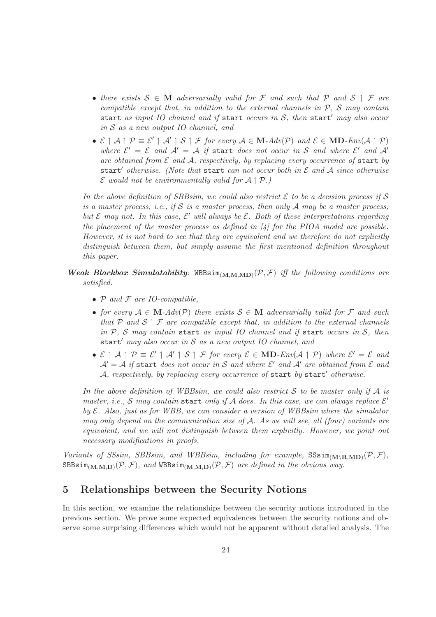- there exists  $S \in M$  adversarially valid for F and such that P and S  $\uparrow$  F are compatible except that, in addition to the external channels in  $P$ ,  $S$  may contain start as input IO channel and if start occurs in  $S$ , then start' may also occur in S as a new output IO channel, and
- $\mathcal{E} \upharpoonright \mathcal{A} \upharpoonright \mathcal{P} \equiv \mathcal{E}' \upharpoonright \mathcal{A}' \upharpoonright \mathcal{S} \upharpoonright \mathcal{F}$  for every  $\mathcal{A} \in M$ - $Adv(\mathcal{P})$  and  $\mathcal{E} \in M$ D- $Env(\mathcal{A} \upharpoonright \mathcal{P})$ where  $\mathcal{E}' = \mathcal{E}$  and  $\mathcal{A}' = \mathcal{A}$  if start does not occur in S and where  $\mathcal{E}'$  and  $\mathcal{A}'$ are obtained from  $\mathcal E$  and  $\mathcal A$ , respectively, by replacing every occurrence of start by start' otherwise. (Note that start can not occur both in  $\mathcal E$  and  $\mathcal A$  since otherwise  $\mathcal E$  would not be environmentally valid for  $\mathcal A \upharpoonright \mathcal P$ .)

In the above definition of SBBsim, we could also restrict  $\mathcal E$  to be a decision process if S is a master process, i.e., if S is a master process, then only A may be a master process, but  $\mathcal E$  may not. In this case,  $\mathcal E'$  will always be  $\mathcal E$ . Both of these interpretations regarding the placement of the master process as defined in  $\vert 4 \vert$  for the PIOA model are possible. However, it is not hard to see that they are equivalent and we therefore do not explicitly distinguish between them, but simply assume the first mentioned definition throughout this paper.

- **Weak Blackbox Simulatability:** WBBsim $(M,M,MD)$  $(\mathcal{P},\mathcal{F})$  iff the following conditions are satisfied:
	- $P$  and  $F$  are IO-compatible,
	- for every  $A \in M$ - $Adv(P)$  there exists  $S \in M$  adversarially valid for F and such that  $P$  and  $S \upharpoonright \mathcal{F}$  are compatible except that, in addition to the external channels in  $P$ , S may contain start as input IO channel and if start occurs in S, then start' may also occur in  $S$  as a new output IO channel, and
	- $\mathcal{E} \upharpoonright \mathcal{A} \upharpoonright \mathcal{P} \equiv \mathcal{E}' \upharpoonright \mathcal{A}' \upharpoonright \mathcal{S} \upharpoonright \mathcal{F}$  for every  $\mathcal{E} \in \text{MD-Env}(\mathcal{A} \upharpoonright \mathcal{P})$  where  $\mathcal{E}' = \mathcal{E}$  and  $\mathcal{A}'=\mathcal{A}$  if start does not occur in S and where  $\mathcal{E}'$  and  $\mathcal{A}'$  are obtained from  $\mathcal E$  and A, respectively, by replacing every occurrence of start by start' otherwise.

In the above definition of WBBsim, we could also restrict S to be master only if A is master, i.e.,  $S$  may contain start only if  $A$  does. In this case, we can always replace  $\mathcal{E}'$ by  $\mathcal{E}$ . Also, just as for WBB, we can consider a version of WBBsim where the simulator may only depend on the communication size of  $A$ . As we will see, all (four) variants are equivalent, and we will not distinguish between them explicitly. However, we point out necessary modifications in proofs.

Variants of SSsim, SBBsim, and WBBsim, including for example,  $SSsim_{(M\setminus R,MD)}(\mathcal{P}, \mathcal{F})$ ,  $\texttt{SBSsim}_{(\mathbf{M}, \mathbf{M}, \mathbf{D})}(\mathcal{P}, \mathcal{F})$ , and  $\texttt{WBBsim}_{(\mathbf{M}, \mathbf{M}, \mathbf{D})}(\mathcal{P}, \mathcal{F})$  are defined in the obvious way.

# 5 Relationships between the Security Notions

In this section, we examine the relationships between the security notions introduced in the previous section. We prove some expected equivalences between the security notions and observe some surprising differences which would not be apparent without detailed analysis. The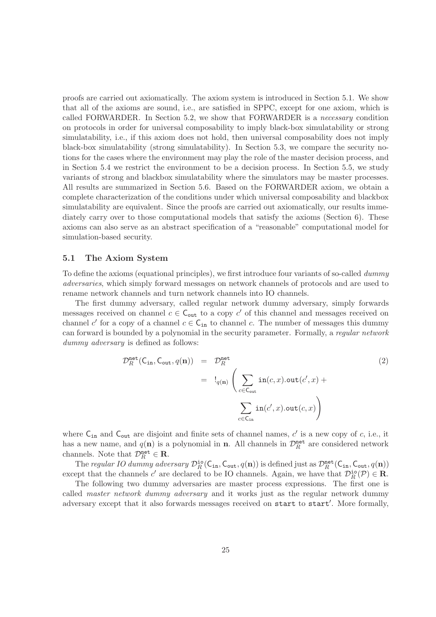proofs are carried out axiomatically. The axiom system is introduced in Section 5.1. We show that all of the axioms are sound, i.e., are satisfied in SPPC, except for one axiom, which is called FORWARDER. In Section 5.2, we show that FORWARDER is a necessary condition on protocols in order for universal composability to imply black-box simulatability or strong simulatability, i.e., if this axiom does not hold, then universal composability does not imply black-box simulatability (strong simulatability). In Section 5.3, we compare the security notions for the cases where the environment may play the role of the master decision process, and in Section 5.4 we restrict the environment to be a decision process. In Section 5.5, we study variants of strong and blackbox simulatability where the simulators may be master processes. All results are summarized in Section 5.6. Based on the FORWARDER axiom, we obtain a complete characterization of the conditions under which universal composability and blackbox simulatability are equivalent. Since the proofs are carried out axiomatically, our results immediately carry over to those computational models that satisfy the axioms (Section 6). These axioms can also serve as an abstract specification of a "reasonable" computational model for simulation-based security.

#### 5.1 The Axiom System

To define the axioms (equational principles), we first introduce four variants of so-called dummy adversaries, which simply forward messages on network channels of protocols and are used to rename network channels and turn network channels into IO channels.

The first dummy adversary, called regular network dummy adversary, simply forwards messages received on channel  $c \in \mathsf{C}_{\text{out}}$  to a copy  $c'$  of this channel and messages received on channel c' for a copy of a channel  $c \in C_{\text{in}}$  to channel c. The number of messages this dummy can forward is bounded by a polynomial in the security parameter. Formally, a regular network dummy adversary is defined as follows:

$$
\mathcal{D}_R^{\text{net}}(\mathsf{C}_{\text{in}}, \mathsf{C}_{\text{out}}, q(\mathbf{n})) = \mathcal{D}_R^{\text{net}}
$$
\n
$$
= \mathsf{I}_{q(\mathbf{n})} \left( \sum_{c \in \mathsf{C}_{\text{out}}} \text{in}(c, x) . \text{out}(c', x) + \sum_{c \in \mathsf{C}_{\text{in}}} \text{in}(c', x) . \text{out}(c, x) \right)
$$
\n
$$
(2)
$$

where  $C_{in}$  and  $C_{out}$  are disjoint and finite sets of channel names,  $c'$  is a new copy of c, i.e., it has a new name, and  $q(\mathbf{n})$  is a polynomial in **n**. All channels in  $\mathcal{D}_R^{\text{net}}$  are considered network channels. Note that  $\mathcal{D}_R^{\text{net}} \in \mathbf{R}$ .

The regular IO dummy adversary  $\mathcal{D}_R^{\text{io}}(\mathsf{C}_{\text{in}}, \mathsf{C}_{\text{out}}, q(\mathbf{n}))$  is defined just as  $\mathcal{D}_R^{\text{net}}(\mathsf{C}_{\text{in}}, \mathsf{C}_{\text{out}}, q(\mathbf{n}))$ except that the channels c' are declared to be IO channels. Again, we have that  $\mathcal{D}_R^{io}(\mathcal{P}) \in \mathbf{R}$ .

The following two dummy adversaries are master process expressions. The first one is called *master network dummy adversary* and it works just as the regular network dummy adversary except that it also forwards messages received on start to start'. More formally,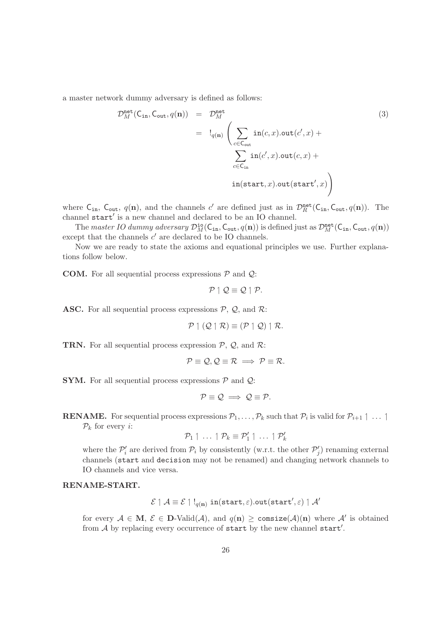a master network dummy adversary is defined as follows:

$$
\mathcal{D}_{M}^{\text{net}}(\mathsf{C}_{\text{in}}, \mathsf{C}_{\text{out}}, q(\mathbf{n})) = \mathcal{D}_{M}^{\text{net}}
$$
\n
$$
= \mathsf{I}_{q(\mathbf{n})} \left( \sum_{c \in \mathsf{C}_{\text{out}}} \text{in}(c, x) . \text{out}(c', x) + \sum_{c \in \mathsf{C}_{\text{in}}} \text{in}(c', x) . \text{out}(c, x) + \text{in}(\text{start}, x) . \text{out}(\text{start}', x) \right)
$$
\n(3)

where  $C_{in}$ ,  $C_{out}$ ,  $q(n)$ , and the channels c' are defined just as in  $\mathcal{D}_R^{net}(C_{in}, C_{out}, q(n))$ . The channel start′ is a new channel and declared to be an IO channel.

The master IO dummy adversary  $\mathcal{D}_M^{io}(\mathsf{C}_{\text{in}}, \mathsf{C}_{\text{out}}, q(\mathbf{n}))$  is defined just as  $\mathcal{D}_M^{net}(\mathsf{C}_{\text{in}}, \mathsf{C}_{\text{out}}, q(\mathbf{n}))$ except that the channels  $c'$  are declared to be IO channels.

Now we are ready to state the axioms and equational principles we use. Further explanations follow below.

**COM.** For all sequential process expressions  $P$  and  $Q$ :

$$
\mathcal{P} \upharpoonright \mathcal{Q} \equiv \mathcal{Q} \upharpoonright \mathcal{P}.
$$

ASC. For all sequential process expressions  $P$ ,  $Q$ , and  $R$ :

$$
\mathcal{P} \upharpoonright (\mathcal{Q} \upharpoonright \mathcal{R}) \equiv (\mathcal{P} \upharpoonright \mathcal{Q}) \upharpoonright \mathcal{R}.
$$

**TRN.** For all sequential process expression  $P$ ,  $Q$ , and  $R$ :

$$
\mathcal{P} \equiv \mathcal{Q}, \mathcal{Q} \equiv \mathcal{R} \implies \mathcal{P} \equiv \mathcal{R}.
$$

**SYM.** For all sequential process expressions  $P$  and  $Q$ :

$$
\mathcal{P}\equiv\mathcal{Q}\implies\mathcal{Q}\equiv\mathcal{P}.
$$

**RENAME.** For sequential process expressions  $P_1, \ldots, P_k$  such that  $P_i$  is valid for  $P_{i+1} \mid \ldots \mid$  $\mathcal{P}_k$  for every *i*:

$$
\mathcal{P}_1 \mid \ldots \mid \mathcal{P}_k \equiv \mathcal{P}'_1 \mid \ldots \mid \mathcal{P}'_k
$$

where the  $\mathcal{P}'_i$  are derived from  $\mathcal{P}_i$  by consistently (w.r.t. the other  $\mathcal{P}'_j$ ) renaming external channels (start and decision may not be renamed) and changing network channels to IO channels and vice versa.

## RENAME-START.

$$
\mathcal{E} \upharpoonleft \mathcal{A} \equiv \mathcal{E} \upharpoonleft !_{q(\mathbf{n})} \text{ in}(\texttt{start},\varepsilon).\texttt{out}(\texttt{start}',\varepsilon) \upharpoonleft \mathcal{A}'
$$

for every  $A \in M$ ,  $\mathcal{E} \in D\text{-}\text{Valid}(\mathcal{A})$ , and  $q(\mathbf{n}) \geq \text{consize}(\mathcal{A})(\mathbf{n})$  where  $\mathcal{A}'$  is obtained from  $A$  by replacing every occurrence of start by the new channel start'.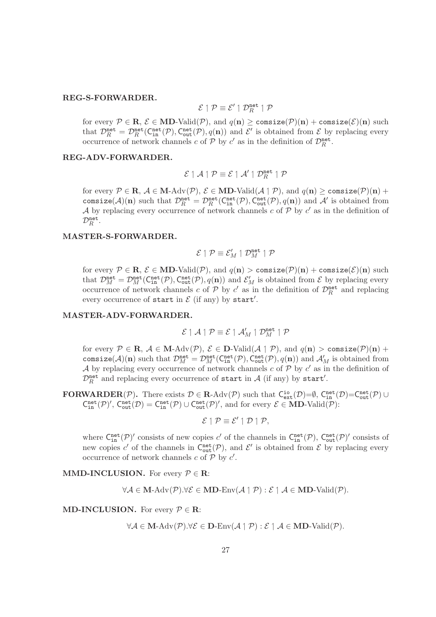#### REG-S-FORWARDER.

$$
\mathcal{E}\upharpoonleft\mathcal{P}\equiv\mathcal{E}'\upharpoonright\mathcal{D}_R^{\mathtt{net}}\upharpoonright\mathcal{P}
$$

for every  $P \in \mathbf{R}, \mathcal{E} \in \text{MD-Valid}(\mathcal{P}),$  and  $q(\mathbf{n}) \ge \text{consize}(\mathcal{P})(\mathbf{n}) + \text{consize}(\mathcal{E})(\mathbf{n})$  such that  $\mathcal{D}_R^{\text{net}} = \mathcal{D}_R^{\text{net}}(\mathcal{C}_{\text{in}}^{\text{net}}(\mathcal{P}), \mathcal{C}_{\text{out}}^{\text{net}}(\mathcal{P}), q(\mathbf{n}))$  and  $\mathcal{E}'$  is obtained from  $\mathcal{E}$  by replacing every occurrence of network channels c of  $P$  by  $c'$  as in the definition of  $\mathcal{D}_R^{\text{net}}$ .

## REG-ADV-FORWARDER.

$$
\mathcal{E} \upharpoonleft \mathcal{A} \upharpoonright \mathcal{P} \equiv \mathcal{E} \upharpoonright \mathcal{A}' \upharpoonright \mathcal{D}^{\mathtt{net}}_R \upharpoonright \mathcal{P}
$$

for every  $P \in \mathbf{R}$ ,  $\mathcal{A} \in M$ -Adv $(P)$ ,  $\mathcal{E} \in MD$ -Valid $(\mathcal{A} \uparrow \mathcal{P})$ , and  $q(\mathbf{n}) \geq \text{consize}(\mathcal{P})(\mathbf{n})$  + comsize( $A$ )(**n**) such that  $\mathcal{D}_R^{\text{net}} = \mathcal{D}_R^{\text{net}}(C_{\text{in}}^{\text{net}}(\mathcal{P}), C_{\text{out}}^{\text{net}}(\mathcal{P}), q(\mathbf{n}))$  and  $A'$  is obtained from A by replacing every occurrence of network channels c of  $P$  by  $c'$  as in the definition of  $\mathcal{D}_R^{\texttt{net}}$ .

#### MASTER-S-FORWARDER.

$$
\mathcal{E}\upharpoonleft\mathcal{P}\equiv\mathcal{E}'_M\upharpoonleft\mathcal{D}_M^{\text{net}}\upharpoonright\mathcal{P}
$$

for every  $P \in \mathbf{R}, \mathcal{E} \in \text{MD-Valid}(\mathcal{P})$ , and  $q(\mathbf{n}) > \text{consize}(\mathcal{P})(\mathbf{n}) + \text{consize}(\mathcal{E})(\mathbf{n})$  such that  $\mathcal{D}_{M}^{\text{net}} = \mathcal{D}_{M}^{\text{net}}(\mathcal{C}_{\text{in}}^{\text{net}}(\mathcal{P}), \mathcal{C}_{\text{out}}^{\text{net}}(\mathcal{P}), q(\mathbf{n}))$  and  $\mathcal{E}'_{M}$  is obtained from  $\mathcal{E}$  by replacing every occurrence of network channels c of  $P$  by c' as in the definition of  $\mathcal{D}_R^{\text{net}}$  and replacing every occurrence of start in  $\mathcal E$  (if any) by start'.

#### MASTER-ADV-FORWARDER.

$$
\mathcal{E} \upharpoonleft \mathcal{A} \upharpoonright \mathcal{P} \equiv \mathcal{E} \upharpoonright \mathcal{A}'_M \upharpoonright \mathcal{D}_M^{\text{net}} \upharpoonright \mathcal{P}
$$

for every  $P \in \mathbb{R}$ ,  $A \in M$ -Adv $(P)$ ,  $\mathcal{E} \in D$ -Valid $(A \mid P)$ , and  $q(n) > \text{consize}(P)(n)$  + comsize( $A$ )(**n**) such that  $\mathcal{D}_{M}^{\text{net}} = \mathcal{D}_{M}^{\text{net}}(\mathcal{C}_{\text{in}}^{\text{net}}(\mathcal{P}), \mathcal{C}_{\text{out}}^{\text{net}}(\mathcal{P}), q(\mathbf{n}))$  and  $\mathcal{A}'_{M}$  is obtained from A by replacing every occurrence of network channels c of  $P$  by  $c'$  as in the definition of  $\mathcal{D}_R^{\texttt{net}}$  and replacing every occurrence of start in  $\mathcal A$  (if any) by start'.

**FORWARDER**(P). There exists  $\mathcal{D} \in \mathbf{R}$ -Adv(P) such that  $C_{ext}^{io}(\mathcal{D}) = \emptyset$ ,  $C_{in}^{net}(\mathcal{D}) = C_{out}^{net}(\mathcal{P}) \cup C_{out}^{net}(\mathcal{P})$  $C_{\text{in}}^{\text{net}}(\mathcal{P})', C_{\text{out}}^{\text{net}}(\mathcal{D}) = C_{\text{in}}^{\text{net}}(\mathcal{P}) \cup C_{\text{out}}^{\text{net}}(\mathcal{P})', \text{ and for every } \mathcal{E} \in \text{MD-Valid}(\mathcal{P})'.$ 

$$
\mathcal{E} \upharpoonright \mathcal{P} \equiv \mathcal{E}' \upharpoonright \mathcal{D} \upharpoonright \mathcal{P},
$$

where  $C_{in}^{net}(\mathcal{P})'$  consists of new copies c' of the channels in  $C_{in}^{net}(\mathcal{P})$ ,  $C_{out}^{net}(\mathcal{P})'$  consists of new copies c' of the channels in  $C_{out}^{net}(\mathcal{P})$ , and  $\mathcal{E}'$  is obtained from  $\mathcal{E}$  by replacing every occurrence of network channels  $c$  of  $P$  by  $c'$ .

**MMD-INCLUSION.** For every  $P \in \mathbb{R}$ :

$$
\forall \mathcal{A} \in \mathbf{M}\text{-}Adv(\mathcal{P}).\forall \mathcal{E} \in \mathbf{MD}\text{-}Env(\mathcal{A} \upharpoonright \mathcal{P}): \mathcal{E} \upharpoonright \mathcal{A} \in \mathbf{MD}\text{-}\mathrm{Valid}(\mathcal{P}).
$$

MD-INCLUSION. For every  $P \in \mathbb{R}$ :

$$
\forall \mathcal{A} \in \mathbf{M}\text{-}Adv(\mathcal{P}).\forall \mathcal{E} \in \mathbf{D}\text{-}\mathrm{Env}(\mathcal{A} \uparrow \mathcal{P}): \mathcal{E} \uparrow \mathcal{A} \in \mathbf{MD}\text{-}\mathrm{Valid}(\mathcal{P}).
$$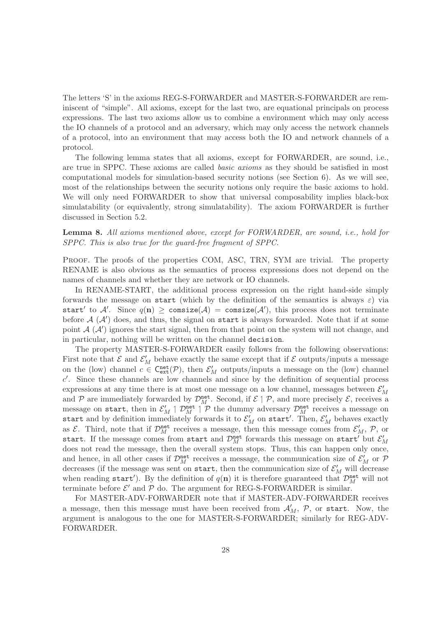The letters 'S' in the axioms REG-S-FORWARDER and MASTER-S-FORWARDER are reminiscent of "simple". All axioms, except for the last two, are equational principals on process expressions. The last two axioms allow us to combine a environment which may only access the IO channels of a protocol and an adversary, which may only access the network channels of a protocol, into an environment that may access both the IO and network channels of a protocol.

The following lemma states that all axioms, except for FORWARDER, are sound, i.e., are true in SPPC. These axioms are called basic axioms as they should be satisfied in most computational models for simulation-based security notions (see Section 6). As we will see, most of the relationships between the security notions only require the basic axioms to hold. We will only need FORWARDER to show that universal composability implies black-box simulatability (or equivalently, strong simulatability). The axiom FORWARDER is further discussed in Section 5.2.

## Lemma 8. All axioms mentioned above, except for FORWARDER, are sound, i.e., hold for SPPC. This is also true for the guard-free fragment of SPPC.

PROOF. The proofs of the properties COM, ASC, TRN, SYM are trivial. The property RENAME is also obvious as the semantics of process expressions does not depend on the names of channels and whether they are network or IO channels.

In RENAME-START, the additional process expression on the right hand-side simply forwards the message on start (which by the definition of the semantics is always  $\varepsilon$ ) via start' to A'. Since  $q(\mathbf{n}) \geq \mathtt{consize}(\mathcal{A}) = \mathtt{consize}(\mathcal{A}'),$  this process does not terminate before  $A(\mathcal{A}')$  does, and thus, the signal on start is always forwarded. Note that if at some point  $A(\mathcal{A})$  ignores the start signal, then from that point on the system will not change, and in particular, nothing will be written on the channel decision.

The property MASTER-S-FORWARDER easily follows from the following observations: First note that  $\mathcal E$  and  $\mathcal E_M'$  behave exactly the same except that if  $\mathcal E$  outputs/inputs a message on the (low) channel  $c \in C_{ext}^{net}(\mathcal{P})$ , then  $\mathcal{E}'_M$  outputs/inputs a message on the (low) channel  $c'$ . Since these channels are low channels and since by the definition of sequential process expressions at any time there is at most one message on a low channel, messages between  $\mathcal{E}'_M$ and  $P$  are immediately forwarded by  $\mathcal{D}_{M}^{\text{net}}$ . Second, if  $\mathcal{E} \upharpoonright P$ , and more precisely  $\mathcal{E}$ , receives a message on start, then in  $\mathcal{E}'_M \upharpoonright \mathcal{D}_M^{\text{net}} \upharpoonright \mathcal{P}$  the dummy adversary  $\mathcal{D}_M^{\text{net}}$  receives a message on start and by definition immediately forwards it to  $\mathcal{E}'_M$  on start'. Then,  $\mathcal{E}'_M$  behaves exactly as  $\mathcal{E}$ . Third, note that if  $\mathcal{D}_{M}^{\text{net}}$  receives a message, then this message comes from  $\mathcal{E}'_M$ ,  $\mathcal{P}$ , or start. If the message comes from start and  $\mathcal{D}_{M}^{\texttt{net}}$  forwards this message on start' but  $\mathcal{E}'_M$ does not read the message, then the overall system stops. Thus, this can happen only once, and hence, in all other cases if  $\mathcal{D}_{M}^{\text{net}}$  receives a message, the communication size of  $\mathcal{E}'_M$  or  $\mathcal{P}$ decreases (if the message was sent on start, then the communication size of  $\mathcal{E}'_M$  will decrease when reading start'). By the definition of  $q(\mathbf{n})$  it is therefore guaranteed that  $\mathcal{D}_{M}^{\text{net}}$  will not terminate before  $\mathcal{E}'$  and  $\mathcal{P}$  do. The argument for REG-S-FORWARDER is similar.

For MASTER-ADV-FORWARDER note that if MASTER-ADV-FORWARDER receives a message, then this message must have been received from  $\mathcal{A}'_M$ ,  $\mathcal{P}$ , or start. Now, the argument is analogous to the one for MASTER-S-FORWARDER; similarly for REG-ADV-FORWARDER.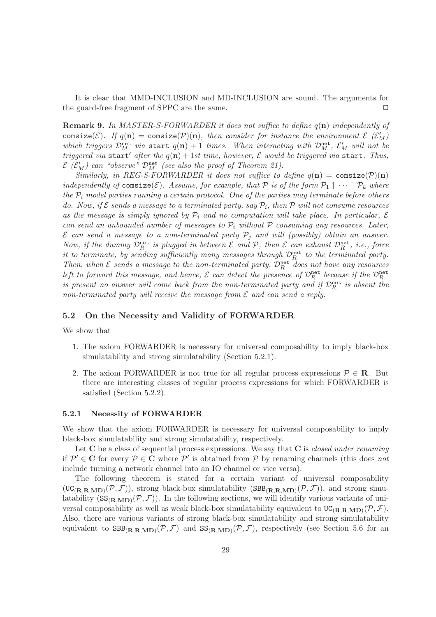It is clear that MMD-INCLUSION and MD-INCLUSION are sound. The arguments for the guard-free fragment of SPPC are the same.  $\Box$ 

**Remark 9.** In MASTER-S-FORWARDER it does not suffice to define  $q(n)$  independently of comsize( $\mathcal{E}$ ). If  $q(\mathbf{n}) = \text{consize}(\mathcal{P})(\mathbf{n})$ , then consider for instance the environment  $\mathcal{E}(\mathcal{E}'_M)$ which triggers  $\mathcal{D}_M^{\text{net}}$  via start  $q(\mathbf{n})+1$  times. When interacting with  $\mathcal{D}_M^{\text{net}}$ ,  $\mathcal{E}'_M$  will not be triggered via start' after the  $q(n) + 1$ st time, however,  $\mathcal E$  would be triggered via start. Thus,  $\mathcal{E}(\mathcal{E}'_M)$  can "observe"  $\mathcal{D}_M^{\text{net}}$  (see also the proof of Theorem 21).

Similarly, in REG-S-FORWARDER it does not suffice to define  $q(\mathbf{n}) = \text{consize}(\mathcal{P})(\mathbf{n})$ independently of comsize( $\mathcal{E}$ ). Assume, for example, that  $\mathcal{P}$  is of the form  $\mathcal{P}_1 \mid \cdots \mid \mathcal{P}_k$  where the  $P_i$  model parties running a certain protocol. One of the parties may terminate before others do. Now, if  $\mathcal E$  sends a message to a terminated party, say  $\mathcal P_i$ , then  $\mathcal P$  will not consume resources as the message is simply ignored by  $\mathcal{P}_i$  and no computation will take place. In particular,  $\mathcal E$ can send an unbounded number of messages to  $\mathcal{P}_i$  without  $\mathcal P$  consuming any resources. Later,  $\mathcal E$  can send a message to a non-terminated party  $\mathcal P_j$  and will (possibly) obtain an answer. Now, if the dummy  $\mathcal{D}_R^{\text{net}}$  is plugged in between  $\mathcal E$  and  $\mathcal P$ , then  $\mathcal E$  can exhaust  $\mathcal{D}_R^{\text{net}}$ , i.e., force Now, if the dammy  $\nu_R$  is pugged in between c and r, then c can exhaust  $\nu_R$ , i.e., force<br>it to terminate, by sending sufficiently many messages through  $\mathcal{D}_R^{\texttt{net}}$  to the terminated party. Then, when  $\mathcal E$  sends a message to the non-terminated party,  $\mathcal D_R^{\text{net}}$  does not have any resources left to forward this message, and hence,  $\mathcal E$  can detect the presence of  $\mathcal D^{\texttt{net}}_R$  because if the  $\mathcal D^{\texttt{net}}_R$ is present no answer will come back from the non-terminated party and if  $\mathcal{D}_R^{\texttt{net}}$  is absent the non-terminated party will receive the message from  $\mathcal E$  and can send a reply.

## 5.2 On the Necessity and Validity of FORWARDER

We show that

- 1. The axiom FORWARDER is necessary for universal composability to imply black-box simulatability and strong simulatability (Section 5.2.1).
- 2. The axiom FORWARDER is not true for all regular process expressions  $\mathcal{P} \in \mathbb{R}$ . But there are interesting classes of regular process expressions for which FORWARDER is satisfied (Section 5.2.2).

### 5.2.1 Necessity of FORWARDER

We show that the axiom FORWARDER is necessary for universal composability to imply black-box simulatability and strong simulatability, respectively.

Let  $C$  be a class of sequential process expressions. We say that  $C$  is *closed under renaming* if  $\mathcal{P}' \in \mathbb{C}$  for every  $\mathcal{P} \in \mathbb{C}$  where  $\mathcal{P}'$  is obtained from  $\mathcal{P}$  by renaming channels (this does not include turning a network channel into an IO channel or vice versa).

The following theorem is stated for a certain variant of universal composability  $(\text{UC}_{(R,R,\text{MD})}(\mathcal{P},\mathcal{F}))$ , strong black-box simulatability  $(\text{SBB}_{(R,R,\text{MD})}(\mathcal{P},\mathcal{F}))$ , and strong simulatability  $(\mathbf{SS}_{(R,MD)}(\mathcal{P}, \mathcal{F}))$ . In the following sections, we will identify various variants of universal composability as well as weak black-box simulatability equivalent to  $UC_{(R,R,MD)}(\mathcal{P},\mathcal{F})$ . Also, there are various variants of strong black-box simulatability and strong simulatability equivalent to  $SBB_{(R,R,MD)}(\mathcal{P}, \mathcal{F})$  and  $SS_{(R,MD)}(\mathcal{P}, \mathcal{F})$ , respectively (see Section 5.6 for an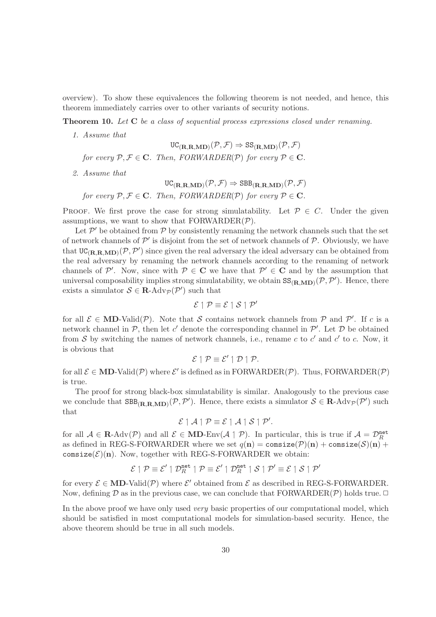overview). To show these equivalences the following theorem is not needed, and hence, this theorem immediately carries over to other variants of security notions.

**Theorem 10.** Let **C** be a class of sequential process expressions closed under renaming.

1. Assume that

 $\text{UC}_{(\mathbf{R},\mathbf{R},\mathbf{M}\mathbf{D})}(\mathcal{P},\mathcal{F}) \Rightarrow \text{SS}_{(\mathbf{R},\mathbf{M}\mathbf{D})}(\mathcal{P},\mathcal{F})$ 

for every  $P, \mathcal{F} \in \mathbf{C}$ . Then, FORWARDER(P) for every  $P \in \mathbf{C}$ .

2. Assume that

 $\text{UC}_{(\mathbf{R},\mathbf{R},\mathbf{M}\mathbf{D})}(\mathcal{P},\mathcal{F}) \Rightarrow \text{SBB}_{(\mathbf{R},\mathbf{R},\mathbf{M}\mathbf{D})}(\mathcal{P},\mathcal{F})$ for every  $P, \mathcal{F} \in \mathbf{C}$ . Then, FORWARDER(P) for every  $P \in \mathbf{C}$ .

PROOF. We first prove the case for strong simulatability. Let  $\mathcal{P} \in C$ . Under the given assumptions, we want to show that  $FORMARDER(\mathcal{P})$ .

Let  $\mathcal{P}'$  be obtained from  $\mathcal P$  by consistently renaming the network channels such that the set of network channels of  $\mathcal{P}'$  is disjoint from the set of network channels of  $\mathcal{P}$ . Obviously, we have that  $UC_{(R,R,MD)}(\mathcal{P}, \mathcal{P}')$  since given the real adversary the ideal adversary can be obtained from the real adversary by renaming the network channels according to the renaming of network channels of  $\mathcal{P}'$ . Now, since with  $\mathcal{P} \in \mathbf{C}$  we have that  $\mathcal{P}' \in \mathbf{C}$  and by the assumption that universal composability implies strong simulatability, we obtain  $SS_{(R,MD)}(\mathcal{P}, \mathcal{P}')$ . Hence, there exists a simulator  $S \in \mathbf{R}$ -Adv $p(\mathcal{P}')$  such that

$$
\mathcal{E} \upharpoonright \mathcal{P} \equiv \mathcal{E} \upharpoonright \mathcal{S} \upharpoonright \mathcal{P}'
$$

for all  $\mathcal{E} \in \text{MD-Valid}(\mathcal{P})$ . Note that S contains network channels from P and P'. If c is a network channel in  $P$ , then let c' denote the corresponding channel in  $P'$ . Let  $D$  be obtained from S by switching the names of network channels, i.e., rename c to  $c'$  and  $c'$  to c. Now, it is obvious that

$$
\mathcal{E} \upharpoonright \mathcal{P} \equiv \mathcal{E}' \upharpoonright \mathcal{D} \upharpoonright \mathcal{P}.
$$

for all  $\mathcal{E} \in \text{MD-Valid}(\mathcal{P})$  where  $\mathcal{E}'$  is defined as in FORWARDER $(\mathcal{P})$ . Thus, FORWARDER $(\mathcal{P})$ is true.

The proof for strong black-box simulatability is similar. Analogously to the previous case we conclude that  $SBB_{(R,R,MD)}(\mathcal{P}, \mathcal{P}')$ . Hence, there exists a simulator  $\mathcal{S} \in \mathbb{R}$ -Adv $p(\mathcal{P}')$  such that

$$
\mathcal{E} \upharpoonright \mathcal{A} \upharpoonright \mathcal{P} \equiv \mathcal{E} \upharpoonright \mathcal{A} \upharpoonright \mathcal{S} \upharpoonright \mathcal{P}'.
$$

for all  $A \in \mathbf{R}$ -Adv $(\mathcal{P})$  and all  $\mathcal{E} \in \mathbf{MD}\text{-}\text{Env}(\mathcal{A} \mid \mathcal{P})$ . In particular, this is true if  $\mathcal{A} = \mathcal{D}_R^{\text{net}}$ as defined in REG-S-FORWARDER where we set  $q(n) = \text{consize}(\mathcal{P})(n) + \text{consize}(\mathcal{S})(n) +$ comsize( $\mathcal{E}$ )(n). Now, together with REG-S-FORWARDER we obtain:

$$
\mathcal{E} \upharpoonleft \mathcal{P} \equiv \mathcal{E}' \upharpoonright \mathcal{D}^{\mathtt{net}}_R \upharpoonleft \mathcal{P} \equiv \mathcal{E}' \upharpoonright \mathcal{D}^{\mathtt{net}}_R \upharpoonright \mathcal{S} \upharpoonright \mathcal{P}' \equiv \mathcal{E} \upharpoonright \mathcal{S} \upharpoonright \mathcal{P}'
$$

for every  $\mathcal{E} \in \text{MD-Valid}(\mathcal{P})$  where  $\mathcal{E}'$  obtained from  $\mathcal{E}$  as described in REG-S-FORWARDER. Now, defining  $\mathcal D$  as in the previous case, we can conclude that FORWARDER( $\mathcal P$ ) holds true.  $\Box$ 

In the above proof we have only used *very* basic properties of our computational model, which should be satisfied in most computational models for simulation-based security. Hence, the above theorem should be true in all such models.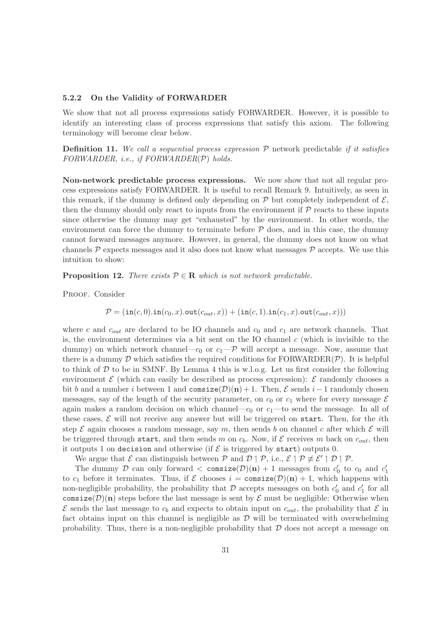#### 5.2.2 On the Validity of FORWARDER

We show that not all process expressions satisfy FORWARDER. However, it is possible to identify an interesting class of process expressions that satisfy this axiom. The following terminology will become clear below.

**Definition 11.** We call a sequential process expression  $P$  network predictable if it satisfies FORWARDER, i.e., if FORWARDER(P) holds.

Non-network predictable process expressions. We now show that not all regular process expressions satisfy FORWARDER. It is useful to recall Remark 9. Intuitively, as seen in this remark, if the dummy is defined only depending on  $P$  but completely independent of  $E$ , then the dummy should only react to inputs from the environment if  $P$  reacts to these inputs since otherwise the dummy may get "exhausted" by the environment. In other words, the environment can force the dummy to terminate before  $P$  does, and in this case, the dummy cannot forward messages anymore. However, in general, the dummy does not know on what channels  $P$  expects messages and it also does not know what messages  $P$  accepts. We use this intuition to show:

**Proposition 12.** There exists  $P \in \mathbb{R}$  which is not network predictable.

PROOF. Consider

$$
\mathcal{P} = (\texttt{in}(c,0).\texttt{in}(c_0,x).\texttt{out}(c_{out},x)) + (\texttt{in}(c,1).\texttt{in}(c_1,x).\texttt{out}(c_{out},x)))
$$

where c and  $c_{out}$  are declared to be IO channels and  $c_0$  and  $c_1$  are network channels. That is, the environment determines via a bit sent on the IO channel  $c$  (which is invisible to the dummy) on which network channel— $c_0$  or  $c_1$ — $\mathcal{P}$  will accept a message. Now, assume that there is a dummy D which satisfies the required conditions for  $FORMARDER(\mathcal{P})$ . It is helpful to think of  $D$  to be in SMNF. By Lemma 4 this is w.l.o.g. Let us first consider the following environment  $\mathcal E$  (which can easily be described as process expression):  $\mathcal E$  randomly chooses a bit b and a number i between 1 and comsize $(\mathcal{D})(n) + 1$ . Then,  $\mathcal E$  sends i – 1 randomly chosen messages, say of the length of the security parameter, on  $c_0$  or  $c_1$  where for every message  $\mathcal E$ again makes a random decision on which channel—c<sub>0</sub> or  $c_1$ —to send the message. In all of these cases,  $\mathcal E$  will not receive any answer but will be triggered on start. Then, for the *i*th step  $\mathcal E$  again chooses a random message, say m, then sends b on channel c after which  $\mathcal E$  will be triggered through start, and then sends m on  $c_b$ . Now, if  $\mathcal E$  receives m back on  $c_{out}$ , then it outputs 1 on decision and otherwise (if  $\mathcal E$  is triggered by start) outputs 0.

We argue that  $\mathcal E$  can distinguish between  $\mathcal P$  and  $\mathcal D \upharpoonright \mathcal P$ , i.e.,  $\mathcal E \upharpoonright \mathcal P \not\equiv \mathcal E' \upharpoonright \mathcal D \upharpoonright \mathcal P$ .

The dummy D can only forward  $\langle \text{consize}(D)(\mathbf{n}) + 1 \rangle$  messages from  $c'_0$  to  $c_0$  and  $c'_1$ to  $c_1$  before it terminates. Thus, if  $\mathcal E$  chooses  $i = \text{consize}(\mathcal D)(n) + 1$ , which happens with non-negligible probability, the probability that  $D$  accepts messages on both  $c'_0$  and  $c'_1$  for all comsize( $\mathcal{D}(\mathbf{n})$ ) steps before the last message is sent by  $\mathcal E$  must be negligible: Otherwise when  $\mathcal E$  sends the last message to  $c_b$  and expects to obtain input on  $c_{out}$ , the probability that  $\mathcal E$  in fact obtains input on this channel is negligible as  $D$  will be terminated with overwhelming probability. Thus, there is a non-negligible probability that  $D$  does not accept a message on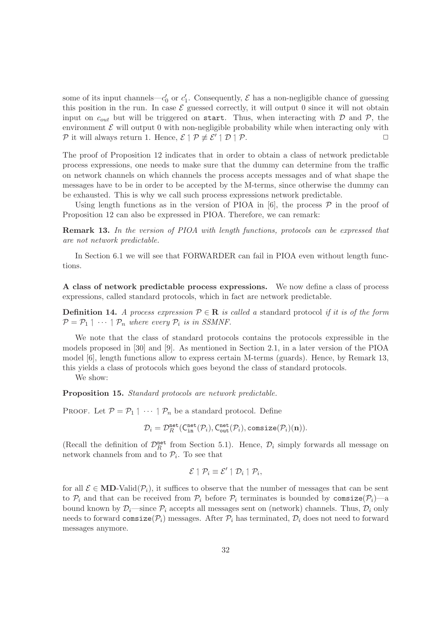some of its input channels— $c'_0$  or  $c'_1$ . Consequently,  $\mathcal E$  has a non-negligible chance of guessing this position in the run. In case  $\mathcal E$  guessed correctly, it will output 0 since it will not obtain input on  $c_{out}$  but will be triggered on start. Thus, when interacting with  $D$  and  $\mathcal{P}$ , the environment  $\mathcal E$  will output 0 with non-negligible probability while when interacting only with P it will always return 1. Hence,  $\mathcal{E} \upharpoonright \mathcal{P} \not\equiv \mathcal{E}' \upharpoonright \mathcal{D} \upharpoonright \mathcal{P}$ .

The proof of Proposition 12 indicates that in order to obtain a class of network predictable process expressions, one needs to make sure that the dummy can determine from the traffic on network channels on which channels the process accepts messages and of what shape the messages have to be in order to be accepted by the M-terms, since otherwise the dummy can be exhausted. This is why we call such process expressions network predictable.

Using length functions as in the version of PIOA in [6], the process  $P$  in the proof of Proposition 12 can also be expressed in PIOA. Therefore, we can remark:

Remark 13. In the version of PIOA with length functions, protocols can be expressed that are not network predictable.

In Section 6.1 we will see that FORWARDER can fail in PIOA even without length functions.

A class of network predictable process expressions. We now define a class of process expressions, called standard protocols, which in fact are network predictable.

**Definition 14.** A process expression  $P \in \mathbb{R}$  is called a standard protocol if it is of the form  $P = P_1 \mid \cdots \mid P_n$  where every  $P_i$  is in SSMNF.

We note that the class of standard protocols contains the protocols expressible in the models proposed in [30] and [9]. As mentioned in Section 2.1, in a later version of the PIOA model [6], length functions allow to express certain M-terms (guards). Hence, by Remark 13, this yields a class of protocols which goes beyond the class of standard protocols.

We show:

Proposition 15. Standard protocols are network predictable.

PROOF. Let  $P = P_1 \mid \cdots \mid P_n$  be a standard protocol. Define

$$
\mathcal{D}_i = \mathcal{D}^{\mathtt{net}}_R(\mathrm{C}^{\mathtt{net}}_{\mathtt{in}}(\mathcal{P}_i), \mathrm{C}^{\mathtt{net}}_{\mathtt{out}}(\mathcal{P}_i), \mathtt{comsize}(\mathcal{P}_i)(\mathbf{n})).
$$

(Recall the definition of  $\mathcal{D}_R^{\text{net}}$  from Section 5.1). Hence,  $\mathcal{D}_i$  simply forwards all message on network channels from and to  $\mathcal{P}_i$ . To see that

$$
\mathcal{E} \upharpoonright \mathcal{P}_i \equiv \mathcal{E}' \upharpoonright \mathcal{D}_i \upharpoonright \mathcal{P}_i,
$$

for all  $\mathcal{E} \in \text{MD-Valid}(\mathcal{P}_i)$ , it suffices to observe that the number of messages that can be sent to  $P_i$  and that can be received from  $P_i$  before  $P_i$  terminates is bounded by comsize( $P_i$ )—a bound known by  $\mathcal{D}_i$ —since  $\mathcal{P}_i$  accepts all messages sent on (network) channels. Thus,  $\mathcal{D}_i$  only needs to forward comsize( $\mathcal{P}_i$ ) messages. After  $\mathcal{P}_i$  has terminated,  $\mathcal{D}_i$  does not need to forward messages anymore.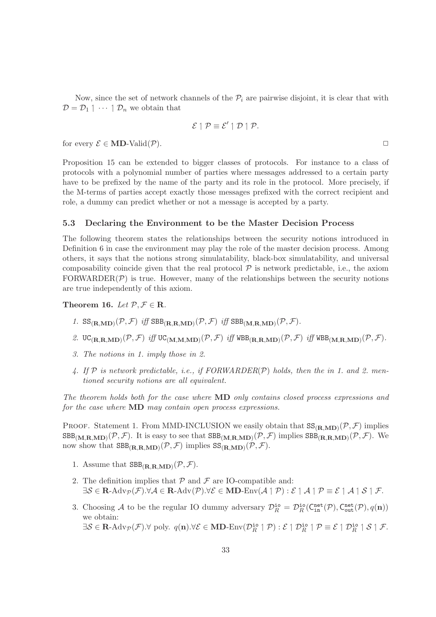Now, since the set of network channels of the  $\mathcal{P}_i$  are pairwise disjoint, it is clear that with  $\mathcal{D} = \mathcal{D}_1 \cap \cdots \cap \mathcal{D}_n$  we obtain that

$$
\mathcal{E} \upharpoonright \mathcal{P} \equiv \mathcal{E}' \upharpoonright \mathcal{D} \upharpoonright \mathcal{P}.
$$

for every  $\mathcal{E} \in \mathbf{MD}\text{-}\mathrm{Valid}(\mathcal{P}).$ 

Proposition 15 can be extended to bigger classes of protocols. For instance to a class of protocols with a polynomial number of parties where messages addressed to a certain party have to be prefixed by the name of the party and its role in the protocol. More precisely, if the M-terms of parties accept exactly those messages prefixed with the correct recipient and role, a dummy can predict whether or not a message is accepted by a party.

## 5.3 Declaring the Environment to be the Master Decision Process

The following theorem states the relationships between the security notions introduced in Definition 6 in case the environment may play the role of the master decision process. Among others, it says that the notions strong simulatability, black-box simulatability, and universal composability coincide given that the real protocol  $P$  is network predictable, i.e., the axiom  $FORMARDER(\mathcal{P})$  is true. However, many of the relationships between the security notions are true independently of this axiom.

Theorem 16. Let  $P, \mathcal{F} \in \mathbb{R}$ .

- 1.  $SS_{(R, MD)}(\mathcal{P}, \mathcal{F})$  iff  $SBB_{(R, R, MD)}(\mathcal{P}, \mathcal{F})$  iff  $SBB_{(M, R, MD)}(\mathcal{P}, \mathcal{F})$ .
- 2. UC $_{(\mathbf{R},\mathbf{R},\mathbf{MD})}(\mathcal{P},\mathcal{F})$  iff  $\mathtt{UC}_{(\mathbf{M},\mathbf{M},\mathbf{MD})}(\mathcal{P},\mathcal{F})$  iff  $\mathtt{WBB}_{(\mathbf{R},\mathbf{R},\mathbf{MD})}(\mathcal{P},\mathcal{F})$ .
- 3. The notions in 1. imply those in 2.
- 4. If  $\mathcal P$  is network predictable, i.e., if  $FORMARDER(\mathcal P)$  holds, then the in 1. and 2. mentioned security notions are all equivalent.

The theorem holds both for the case where **MD** only contains closed process expressions and for the case where MD may contain open process expressions.

PROOF. Statement 1. From MMD-INCLUSION we easily obtain that  $SS_{(R,MD)}(\mathcal{P}, \mathcal{F})$  implies  $\text{SBB}_{(\mathbf{M},\mathbf{R},\mathbf{M}\mathbf{D})}(\mathcal{P},\mathcal{F})$ . It is easy to see that  $\text{SBB}_{(\mathbf{M},\mathbf{R},\mathbf{M}\mathbf{D})}(\mathcal{P},\mathcal{F})$  implies  $\text{SBB}_{(\mathbf{R},\mathbf{R},\mathbf{M}\mathbf{D})}(\mathcal{P},\mathcal{F})$ . We now show that  $\text{SBB}_{(\mathbf{R},\mathbf{R},\mathbf{MD})}(\mathcal{P},\mathcal{F})$  implies  $\text{SS}_{(\mathbf{R},\mathbf{MD})}(\mathcal{P},\mathcal{F})$ .

- 1. Assume that  $\text{SBB}_{(\mathbf{R},\mathbf{R},\mathbf{MD})}(\mathcal{P},\mathcal{F})$ .
- 2. The definition implies that  $P$  and  $\mathcal F$  are IO-compatible and:  $\exists \mathcal{S} \in \mathbf{R}$ -Adv $p(\mathcal{F}).\forall \mathcal{A} \in \mathbf{R}$ -Adv $(\mathcal{P}).\forall \mathcal{E} \in \mathbf{MD}\text{-}\mathrm{Env}(\mathcal{A} \mid \mathcal{P}) : \mathcal{E} \mid \mathcal{A} \mid \mathcal{P} \equiv \mathcal{E} \mid \mathcal{A} \mid \mathcal{S} \mid \mathcal{F}.$
- 3. Choosing A to be the regular IO dummy adversary  $\mathcal{D}_R^{\text{io}} = \mathcal{D}_R^{\text{io}}(\text{Cat}(\mathcal{P}), \text{Cat}(\mathcal{P}), q(\mathbf{n}))$ we obtain:

 $\exists \mathcal{S} \in \mathbf{R}$ -Adv $p(\mathcal{F})$ . $\forall$  poly.  $q(\mathbf{n})$ . $\forall \mathcal{E} \in \mathbf{MD}$ -Env $(\mathcal{D}_R^{\text{io}} \upharpoonright \mathcal{P})$ :  $\mathcal{E} \upharpoonright \mathcal{D}_R^{\text{io}} \upharpoonright \mathcal{P} \equiv \mathcal{E} \upharpoonright \mathcal{D}_R^{\text{io}} \upharpoonright \mathcal{S} \upharpoonright \mathcal{F}$ .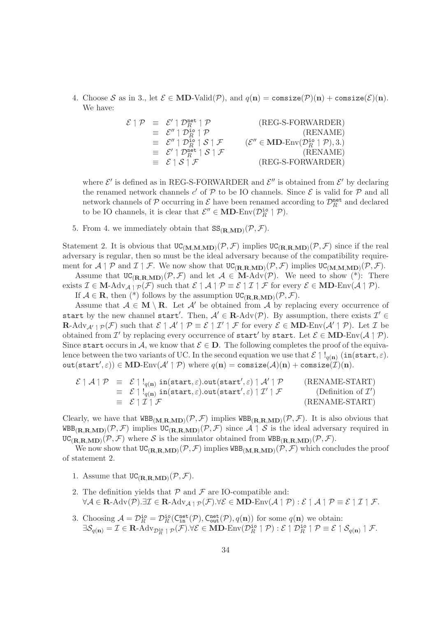4. Choose S as in 3., let  $\mathcal{E} \in \text{MD-Valid}(\mathcal{P})$ , and  $q(\mathbf{n}) = \text{consize}(\mathcal{P})(\mathbf{n}) + \text{consize}(\mathcal{E})(\mathbf{n})$ . We have:

$$
\mathcal{E} \uparrow \mathcal{P} \equiv \mathcal{E}' \uparrow \mathcal{D}_R^{\text{net}} \uparrow \mathcal{P}
$$
\n(REG-S-FORWARDER)  
\n
$$
\equiv \mathcal{E}'' \uparrow \mathcal{D}_R^{\text{io}} \uparrow \mathcal{P}
$$
\n(REG-S-FORWARDER)  
\n
$$
\equiv \mathcal{E}'' \uparrow \mathcal{D}_R^{\text{io}} \uparrow \mathcal{S} \uparrow \mathcal{F}
$$
\n(RENAME)  
\n
$$
\equiv \mathcal{E}' \uparrow \mathcal{D}_R^{\text{net}} \uparrow \mathcal{S} \uparrow \mathcal{F}
$$
\n(REG-S-FORWARDER)  
\n(RENAME)  
\n(REG-S-FORWARDER)

where  $\mathcal{E}'$  is defined as in REG-S-FORWARDER and  $\mathcal{E}''$  is obtained from  $\mathcal{E}'$  by declaring the renamed network channels  $c'$  of  $P$  to be IO channels. Since  $\mathcal E$  is valid for  $P$  and all network channels of  $P$  occurring in  $\mathcal E$  have been renamed according to  $\mathcal D^{\texttt{net}}_R$  and declared to be IO channels, it is clear that  $\mathcal{E}'' \in \textbf{MD-Env}(\mathcal{D}_R^{io} \uparrow \mathcal{P})$ .

5. From 4. we immediately obtain that  $SS_{(R, MD)}(\mathcal{P}, \mathcal{F})$ .

Statement 2. It is obvious that  $UC_{(M,M,MD)}(\mathcal{P}, \mathcal{F})$  implies  $UC_{(R,R,MD)}(\mathcal{P}, \mathcal{F})$  since if the real adversary is regular, then so must be the ideal adversary because of the compatibility requirement for  $\mathcal{A} \uparrow \mathcal{P}$  and  $\mathcal{I} \uparrow \mathcal{F}$ . We now show that  $UC_{(R,R,MD)}(\mathcal{P}, \mathcal{F})$  implies  $UC_{(M,M,MD)}(\mathcal{P}, \mathcal{F})$ .

Assume that  $UC_{(R,R,MD)}(\mathcal{P}, \mathcal{F})$  and let  $\mathcal{A} \in M$ -Adv $(\mathcal{P})$ . We need to show  $(*)$ : There exists  $\mathcal{I} \in \mathbf{M}\text{-}\mathrm{Adv}_{\mathcal{A} \uparrow \mathcal{P}}(\mathcal{F})$  such that  $\mathcal{E} \uparrow \mathcal{A} \uparrow \mathcal{P} \equiv \mathcal{E} \uparrow \mathcal{I} \uparrow \mathcal{F}$  for every  $\mathcal{E} \in \mathbf{MD}\text{-}\mathrm{Env}(\mathcal{A} \uparrow \mathcal{P})$ .

If  $A \in \mathbf{R}$ , then (\*) follows by the assumption  $UC_{(\mathbf{R}, \mathbf{R}, \mathbf{MD})}(P, \mathcal{F})$ .

Assume that  $A \in M \setminus R$ . Let A' be obtained from A by replacing every occurrence of start by the new channel start'. Then,  $\mathcal{A}' \in \mathbf{R}$ -Adv $(\mathcal{P})$ . By assumption, there exists  $\mathcal{I}' \in$  $\mathbf{R}\text{-}\mathrm{Adv}_{\mathcal{A}'\uparrow\mathcal{P}}(\mathcal{F})$  such that  $\mathcal{E}\uparrow \mathcal{A}'\uparrow \mathcal{P} \equiv \mathcal{E}\uparrow \mathcal{I}'\uparrow \mathcal{F}$  for every  $\mathcal{E} \in \mathbf{MD}\text{-}\mathrm{Env}(\mathcal{A}'\uparrow \mathcal{P})$ . Let  $\mathcal{I}$  be obtained from  $\mathcal{I}'$  by replacing every occurrence of start' by start. Let  $\mathcal{E} \in \text{MD-Env}(\mathcal{A} \mid \mathcal{P})$ . Since start occurs in A, we know that  $\mathcal{E} \in \mathbf{D}$ . The following completes the proof of the equivalence between the two variants of UC. In the second equation we use that  $\mathcal{E} \upharpoonleft \frac{1}{q(n)} (\texttt{in}(\texttt{start},\varepsilon)).$  $\texttt{out}(\texttt{start}',\varepsilon)) \in \textbf{MD-Env}(\mathcal{A}' \mid \mathcal{P}) \text{ where } q(\mathbf{n}) = \texttt{consize}(\mathcal{A})(\mathbf{n}) + \texttt{consize}(\mathcal{I})(\mathbf{n}).$ 

$$
\mathcal{E} \uparrow \mathcal{A} \uparrow \mathcal{P} \equiv \mathcal{E} \uparrow \downarrow_{q(\mathbf{n})} \text{in}(\text{start}, \varepsilon). \text{out}(\text{start}', \varepsilon) \uparrow \mathcal{A}' \uparrow \mathcal{P} \qquad (\text{RENAME-START})
$$
  
\n
$$
\equiv \mathcal{E} \uparrow \downarrow_{q(\mathbf{n})} \text{in}(\text{start}, \varepsilon). \text{out}(\text{start}', \varepsilon) \uparrow \mathcal{I}' \uparrow \mathcal{F} \qquad (\text{Definition of } \mathcal{I}')
$$
  
\n
$$
\equiv \mathcal{E} \uparrow \mathcal{I} \uparrow \mathcal{F} \qquad (\text{RENAME-START})
$$

Clearly, we have that  $WBB_{(M,R,MD)}(\mathcal{P}, \mathcal{F})$  implies  $WBB_{(R,R,MD)}(\mathcal{P}, \mathcal{F})$ . It is also obvious that  $WBB_{(R,R,MD)}(\mathcal{P}, \mathcal{F})$  implies  $UC_{(R,R,MD)}(\mathcal{P}, \mathcal{F})$  since  $\mathcal{A} \upharpoonright \mathcal{S}$  is the ideal adversary required in  $\text{UC}_{(R,R,\text{M}D)}(\mathcal{P},\mathcal{F})$  where S is the simulator obtained from  $\text{WBB}_{(R,R,\text{M}D)}(\mathcal{P},\mathcal{F})$ .

We now show that  $\mathrm{UC}_{(R,R,\mathbf{MD})}(\mathcal{P},\mathcal{F})$  implies  $\texttt{WBB}_{(M,R,\mathbf{MD})}(\mathcal{P},\mathcal{F})$  which concludes the proof of statement 2.

- 1. Assume that  $UC_{(R,R,\text{MD})}(\mathcal{P},\mathcal{F})$ .
- 2. The definition yields that  $P$  and  $\mathcal F$  are IO-compatible and:  $\forall A \in \mathbf{R}.\text{Adv}(\mathcal{P}).\exists \mathcal{I} \in \mathbf{R}.\text{Adv}_{\mathcal{A} \perp \mathcal{P}}(\mathcal{F}).\forall \mathcal{E} \in \mathbf{MD}\text{-}\text{Env}(\mathcal{A} \perp \mathcal{P}):\mathcal{E} \perp \mathcal{A} \perp \mathcal{P} \equiv \mathcal{E} \perp \mathcal{I} \perp \mathcal{F}.$
- 3. Choosing  $\mathcal{A} = \mathcal{D}_R^{\text{io}} = \mathcal{D}_R^{\text{io}}(\mathcal{C}_{\text{in}}^{\text{net}}(\mathcal{P}), \mathcal{C}_{\text{out}}^{\text{net}}(\mathcal{P}), q(\mathbf{n}))$  for some  $q(\mathbf{n})$  we obtain:  $\exists \mathcal{S}_{q(\mathbf{n})} = \mathcal{I} \in \mathbf{R}$ -Adv $_{\mathcal{D}_R^{\text{io}}} \uparrow \mathcal{P}(\mathcal{F})$ . $\forall \mathcal{E} \in \mathbf{MD}$ -Env $(\mathcal{D}_R^{\text{io}} \uparrow \mathcal{P}) : \mathcal{E} \uparrow \mathcal{D}_R^{\text{io}} \uparrow \mathcal{P} \equiv \mathcal{E} \uparrow \mathcal{S}_{q(\mathbf{n})} \uparrow \mathcal{F}$ .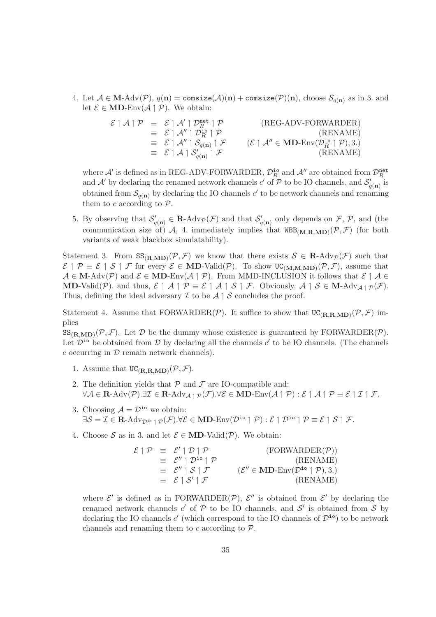4. Let  $\mathcal{A} \in \mathbf{M}\text{-}\mathrm{Adv}(\mathcal{P}), q(\mathbf{n}) = \text{consize}(\mathcal{A})(\mathbf{n}) + \text{consize}(\mathcal{P})(\mathbf{n}), \text{choose } \mathcal{S}_{q(\mathbf{n})} \text{ as in 3. and}$ let  $\mathcal{E} \in \text{MD-Env}(\mathcal{A} \mid \mathcal{P})$ . We obtain:

$$
\mathcal{E} \uparrow \mathcal{A} \uparrow \mathcal{P} \equiv \mathcal{E} \uparrow \mathcal{A}' \uparrow \mathcal{D}_R^{\text{net}} \uparrow \mathcal{P}
$$
\n(REG-ADV-FORWARDER)  
\n
$$
\equiv \mathcal{E} \uparrow \mathcal{A}'' \uparrow \mathcal{D}_R^{\text{io}} \uparrow \mathcal{P}
$$
\n(REG-ADV-FORWARDER)  
\n
$$
\equiv \mathcal{E} \uparrow \mathcal{A}'' \uparrow \mathcal{S}_{q(\mathbf{n})} \uparrow \mathcal{F}
$$
\n
$$
\mathcal{E} \uparrow \mathcal{A}'' \in \mathbf{MD\text{-}Env}(\mathcal{D}_R^{\text{io}} \uparrow \mathcal{P}), 3.)
$$
\n(RENAME)  
\n(RENAME)

where  $\mathcal{A}'$  is defined as in REG-ADV-FORWARDER,  $\mathcal{D}_R^{io}$  and  $\mathcal{A}''$  are obtained from  $\mathcal{D}_R^{net}$ and  $\mathcal{A}'$  by declaring the renamed network channels  $c'$  of  $\mathcal P$  to be IO channels, and  $\mathcal{S}'_{q(n)}$  is obtained from  $\mathcal{S}_{q(n)}$  by declaring the IO channels c' to be network channels and renaming them to c according to  $\mathcal{P}$ .

5. By observing that  $\mathcal{S}'_{q(n)} \in \mathbf{R}$ -Adv $p(\mathcal{F})$  and that  $\mathcal{S}'_{q(n)}$  only depends on  $\mathcal{F}, \mathcal{P}$ , and (the communication size of) A, 4. immediately implies that  $WBB_{(M,R,MD)}(\mathcal{P},\mathcal{F})$  (for both variants of weak blackbox simulatability).

Statement 3. From  $SS_{(R, MD)}(\mathcal{P}, \mathcal{F})$  we know that there exists  $\mathcal{S} \in R$ -Adv $p(\mathcal{F})$  such that  $\mathcal{E} \upharpoonright \mathcal{P} \equiv \mathcal{E} \upharpoonright \mathcal{S} \upharpoonright \mathcal{F}$  for every  $\mathcal{E} \in \text{MD-Valid}(\mathcal{P}).$  To show  $\text{UC}_{(M,M,\text{MD})}(\mathcal{P},\mathcal{F})$ , assume that  $A \in M$ -Adv $(\mathcal{P})$  and  $\mathcal{E} \in \text{MD-Env}(\mathcal{A} \mid \mathcal{P})$ . From MMD-INCLUSION it follows that  $\mathcal{E} \mid \mathcal{A} \in$ **MD**-Valid(P), and thus,  $\mathcal{E} \uparrow \mathcal{A} \uparrow \mathcal{P} \equiv \mathcal{E} \uparrow \mathcal{A} \uparrow \mathcal{S} \uparrow \mathcal{F}$ . Obviously,  $\mathcal{A} \uparrow \mathcal{S} \in M$ -Adv $_{A \uparrow \mathcal{P}}(\mathcal{F})$ . Thus, defining the ideal adversary  $\mathcal I$  to be  $\mathcal A$  |  $\mathcal S$  concludes the proof.

Statement 4. Assume that FORWARDER(P). It suffice to show that  $UC_{(R,R,MD)}(\mathcal{P},\mathcal{F})$  implies

 $SS_{(R, MD)}(\mathcal{P}, \mathcal{F})$ . Let  $\mathcal D$  be the dummy whose existence is guaranteed by FORWARDER( $\mathcal P$ ). Let  $\mathcal{D}^{io}$  be obtained from  $\mathcal D$  by declaring all the channels  $c'$  to be IO channels. (The channels  $c$  occurring in  $D$  remain network channels).

- 1. Assume that  $UC_{(R,R,\text{MD})}(\mathcal{P},\mathcal{F})$ .
- 2. The definition yields that  $P$  and  $\mathcal F$  are IO-compatible and:  $\forall A \in \mathbf{R}$ -Adv $(\mathcal{P}).\exists \mathcal{I} \in \mathbf{R}$ -Adv $_{\mathcal{A} \uparrow \mathcal{P}}(\mathcal{F}).\forall \mathcal{E} \in \mathbf{MD}\text{-}\mathrm{Env}(\mathcal{A} \uparrow \mathcal{P}) : \mathcal{E} \uparrow \mathcal{A} \uparrow \mathcal{P} \equiv \mathcal{E} \uparrow \mathcal{I} \uparrow \mathcal{F}$ .
- 3. Choosing  $A = \mathcal{D}^{i\circ}$  we obtain:  $\exists \mathcal{S} = \mathcal{I} \in \mathbf{R}$ -Adv<sub>D</sub><sub>io 1</sub> p(*F*). $\forall \mathcal{E} \in \mathbf{MD}$ -Env( $\mathcal{D}^{io} \upharpoonright \mathcal{P}$ ) :  $\mathcal{E} \upharpoonright \mathcal{D}^{io} \upharpoonright \mathcal{P} \equiv \mathcal{E} \upharpoonright \mathcal{S} \upharpoonright \mathcal{F}$ .
- 4. Choose S as in 3. and let  $\mathcal{E} \in \text{MD-Valid}(\mathcal{P})$ . We obtain:

|  | $\mathcal{E} \upharpoonright \mathcal{P} \equiv \mathcal{E}' \upharpoonright \mathcal{D} \upharpoonright \mathcal{P}$ | $(FORWARDER(\mathcal{P}))$                                                                                |
|--|-----------------------------------------------------------------------------------------------------------------------|-----------------------------------------------------------------------------------------------------------|
|  | $\equiv \mathcal{E}'' \mid \mathcal{D}^{io} \mid \mathcal{P}$                                                         | (RENAME)                                                                                                  |
|  | $\equiv \mathcal{E}''$ 1 $\mathcal{S}$ 1 $\mathcal{F}$                                                                | $(\mathcal{E}^{\prime\prime} \in \text{MD-Env}(\mathcal{D}^{\text{io}} \upharpoonright \mathcal{P}), 3.)$ |
|  | $\equiv$ $\mathcal{E} \mid \mathcal{S}' \mid \mathcal{F}$                                                             | (RENAME)                                                                                                  |

where  $\mathcal{E}'$  is defined as in FORWARDER(P),  $\mathcal{E}''$  is obtained from  $\mathcal{E}'$  by declaring the renamed network channels  $c'$  of  $P$  to be IO channels, and  $S'$  is obtained from S by declaring the IO channels  $c'$  (which correspond to the IO channels of  $\mathcal{D}^{io}$ ) to be network channels and renaming them to c according to  $P$ .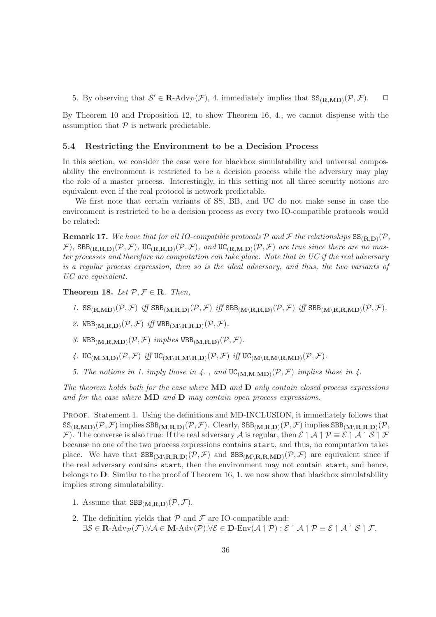5. By observing that  $\mathcal{S}' \in \mathbf{R}$ -Adv $p(\mathcal{F})$ , 4. immediately implies that  $SS_{(\mathbf{R},\mathbf{MD})}(\mathcal{P},\mathcal{F})$ .  $\Box$ 

By Theorem 10 and Proposition 12, to show Theorem 16, 4., we cannot dispense with the assumption that  $P$  is network predictable.

#### 5.4 Restricting the Environment to be a Decision Process

In this section, we consider the case were for blackbox simulatability and universal composability the environment is restricted to be a decision process while the adversary may play the role of a master process. Interestingly, in this setting not all three security notions are equivalent even if the real protocol is network predictable.

We first note that certain variants of SS, BB, and UC do not make sense in case the environment is restricted to be a decision process as every two IO-compatible protocols would be related:

**Remark 17.** We have that for all IO-compatible protocols  $P$  and  $F$  the relationships  $SS_{(R,D)}(P, P)$  $(\mathcal{F})$ , SBB<sub>(R,R,D)</sub>( $\mathcal{P}, \mathcal{F}$ ), UC<sub>(R,R,D)</sub>( $\mathcal{P}, \mathcal{F}$ ), and UC<sub>(R,M,D)</sub>( $\mathcal{P}, \mathcal{F}$ ) are true since there are no master processes and therefore no computation can take place. Note that in UC if the real adversary is a regular process expression, then so is the ideal adversary, and thus, the two variants of UC are equivalent.

Theorem 18. Let  $P, \mathcal{F} \in \mathbb{R}$ . Then,

- 1. SS<sub>(R,MD)</sub> $(\mathcal{P}, \mathcal{F})$  iff SBB<sub>(M,R,D)</sub> $(\mathcal{P}, \mathcal{F})$  iff SBB<sub>(M\R,R,D)</sub> $(\mathcal{P}, \mathcal{F})$  iff SBB<sub>(M\R,R,MD)</sub> $(\mathcal{P}, \mathcal{F})$ .
- 2.  $WBB_{(M,R,D)}(\mathcal{P},\mathcal{F})$  iff  $WBB_{(M\setminus R,R,D)}(\mathcal{P},\mathcal{F})$ .
- 3. WBB<sub>(M,R,MD)</sub> $(\mathcal{P}, \mathcal{F})$  implies WBB<sub>(M,R,D)</sub> $(\mathcal{P}, \mathcal{F})$ .
- 4.  $UC_{(\mathbf{M},\mathbf{M},\mathbf{D})}(\mathcal{P},\mathcal{F})$  iff  $UC_{(\mathbf{M}\backslash\mathbf{R},\mathbf{M}\backslash\mathbf{R},\mathbf{D})}(\mathcal{P},\mathcal{F})$  iff  $UC_{(\mathbf{M}\backslash\mathbf{R},\mathbf{M}\backslash\mathbf{R},\mathbf{M}\mathbf{D})}(\mathcal{P},\mathcal{F})$ .
- 5. The notions in 1. imply those in 4., and  $\mathrm{UC}_{(\mathbf{M},\mathbf{M},\mathbf{MD})}(\mathcal{P},\mathcal{F})$  implies those in 4.

The theorem holds both for the case where  $MD$  and  $D$  only contain closed process expressions and for the case where  $MD$  and  $D$  may contain open process expressions.

PROOF. Statement 1. Using the definitions and MD-INCLUSION, it immediately follows that  $\text{SS}_{(R, MD)}(\mathcal{P}, \mathcal{F})$  implies  $\text{SBB}_{(M, R, D)}(\mathcal{P}, \mathcal{F})$ . Clearly,  $\text{SBB}_{(M, R, D)}(\mathcal{P}, \mathcal{F})$  implies  $\text{SBB}_{(M \setminus R, R, D)}(\mathcal{P}, \mathcal{F})$ F). The converse is also true: If the real adversary A is regular, then  $\mathcal{E} \uparrow \mathcal{A} \uparrow \mathcal{P} \equiv \mathcal{E} \uparrow \mathcal{A} \uparrow \mathcal{S} \uparrow \mathcal{F}$ because no one of the two process expressions contains start, and thus, no computation takes place. We have that  $\text{SBB}_{(\mathbf{M}\backslash\mathbf{R},\mathbf{R},\mathbf{D})}(\mathcal{P},\mathcal{F})$  and  $\text{SBB}_{(\mathbf{M}\backslash\mathbf{R},\mathbf{R},\mathbf{M}\mathbf{D})}(\mathcal{P},\mathcal{F})$  are equivalent since if the real adversary contains start, then the environment may not contain start, and hence, belongs to  $\bf{D}$ . Similar to the proof of Theorem 16, 1. we now show that blackbox simulatability implies strong simulatability.

- 1. Assume that  $\texttt{SBB}_{(\mathbf{M},\mathbf{R},\mathbf{D})}(\mathcal{P},\mathcal{F})$ .
- 2. The definition yields that  $P$  and  $\mathcal F$  are IO-compatible and:  $\exists \mathcal{S} \in \mathbf{R}$ -Adv $_{\mathcal{P}}(\mathcal{F})$ . $\forall \mathcal{A} \in \mathbf{M}$ -Adv $(\mathcal{P})$ . $\forall \mathcal{E} \in \mathbf{D}$ -Env $(\mathcal{A} \uparrow \mathcal{P}) : \mathcal{E} \uparrow \mathcal{A} \uparrow \mathcal{P} \equiv \mathcal{E} \uparrow \mathcal{A} \uparrow \mathcal{S} \uparrow \mathcal{F}$ .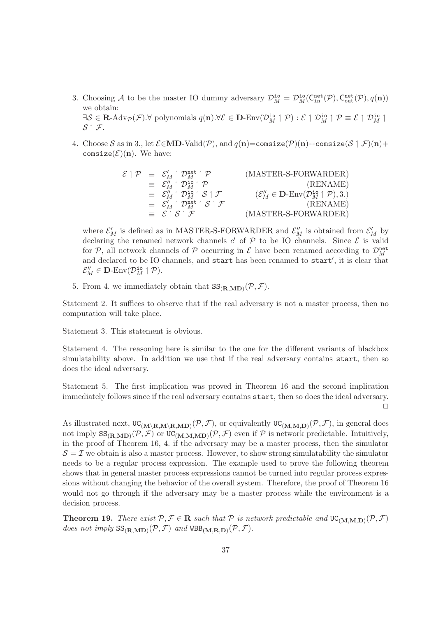- 3. Choosing A to be the master IO dummy adversary  $\mathcal{D}_M^{\text{io}} = \mathcal{D}_M^{\text{io}}(\mathcal{C}_{\text{in}}^{\text{net}}(\mathcal{P}), \mathcal{C}_{\text{out}}^{\text{net}}(\mathcal{P}), q(\mathbf{n}))$ we obtain:  $\exists \mathcal{S} \in \mathbf{R}$ -Adv $p(\mathcal{F}).\forall$  polynomials  $q(\mathbf{n}).\forall \mathcal{E} \in \mathbf{D}$ -Env $(\mathcal{D}_M^{\text{io}} \uparrow \mathcal{P}) : \mathcal{E} \uparrow \mathcal{D}_M^{\text{io}} \uparrow \mathcal{P} \equiv \mathcal{E} \uparrow \mathcal{D}_M^{\text{io}} \uparrow$  $S \perp \mathcal{F}$ .
- 4. Choose S as in 3., let  $\mathcal{E} \in \mathbf{MD}\text{-}\mathrm{Valid}(\mathcal{P})$ , and  $q(\mathbf{n}) = \text{consize}(\mathcal{P})(\mathbf{n}) + \text{consize}(\mathcal{S} \mid \mathcal{F})(\mathbf{n}) +$ comsize( $\mathcal{E}$ )(n). We have:

 $\mathcal{E} \upharpoonright \mathcal{P} \equiv \mathcal{E}'_M \upharpoonright \mathcal{D}_M^{\text{net}} \upharpoonright \mathcal{P}$  (MASTER-S-FORWARDER)  $\equiv \mathcal{E}''_M \upharpoonright \mathcal{D}^{\text{io}}_M \upharpoonright \mathcal{P}$  (RENAME)  $\equiv \mathcal{E}_M'' \upharpoonright \mathcal{D}_M^{\text{io}} \upharpoonright \mathcal{S} \upharpoonright \mathcal{F}$   $(\mathcal{E}_M'' \in \mathbf{D}\text{-}\text{Env}(\mathcal{D}_M^{\text{io}} \upharpoonright \mathcal{P}), 3.)$  $\equiv \mathcal{E}'_M \upharpoonleft \mathcal{D}_M^{\text{net}} \upharpoonright \mathcal{S} \upharpoonright \mathcal{F}$  (RENAME)  $\equiv \mathcal{E} \upharpoonright \mathcal{S} \upharpoonright \mathcal{F}$  (MASTER-S-FORWARDER)

where  $\mathcal{E}'_M$  is defined as in MASTER-S-FORWARDER and  $\mathcal{E}''_M$  is obtained from  $\mathcal{E}'_M$  by declaring the renamed network channels  $c'$  of  $P$  to be IO channels. Since  $\mathcal E$  is valid for  $P$ , all network channels of  $P$  occurring in  $\mathcal E$  have been renamed according to  $\mathcal D_M^{\text{net}}$ and declared to be IO channels, and start has been renamed to start′ , it is clear that  $\mathcal{E}_M^{\prime\prime} \in \mathbf{D}\text{-}\mathrm{Env}(\mathcal{D}_M^{\text{io}} \upharpoonright \mathcal{P}).$ 

5. From 4. we immediately obtain that  $SS_{(R, MD)}(\mathcal{P}, \mathcal{F})$ .

Statement 2. It suffices to observe that if the real adversary is not a master process, then no computation will take place.

Statement 3. This statement is obvious.

Statement 4. The reasoning here is similar to the one for the different variants of blackbox simulatability above. In addition we use that if the real adversary contains start, then so does the ideal adversary.

Statement 5. The first implication was proved in Theorem 16 and the second implication immediately follows since if the real adversary contains start, then so does the ideal adversary.  $\Box$ 

As illustrated next,  $UC_{(M\setminus R,M\setminus R,MD)}(\mathcal{P},\mathcal{F})$ , or equivalently  $UC_{(M,M,D)}(\mathcal{P},\mathcal{F})$ , in general does not imply  $SS_{(R,MD)}(\mathcal{P}, \mathcal{F})$  or  $UC_{(M, M, MD)}(\mathcal{P}, \mathcal{F})$  even if  $\mathcal P$  is network predictable. Intuitively, in the proof of Theorem 16, 4. if the adversary may be a master process, then the simulator  $\mathcal{S} = \mathcal{I}$  we obtain is also a master process. However, to show strong simulatability the simulator needs to be a regular process expression. The example used to prove the following theorem shows that in general master process expressions cannot be turned into regular process expressions without changing the behavior of the overall system. Therefore, the proof of Theorem 16 would not go through if the adversary may be a master process while the environment is a decision process.

**Theorem 19.** There exist  $P, F \in \mathbf{R}$  such that  $P$  is network predictable and  $UC_{(M,M,D)}(P, F)$ does not imply  $SS_{(R,MD)}(\mathcal{P}, \mathcal{F})$  and  $WBB_{(M,R,D)}(\mathcal{P}, \mathcal{F})$ .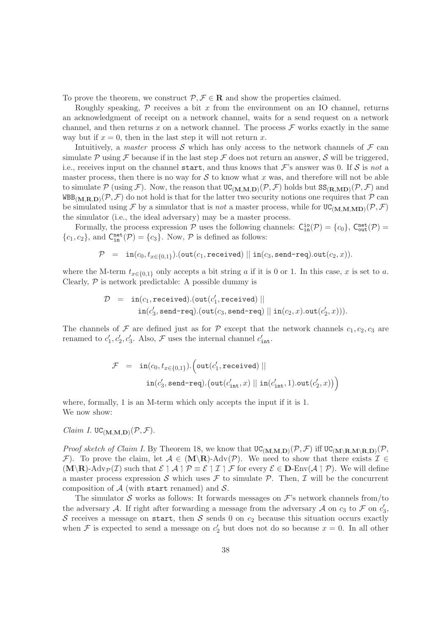To prove the theorem, we construct  $\mathcal{P}, \mathcal{F} \in \mathbf{R}$  and show the properties claimed.

Roughly speaking,  $P$  receives a bit x from the environment on an IO channel, returns an acknowledgment of receipt on a network channel, waits for a send request on a network channel, and then returns x on a network channel. The process  $\mathcal F$  works exactly in the same way but if  $x = 0$ , then in the last step it will not return x.

Intuitively, a master process S which has only access to the network channels of  $\mathcal F$  can simulate P using F because if in the last step F does not return an answer, S will be triggered, i.e., receives input on the channel start, and thus knows that  $\mathcal{F}$ 's answer was 0. If  $\mathcal{S}$  is not a master process, then there is no way for  $S$  to know what x was, and therefore will not be able to simulate  $P$  (using  $\mathcal{F}$ ). Now, the reason that  $\mathrm{UC}_{(\mathbf{M},\mathbf{M},\mathbf{D})}(P,\mathcal{F})$  holds but  $SS_{(\mathbf{R},\mathbf{M}\mathbf{D})}(P,\mathcal{F})$  and  $WBB_{(M,R,D)}(\mathcal{P},\mathcal{F})$  do not hold is that for the latter two security notions one requires that  $\mathcal P$  can be simulated using F by a simulator that is *not* a master process, while for  $UC_{(M,M,MD)}(\mathcal{P}, \mathcal{F})$ the simulator (i.e., the ideal adversary) may be a master process.

Formally, the process expression  $P$  uses the following channels:  $C_{in}^{io}(P) = \{c_0\}$ ,  $C_{out}^{net}(P) =$  ${c_1, c_2}$ , and  $C_{in}^{net}(\mathcal{P}) = {c_3}$ . Now,  $\mathcal P$  is defined as follows:

$$
\mathcal{P} \quad = \quad \texttt{in}(c_0, t_{x \in \{0,1\}}).(\texttt{out}(c_1, \texttt{received}) \mid \mid \texttt{in}(c_3, \texttt{send-reg}).\texttt{out}(c_2, x)).
$$

where the M-term  $t_{x \in \{0,1\}}$  only accepts a bit string a if it is 0 or 1. In this case, x is set to a. Clearly,  $P$  is network predictable: A possible dummy is

$$
\begin{array}{lcl} \mathcal{D} & = & \texttt{in}(c_1, \texttt{received}).(\texttt{out}(c_1', \texttt{received}) \; || \\ & & \texttt{in}(c_3', \texttt{send-reg}).(\texttt{out}(c_3, \texttt{send-reg}) \; || \; \texttt{in}(c_2, x).\texttt{out}(c_2', x))). \end{array}
$$

The channels of  $\mathcal F$  are defined just as for  $\mathcal P$  except that the network channels  $c_1, c_2, c_3$  are renamed to  $c'_1, c'_2, c'_3$ . Also,  $\mathcal F$  uses the internal channel  $c'_{\text{int}}$ .

$$
\begin{array}{lcl} \mathcal{F} & = & \texttt{in}(c_0, t_{x \in \{0,1\}}). \Big(\texttt{out}(c_1', \texttt{received}) \hspace{0.1cm}||\\ && \texttt{in}(c_3', \texttt{send-reg}).\big(\texttt{out}(c_{\texttt{int}}', x) \hspace{0.1cm}|| \hspace{0.1cm} \texttt{in}(c_{\texttt{int}}', 1).\texttt{out}(c_2', x)\big)\Big) \end{array}
$$

where, formally, 1 is an M-term which only accepts the input if it is 1. We now show:

*Claim I.* UC<sub>(M,M,D)</sub> $(\mathcal{P}, \mathcal{F})$ .

*Proof sketch of Claim I.* By Theorem 18, we know that  $UC_{(M,M,D)}(\mathcal{P},\mathcal{F})$  iff  $UC_{(M\setminus R,M\setminus R,D)}(\mathcal{P},\mathcal{F})$ F). To prove the claim, let  $A \in (M\backslash R)$ -Adv $(\mathcal{P})$ . We need to show that there exists  $\mathcal{I} \in$  $(M\setminus\mathbf{R})$ -Adv $_{\mathcal{P}}(\mathcal{I})$  such that  $\mathcal{E} \upharpoonright \mathcal{A} \upharpoonright \mathcal{P} \equiv \mathcal{E} \upharpoonright \mathcal{I} \upharpoonright \mathcal{F}$  for every  $\mathcal{E} \in \mathbf{D}$ -Env $(\mathcal{A} \upharpoonright \mathcal{P})$ . We will define a master process expression S which uses F to simulate P. Then, I will be the concurrent composition of  $A$  (with start renamed) and  $S$ .

The simulator S works as follows: It forwards messages on  $\mathcal{F}$ 's network channels from/to the adversary A. If right after forwarding a message from the adversary A on  $c_3$  to F on  $c'_3$ , S receives a message on start, then S sends 0 on  $c_2$  because this situation occurs exactly when  $\mathcal F$  is expected to send a message on  $c'_2$  but does not do so because  $x = 0$ . In all other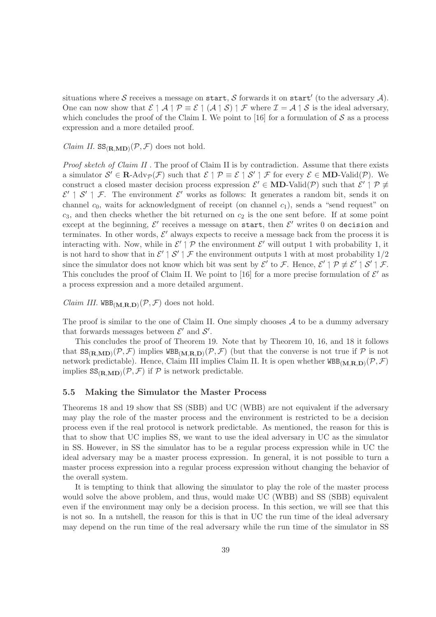situations where S receives a message on start, S forwards it on start' (to the adversary  $A$ ). One can now show that  $\mathcal{E} \upharpoonright \mathcal{A} \upharpoonright \mathcal{P} \equiv \mathcal{E} \upharpoonright (\mathcal{A} \upharpoonright \mathcal{S}) \upharpoonright \mathcal{F}$  where  $\mathcal{I} = \mathcal{A} \upharpoonright \mathcal{S}$  is the ideal adversary, which concludes the proof of the Claim I. We point to [16] for a formulation of  $S$  as a process expression and a more detailed proof.

*Claim II.*  $SS_{(R, MD)}(\mathcal{P}, \mathcal{F})$  does not hold.

*Proof sketch of Claim II*. The proof of Claim II is by contradiction. Assume that there exists a simulator  $\mathcal{S}' \in \mathbf{R}$ -Adv $p(\mathcal{F})$  such that  $\mathcal{E} \upharpoonright \mathcal{P} \equiv \mathcal{E} \upharpoonright \mathcal{S}' \upharpoonright \mathcal{F}$  for every  $\mathcal{E} \in \mathbf{MD}\text{-}\mathrm{Valid}(\mathcal{P})$ . We construct a closed master decision process expression  $\mathcal{E}' \in \textbf{MD-Valid}(\mathcal{P})$  such that  $\mathcal{E}' \upharpoonright \mathcal{P} \neq$  $\mathcal{E}'$  |  $\mathcal{S}'$  |  $\mathcal{F}$ . The environment  $\mathcal{E}'$  works as follows: It generates a random bit, sends it on channel  $c_0$ , waits for acknowledgment of receipt (on channel  $c_1$ ), sends a "send request" on  $c_3$ , and then checks whether the bit returned on  $c_2$  is the one sent before. If at some point except at the beginning,  $\mathcal{E}'$  receives a message on start, then  $\mathcal{E}'$  writes 0 on decision and terminates. In other words,  $\mathcal{E}'$  always expects to receive a message back from the process it is interacting with. Now, while in  $\mathcal{E}' \uparrow \mathcal{P}$  the environment  $\mathcal{E}'$  will output 1 with probability 1, it is not hard to show that in  $\mathcal{E}' \mid \mathcal{S}' \mid \mathcal{F}$  the environment outputs 1 with at most probability  $1/2$ since the simulator does not know which bit was sent by  $\mathcal{E}'$  to  $\mathcal{F}$ . Hence,  $\mathcal{E}' \upharpoonright \mathcal{P} \not\equiv \mathcal{E}' \upharpoonright \mathcal{S}' \upharpoonright \mathcal{F}$ . This concludes the proof of Claim II. We point to [16] for a more precise formulation of  $\mathcal{E}'$  as a process expression and a more detailed argument.

*Claim III.*  $WBB_{(M,R,D)}(\mathcal{P}, \mathcal{F})$  does not hold.

The proof is similar to the one of Claim II. One simply chooses  $A$  to be a dummy adversary that forwards messages between  $\mathcal{E}'$  and  $\mathcal{S}'$ .

This concludes the proof of Theorem 19. Note that by Theorem 10, 16, and 18 it follows that  $SS_{(R,MD)}(\mathcal{P}, \mathcal{F})$  implies  $WBB_{(M,R,D)}(\mathcal{P}, \mathcal{F})$  (but that the converse is not true if  $\mathcal P$  is not network predictable). Hence, Claim III implies Claim II. It is open whether  $WBB_{(M,R,D)}(\mathcal{P},\mathcal{F})$ implies  $SS_{(R, MD)}(\mathcal{P}, \mathcal{F})$  if  $\mathcal P$  is network predictable.

#### 5.5 Making the Simulator the Master Process

Theorems 18 and 19 show that SS (SBB) and UC (WBB) are not equivalent if the adversary may play the role of the master process and the environment is restricted to be a decision process even if the real protocol is network predictable. As mentioned, the reason for this is that to show that UC implies SS, we want to use the ideal adversary in UC as the simulator in SS. However, in SS the simulator has to be a regular process expression while in UC the ideal adversary may be a master process expression. In general, it is not possible to turn a master process expression into a regular process expression without changing the behavior of the overall system.

It is tempting to think that allowing the simulator to play the role of the master process would solve the above problem, and thus, would make UC (WBB) and SS (SBB) equivalent even if the environment may only be a decision process. In this section, we will see that this is not so. In a nutshell, the reason for this is that in UC the run time of the ideal adversary may depend on the run time of the real adversary while the run time of the simulator in SS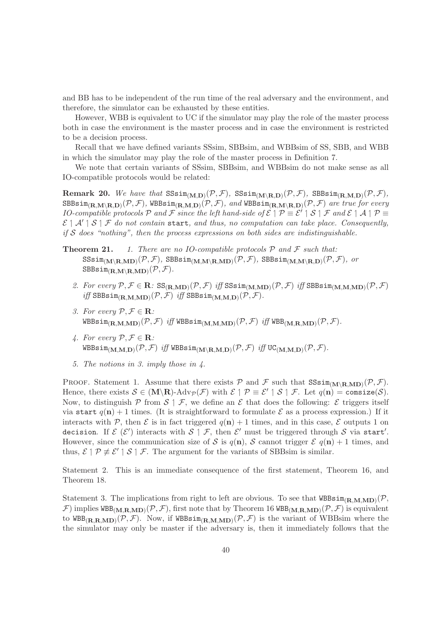and BB has to be independent of the run time of the real adversary and the environment, and therefore, the simulator can be exhausted by these entities.

However, WBB is equivalent to UC if the simulator may play the role of the master process both in case the environment is the master process and in case the environment is restricted to be a decision process.

Recall that we have defined variants SSsim, SBBsim, and WBBsim of SS, SBB, and WBB in which the simulator may play the role of the master process in Definition 7.

We note that certain variants of SSsim, SBBsim, and WBBsim do not make sense as all IO-compatible protocols would be related:

 $\bf{Remark}$  20. We have that  $\texttt{SSsim}_{(M,\bf{D})}(\mathcal{P},\mathcal{F})$ ,  $\texttt{SSsim}_{(M\setminus {\bf R},{\bf D})}(\mathcal{P},\mathcal{F})$ ,  $\texttt{SBssim}_{(R,M,\bf{D})}(\mathcal{P},\mathcal{F})$ ,  $\mathtt{SBBsim}_{(\mathbf{R},\mathbf{M}\setminus \mathbf{R},\mathbf{D})}(\mathcal{P},\mathcal{F}),$  WBB $\mathtt{sim}_{(\mathbf{R},\mathbf{M},\mathbf{D})}(\mathcal{P},\mathcal{F}),$  and WBB $\mathtt{sim}_{(\mathbf{R},\mathbf{M}\setminus \mathbf{R},\mathbf{D})}(\mathcal{P},\mathcal{F})$  are true for every *IO-compatible protocols*  $P$  and  $\mathcal F$  since the left hand-side of  $\mathcal E \upharpoonright P \equiv \mathcal E' \upharpoonright S \upharpoonright \mathcal F$  and  $\mathcal E \upharpoonright A \upharpoonright P \equiv$  $\mathcal{E} \upharpoonleft \mathcal{A}' \upharpoonright \mathcal{S} \upharpoonright \mathcal{F}$  do not contain start, and thus, no computation can take place. Consequently, if S does "nothing", then the process expressions on both sides are indistinguishable.

- **Theorem 21.** 1. There are no IO-compatible protocols  $P$  and  $F$  such that:  $\nonumber \texttt{SSsim}_{(\mathbf{M}\backslash\mathbf{R},\mathbf{MD})}(\mathcal{P},\mathcal{F}),\ \texttt{SBBsim}_{(\mathbf{M},\mathbf{M}\backslash\mathbf{R},\mathbf{MD})}(\mathcal{P},\mathcal{F}),\ \texttt{SBBsim}_{(\mathbf{M},\mathbf{M}\backslash\mathbf{R},\mathbf{D})}(\mathcal{P},\mathcal{F}),\ \textit{or}$  $\mathtt{SBBsim}_{(\mathbf{R},\mathbf{M}\setminus\mathbf{R},\mathbf{MD})}(\mathcal{P},\mathcal{F}).$ 
	- 2. For every  $P, \mathcal{F} \in \mathbf{R}$ :  $SS_{(\mathbf{R},\mathbf{MD})}(P, \mathcal{F})$  iff  $SSsim_{(\mathbf{M},\mathbf{MD})}(P, \mathcal{F})$  iff  $SBBsim_{(\mathbf{M},\mathbf{M},\mathbf{MD})}(P, \mathcal{F})$  $\mathit{iff}~ \texttt{SBBsim}_{(\mathbf{R},\mathbf{M},\mathbf{M}\mathbf{D})}(\mathcal{P},\mathcal{F}) ~\mathit{iff}~ \texttt{SBBsim}_{(\mathbf{M},\mathbf{M},\mathbf{D})}(\mathcal{P},\mathcal{F}).$
	- 3. For every  $P, \mathcal{F} \in \mathbf{R}$ :  $\texttt{WBBsim}_{(\mathbf{R},\mathbf{M},\mathbf{M}\mathbf{D})}(\mathcal{P},\mathcal{F}) \text{ iff } \texttt{WBBsim}_{(\mathbf{M},\mathbf{M},\mathbf{M}\mathbf{D})}(\mathcal{P},\mathcal{F}) \text{ iff } \texttt{WBB}_{(\mathbf{M},\mathbf{R},\mathbf{M}\mathbf{D})}(\mathcal{P},\mathcal{F}).$
	- 4. For every  $P, \mathcal{F} \in \mathbf{R}$ :  $\texttt{WBBsim}_{(\mathbf{M},\mathbf{M},\mathbf{D})}(\mathcal{P},\mathcal{F}) \text{ iff }\texttt{WBBsim}_{(\mathbf{M}\setminus\mathbf{R},\mathbf{M},\mathbf{D})}(\mathcal{P},\mathcal{F}) \text{ iff } \texttt{UC}_{(\mathbf{M},\mathbf{M},\mathbf{D})}(\mathcal{P},\mathcal{F}).$
	- 5. The notions in 3. imply those in 4.

PROOF. Statement 1. Assume that there exists  $P$  and  $\mathcal F$  such that  $SSsim_{(M\setminus R,MD)}(\mathcal P, \mathcal F)$ . Hence, there exists  $S \in (\mathbf{M} \backslash \mathbf{R})$ -Adv $p(\mathcal{F})$  with  $\mathcal{E} \upharpoonright \mathcal{P} \equiv \mathcal{E}' \upharpoonright \mathcal{S} \upharpoonright \mathcal{F}$ . Let  $q(\mathbf{n}) = \text{consize}(\mathcal{S})$ . Now, to distinguish  $\mathcal P$  from  $\mathcal S \upharpoonleft \mathcal F$ , we define an  $\mathcal E$  that does the following:  $\mathcal E$  triggers itself via start  $q(n) + 1$  times. (It is straightforward to formulate  $\mathcal E$  as a process expression.) If it interacts with P, then  $\mathcal E$  is in fact triggered  $q(n) + 1$  times, and in this case,  $\mathcal E$  outputs 1 on decision. If  $\mathcal{E}(\mathcal{E}')$  interacts with  $\mathcal{S} \upharpoonright \mathcal{F}$ , then  $\mathcal{E}'$  must be triggered through  $\mathcal{S}$  via start'. However, since the communication size of S is  $q(n)$ , S cannot trigger  $\mathcal{E} q(n) + 1$  times, and thus,  $\mathcal{E} \upharpoonright \mathcal{P} \neq \mathcal{E}' \upharpoonright \mathcal{S} \upharpoonright \mathcal{F}$ . The argument for the variants of SBBsim is similar.

Statement 2. This is an immediate consequence of the first statement, Theorem 16, and Theorem 18.

Statement 3. The implications from right to left are obvious. To see that  $WBBsim_{(R,M,MD)}(\mathcal{P},$  $\mathcal{F}$ ) implies  $WBB_{(M,R,MD)}(\mathcal{P}, \mathcal{F})$ , first note that by Theorem 16  $WBB_{(M,R,MD)}(\mathcal{P}, \mathcal{F})$  is equivalent to  $WBB_{(R,R,\text{MD})}(\mathcal{P},\mathcal{F})$ . Now, if  $WBBsim_{(R,M,\text{MD})}(\mathcal{P},\mathcal{F})$  is the variant of WBBsim where the the simulator may only be master if the adversary is, then it immediately follows that the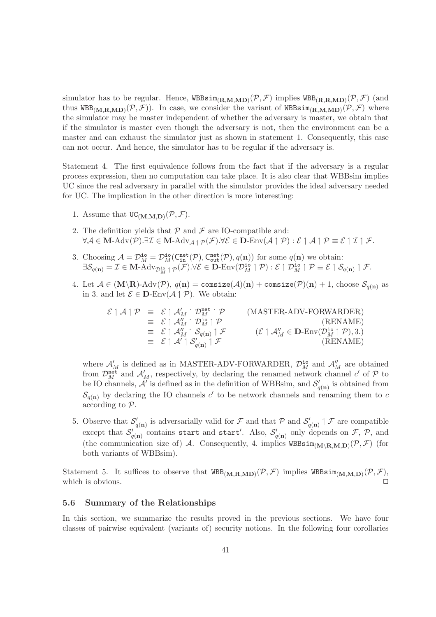simulator has to be regular. Hence,  $WBBsim_{(R,M,MD)}(\mathcal{P}, \mathcal{F})$  implies  $WBB_{(R,R,MD)}(\mathcal{P}, \mathcal{F})$  (and thus  $WBB_{(M,R,MD)}(\mathcal{P}, \mathcal{F})$ . In case, we consider the variant of  $WBBsim_{(R,M,MD)}(\mathcal{P}, \mathcal{F})$  where the simulator may be master independent of whether the adversary is master, we obtain that if the simulator is master even though the adversary is not, then the environment can be a master and can exhaust the simulator just as shown in statement 1. Consequently, this case can not occur. And hence, the simulator has to be regular if the adversary is.

Statement 4. The first equivalence follows from the fact that if the adversary is a regular process expression, then no computation can take place. It is also clear that WBBsim implies UC since the real adversary in parallel with the simulator provides the ideal adversary needed for UC. The implication in the other direction is more interesting:

- 1. Assume that  $UC_{(M,M,D)}(\mathcal{P},\mathcal{F})$ .
- 2. The definition yields that  $P$  and  $\mathcal F$  are IO-compatible and:  $\forall A \in M$ -Adv $(\mathcal{P}).\exists \mathcal{I} \in M$ -Adv $_{\mathcal{A} \uparrow \mathcal{P}}(\mathcal{F}).\forall \mathcal{E} \in D$ -Env $(\mathcal{A} \uparrow \mathcal{P}): \mathcal{E} \uparrow \mathcal{A} \uparrow \mathcal{P} \equiv \mathcal{E} \uparrow \mathcal{I} \uparrow \mathcal{F}.$
- 3. Choosing  $\mathcal{A} = \mathcal{D}_M^{\text{io}} = \mathcal{D}_M^{\text{io}}(\mathcal{C}_{\text{in}}^{\text{net}}(\mathcal{P}), \mathcal{C}_{\text{out}}^{\text{net}}(\mathcal{P}), q(\mathbf{n}))$  for some  $q(\mathbf{n})$  we obtain:  $\exists \mathcal{S}_{q(\mathbf{n})} = \mathcal{I} \in \mathbf{M}$ -Adv $_{\mathcal{D}_{M}^{i\circ} \uparrow \mathcal{P}}(\mathcal{F}).\forall \mathcal{E} \in \mathbf{D}$ -Env $(\mathcal{D}_{M}^{i\circ} \uparrow \mathcal{P}) : \mathcal{E} \uparrow \mathcal{D}_{M}^{i\circ} \uparrow \mathcal{P} \equiv \mathcal{E} \uparrow \mathcal{S}_{q(\mathbf{n})} \uparrow \mathcal{F}$ .
- 4. Let  $\mathcal{A} \in (\mathbf{M} \backslash \mathbf{R})$ -Adv $(\mathcal{P}), q(\mathbf{n}) = \text{consize}(\mathcal{A})(\mathbf{n}) + \text{consize}(\mathcal{P})(\mathbf{n}) + 1$ , choose  $\mathcal{S}_{q(\mathbf{n})}$  as in 3. and let  $\mathcal{E} \in \mathbf{D}$ -Env $(\mathcal{A} \mid \mathcal{P})$ . We obtain:

|  | (MASTER-ADV-FORWARDER)                                                                                                                                                                                                                                                                                                                                                                                                                                                                                 |
|--|--------------------------------------------------------------------------------------------------------------------------------------------------------------------------------------------------------------------------------------------------------------------------------------------------------------------------------------------------------------------------------------------------------------------------------------------------------------------------------------------------------|
|  | (RENAME)                                                                                                                                                                                                                                                                                                                                                                                                                                                                                               |
|  | $(\mathcal{E} \mid \mathcal{A}_{M}^{\prime\prime} \in \mathbf{D}\text{-}\mathrm{Env}(\mathcal{D}_{M}^{\text{io}} \mid \mathcal{P}), 3.)$                                                                                                                                                                                                                                                                                                                                                               |
|  | (RENAME)                                                                                                                                                                                                                                                                                                                                                                                                                                                                                               |
|  | $\mathcal{E} \uparrow \mathcal{A} \uparrow \mathcal{P} \equiv \mathcal{E} \uparrow \mathcal{A}'_M \uparrow \mathcal{D}_M^{\text{net}} \uparrow \mathcal{P}$<br>$\equiv$ $\mathcal{E} \mid \mathcal{A}_{M}^{\prime\prime} \mid \mathcal{D}_{M}^{io} \mid \mathcal{P}$<br>$\equiv$ $\mathcal{E} \upharpoonleft \mathcal{A}_{M}'' \upharpoonright \mathcal{S}_{q(\mathbf{n})} \upharpoonright \mathcal{F}$<br>$\equiv$ $\mathcal{E} \mid \mathcal{A}' \mid \mathcal{S}'_{q(\mathbf{n})} \mid \mathcal{F}$ |

where  $\mathcal{A}'_M$  is defined as in MASTER-ADV-FORWARDER,  $\mathcal{D}_M^{io}$  and  $\mathcal{A}''_M$  are obtained from  $\mathcal{D}_M^{\text{net}}$  and  $\mathcal{A}'_M$ , respectively, by declaring the renamed network channel  $c'$  of  $\mathcal P$  to be IO channels,  $\mathcal{A}'$  is defined as in the definition of WBBsim, and  $\mathcal{S}'_{q(n)}$  is obtained from  $\mathcal{S}_{q(n)}$  by declaring the IO channels c' to be network channels and renaming them to c according to P.

5. Observe that  $\mathcal{S}'_{q(n)}$  is adversarially valid for  $\mathcal F$  and that  $\mathcal P$  and  $\mathcal{S}'_{q(n)}\upharpoonleft\mathcal F$  are compatible except that  $\mathcal{S}'_{q(n)}$  contains start and start'. Also,  $\mathcal{S}'_{q(n)}$  only depends on  $\mathcal{F}, \mathcal{P}$ , and (the communication size of) A. Consequently, 4. implies  $WBSsim_{(M \setminus R,M,D)}(\mathcal{P},\mathcal{F})$  (for both variants of WBBsim).

Statement 5. It suffices to observe that  $WBB_{(M,R,MD)}(\mathcal{P}, \mathcal{F})$  implies  $WBBsim_{(M,M,D)}(\mathcal{P}, \mathcal{F})$ , which is obvious.

#### 5.6 Summary of the Relationships

In this section, we summarize the results proved in the previous sections. We have four classes of pairwise equivalent (variants of) security notions. In the following four corollaries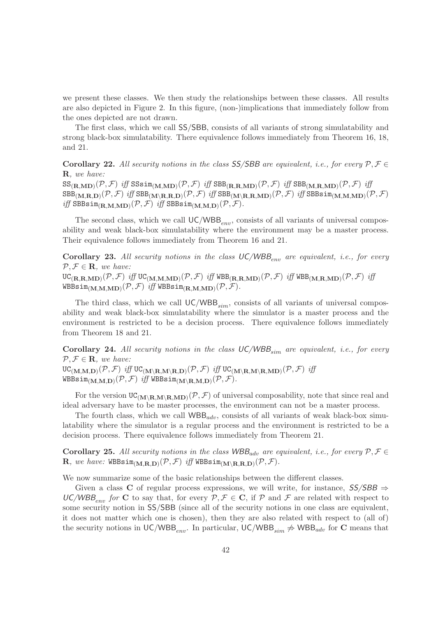we present these classes. We then study the relationships between these classes. All results are also depicted in Figure 2. In this figure, (non-)implications that immediately follow from the ones depicted are not drawn.

The first class, which we call SS/SBB, consists of all variants of strong simulatability and strong black-box simulatability. There equivalence follows immediately from Theorem 16, 18, and 21.

Corollary 22. All security notions in the class  $SS/SBB$  are equivalent, i.e., for every  $P, \mathcal{F} \in$ R, we have:

 $\text{SS}_{(\mathbf{R},\mathbf{M}\mathbf{D})}(\mathcal{P},\mathcal{F})$  iff  $\text{SSsim}_{(\mathbf{M},\mathbf{M}\mathbf{D})}(\mathcal{P},\mathcal{F})$  iff  $\text{SBB}_{(\mathbf{R},\mathbf{R},\mathbf{M}\mathbf{D})}(\mathcal{P},\mathcal{F})$  iff  $\text{SBB}_{(\mathbf{M},\mathbf{R},\mathbf{M}\mathbf{D})}(\mathcal{P},\mathcal{F})$  iff  $\texttt{SBB}_{(\mathbf{M},\mathbf{R},\mathbf{D})}(\mathcal{P},\mathcal{F}) \text{ iff } \texttt{SBB}_{(\mathbf{M}\setminus \mathbf{R},\mathbf{R},\mathbf{D})}(\mathcal{P},\mathcal{F}) \text{ iff } \texttt{SBB}_{(\mathbf{M}\setminus \mathbf{R},\mathbf{R},\mathbf{M}\mathbf{D})}(\mathcal{P},\mathcal{F}) \text{ iff } \texttt{SBBsim}_{(\mathbf{M},\mathbf{M},\mathbf{M}\mathbf{D})}(\mathcal{P},\mathcal{F})$  $\mathit{iff}~ \texttt{SBBsim}_{(\mathbf{R},\mathbf{M},\mathbf{M}\mathbf{D})}(\mathcal{P},\mathcal{F}) ~\mathit{iff}~ \texttt{SBBsim}_{(\mathbf{M},\mathbf{M},\mathbf{D})}(\mathcal{P},\mathcal{F}).$ 

The second class, which we call  $UC/WBB_{env}$ , consists of all variants of universal composability and weak black-box simulatability where the environment may be a master process. Their equivalence follows immediately from Theorem 16 and 21.

Corollary 23. All security notions in the class  $UC/WBB_{env}$  are equivalent, i.e., for every  $P, \mathcal{F} \in \mathbf{R}$ , we have:  $\texttt{UC}_{(\mathbf{R},\mathbf{R},\mathbf{M}\mathbf{D})}(\mathcal{P},\mathcal{F}) \text{ iff } \texttt{UC}_{(\mathbf{M},\mathbf{M},\mathbf{M}\mathbf{D})}(\mathcal{P},\mathcal{F}) \text{ iff } \texttt{WBB}_{(\mathbf{R},\mathbf{R},\mathbf{M}\mathbf{D})}(\mathcal{P},\mathcal{F}) \text{ iff } \texttt{WBB}_{(\mathbf{M},\mathbf{R},\mathbf{M}\mathbf{D})}(\mathcal{P},\mathcal{F}) \text{ iff }$  $\texttt{WBBsim}_{(\mathbf{M},\mathbf{M},\mathbf{M}\mathbf{D})}(\mathcal{P},\mathcal{F}) \text{ iff } \texttt{WBBsim}_{(\mathbf{R},\mathbf{M},\mathbf{M}\mathbf{D})}(\mathcal{P},\mathcal{F}).$ 

The third class, which we call  $UC/WBB_{sim}$ , consists of all variants of universal composability and weak black-box simulatability where the simulator is a master process and the environment is restricted to be a decision process. There equivalence follows immediately from Theorem 18 and 21.

Corollary 24. All security notions in the class  $UC/WBB_{sim}$  are equivalent, i.e., for every  $P, F \in \mathbf{R}$ , we have:  $\text{UC}_{(\mathbf{M},\mathbf{M},\mathbf{D})}(\mathcal{P},\mathcal{F})$  iff  $\text{UC}_{(\mathbf{M}\backslash\mathbf{R},\mathbf{M}\backslash\mathbf{R},\mathbf{D})}(\mathcal{P},\mathcal{F})$  iff  $\text{UC}_{(\mathbf{M}\backslash\mathbf{R},\mathbf{M}\backslash\mathbf{R},\mathbf{M}\mathbf{D})}(\mathcal{P},\mathcal{F})$  iff

 $\texttt{WBBsim}_{(\mathbf{M},\mathbf{M},\mathbf{D})}(\mathcal{P},\mathcal{F}) \text{ iff } \texttt{WBBsim}_{(\mathbf{M}\backslash \mathbf{R},\mathbf{M},\mathbf{D})}(\mathcal{P},\mathcal{F}).$ 

For the version  $UC_{(M\setminus R,M\setminus R,MD)}(\mathcal{P},\mathcal{F})$  of universal composability, note that since real and ideal adversary have to be master processes, the environment can not be a master process.

The fourth class, which we call  $WBB_{adv}$ , consists of all variants of weak black-box simulatability where the simulator is a regular process and the environment is restricted to be a decision process. There equivalence follows immediately from Theorem 21.

Corollary 25. All security notions in the class WBB<sub>adv</sub> are equivalent, i.e., for every  $P, \mathcal{F} \in$  $\mathbf R$ , we have: WBB $\mathtt{sim}_{(\mathbf M,\mathbf R,\mathbf D)}(\mathcal P,\mathcal F)$  iff WBB $\mathtt{sim}_{(\mathbf M\setminus \mathbf R,\mathbf R,\mathbf D)}(\mathcal P,\mathcal F).$ 

We now summarize some of the basic relationships between the different classes.

Given a class C of regular process expressions, we will write, for instance,  $SS/SBB \Rightarrow$  $UC/WBB_{env}$  for C to say that, for every  $P, \mathcal{F} \in \mathbb{C}$ , if P and F are related with respect to some security notion in SS/SBB (since all of the security notions in one class are equivalent, it does not matter which one is chosen), then they are also related with respect to (all of) the security notions in  $\mathsf{UC}/\mathsf{WBB}_{env}$ . In particular,  $\mathsf{UC}/\mathsf{WBB}_{sim} \not\Rightarrow \mathsf{WBB}_{adv}$  for C means that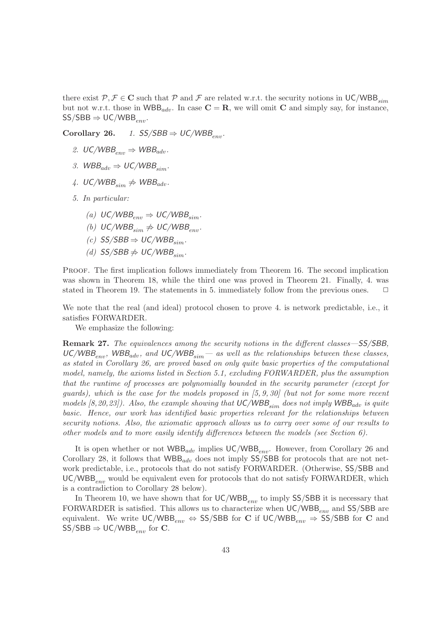there exist  $\mathcal{P}, \mathcal{F} \in \mathbf{C}$  such that  $\mathcal{P}$  and  $\mathcal{F}$  are related w.r.t. the security notions in UC/WBB<sub>sim</sub> but not w.r.t. those in  $WBB_{adv}$ . In case  $\mathbf{C} = \mathbf{R}$ , we will omit  $\mathbf{C}$  and simply say, for instance,  $SS/SBB \Rightarrow UC/WBB_{env}$ .

Corollary 26. 1.  $SS/SBB \Rightarrow UC/WBB_{env}$ .

- 2.  $UC/WBB_{env} \Rightarrow WBB_{adv}$ .
- 3. WBB<sub>adv</sub>  $\Rightarrow$  UC/WBB<sub>sim</sub>.
- 4. UC/WBB<sub>sim</sub>  $\Rightarrow$  WBB<sub>adv</sub>.
- 5. In particular:
	- (a)  $UC/WBB_{env} \Rightarrow UC/WBB_{sim}$ .
	- (b)  $UC/WBB_{sim} \neq UC/WBB_{env}$ .
	- $(c)$  SS/SBB  $\Rightarrow$  UC/WBB<sub>sim</sub>.
	- (d)  $SS/SBB \neq UC/WBB_{sim}$ .

PROOF. The first implication follows immediately from Theorem 16. The second implication was shown in Theorem 18, while the third one was proved in Theorem 21. Finally, 4. was stated in Theorem 19. The statements in 5. immediately follow from the previous ones.  $\Box$ 

We note that the real (and ideal) protocol chosen to prove 4. is network predictable, i.e., it satisfies FORWARDER.

We emphasize the following:

Remark 27. The equivalences among the security notions in the different classes—SS/SBB,  $UC/WBB_{env}$ ,  $WBB_{adv}$ , and  $UC/WBB_{sim}$  as well as the relationships between these classes, as stated in Corollary 26, are proved based on only quite basic properties of the computational model, namely, the axioms listed in Section 5.1, excluding FORWARDER, plus the assumption that the runtime of processes are polynomially bounded in the security parameter (except for guards), which is the case for the models proposed in [5, 9, 30] (but not for some more recent models [8,20,23]). Also, the example showing that  $UC/WBB_{sim}$  does not imply  $WBB_{adv}$  is quite basic. Hence, our work has identified basic properties relevant for the relationships between security notions. Also, the axiomatic approach allows us to carry over some of our results to other models and to more easily identify differences between the models (see Section 6).

It is open whether or not  $WBB_{adv}$  implies  $UC/WBB_{env}$ . However, from Corollary 26 and Corollary 28, it follows that  $WBB_{adv}$  does not imply SS/SBB for protocols that are not network predictable, i.e., protocols that do not satisfy FORWARDER. (Otherwise, SS/SBB and  $UC/WBB_{env}$  would be equivalent even for protocols that do not satisfy FORWARDER, which is a contradiction to Corollary 28 below).

In Theorem 10, we have shown that for  $UC/WBB_{env}$  to imply SS/SBB it is necessary that FORWARDER is satisfied. This allows us to characterize when  $UC/WBB_{env}$  and  $SS/SBB$  are equivalent. We write  $UC/WBB_{env} \Leftrightarrow SS/SBB$  for C if  $UC/WBB_{env} \Rightarrow SS/SBB$  for C and  $SS/SBB \Rightarrow UC/WBB_{env}$  for C.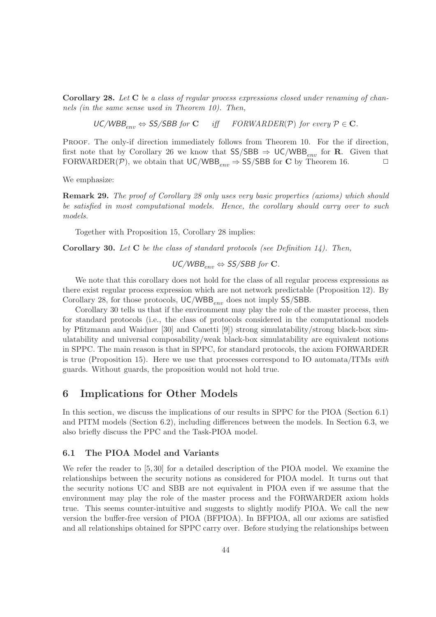Corollary 28. Let C be a class of regular process expressions closed under renaming of channels (in the same sense used in Theorem 10). Then,

 $UC/WBB_{env} \Leftrightarrow$  SS/SBB for C iff FORWARDER(P) for every  $P \in \mathbf{C}$ .

PROOF. The only-if direction immediately follows from Theorem 10. For the if direction, first note that by Corollary 26 we know that  $SS/SBB \Rightarrow UC/WBB_{env}$  for **R**. Given that FORWARDER(P), we obtain that  $UC/WBB_{env} \Rightarrow SS/SBB$  for C by Theorem 16.  $\Box$ 

We emphasize:

Remark 29. The proof of Corollary 28 only uses very basic properties (axioms) which should be satisfied in most computational models. Hence, the corollary should carry over to such models.

Together with Proposition 15, Corollary 28 implies:

**Corollary 30.** Let  $C$  be the class of standard protocols (see Definition 14). Then,

$$
UC/WBB_{env} \Leftrightarrow SS/SBB \text{ for } C.
$$

We note that this corollary does not hold for the class of all regular process expressions as there exist regular process expression which are not network predictable (Proposition 12). By Corollary 28, for those protocols,  $UC/WBB_{env}$  does not imply SS/SBB.

Corollary 30 tells us that if the environment may play the role of the master process, then for standard protocols (i.e., the class of protocols considered in the computational models by Pfitzmann and Waidner [30] and Canetti [9]) strong simulatability/strong black-box simulatability and universal composability/weak black-box simulatability are equivalent notions in SPPC. The main reason is that in SPPC, for standard protocols, the axiom FORWARDER is true (Proposition 15). Here we use that processes correspond to IO automata/ITMs with guards. Without guards, the proposition would not hold true.

## 6 Implications for Other Models

In this section, we discuss the implications of our results in SPPC for the PIOA (Section 6.1) and PITM models (Section 6.2), including differences between the models. In Section 6.3, we also briefly discuss the PPC and the Task-PIOA model.

## 6.1 The PIOA Model and Variants

We refer the reader to [5, 30] for a detailed description of the PIOA model. We examine the relationships between the security notions as considered for PIOA model. It turns out that the security notions UC and SBB are not equivalent in PIOA even if we assume that the environment may play the role of the master process and the FORWARDER axiom holds true. This seems counter-intuitive and suggests to slightly modify PIOA. We call the new version the buffer-free version of PIOA (BFPIOA). In BFPIOA, all our axioms are satisfied and all relationships obtained for SPPC carry over. Before studying the relationships between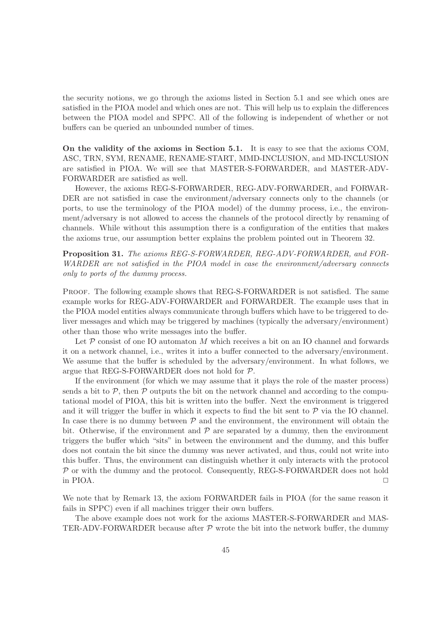the security notions, we go through the axioms listed in Section 5.1 and see which ones are satisfied in the PIOA model and which ones are not. This will help us to explain the differences between the PIOA model and SPPC. All of the following is independent of whether or not buffers can be queried an unbounded number of times.

On the validity of the axioms in Section 5.1. It is easy to see that the axioms COM, ASC, TRN, SYM, RENAME, RENAME-START, MMD-INCLUSION, and MD-INCLUSION are satisfied in PIOA. We will see that MASTER-S-FORWARDER, and MASTER-ADV-FORWARDER are satisfied as well.

However, the axioms REG-S-FORWARDER, REG-ADV-FORWARDER, and FORWAR-DER are not satisfied in case the environment/adversary connects only to the channels (or ports, to use the terminology of the PIOA model) of the dummy process, i.e., the environment/adversary is not allowed to access the channels of the protocol directly by renaming of channels. While without this assumption there is a configuration of the entities that makes the axioms true, our assumption better explains the problem pointed out in Theorem 32.

Proposition 31. The axioms REG-S-FORWARDER, REG-ADV-FORWARDER, and FOR-WARDER are not satisfied in the PIOA model in case the environment/adversary connects only to ports of the dummy process.

PROOF. The following example shows that REG-S-FORWARDER is not satisfied. The same example works for REG-ADV-FORWARDER and FORWARDER. The example uses that in the PIOA model entities always communicate through buffers which have to be triggered to deliver messages and which may be triggered by machines (typically the adversary/environment) other than those who write messages into the buffer.

Let  $P$  consist of one IO automaton M which receives a bit on an IO channel and forwards it on a network channel, i.e., writes it into a buffer connected to the adversary/environment. We assume that the buffer is scheduled by the adversary/environment. In what follows, we argue that REG-S-FORWARDER does not hold for P.

If the environment (for which we may assume that it plays the role of the master process) sends a bit to  $\mathcal{P}$ , then  $\mathcal{P}$  outputs the bit on the network channel and according to the computational model of PIOA, this bit is written into the buffer. Next the environment is triggered and it will trigger the buffer in which it expects to find the bit sent to  $P$  via the IO channel. In case there is no dummy between  $P$  and the environment, the environment will obtain the bit. Otherwise, if the environment and  $P$  are separated by a dummy, then the environment triggers the buffer which "sits" in between the environment and the dummy, and this buffer does not contain the bit since the dummy was never activated, and thus, could not write into this buffer. Thus, the environment can distinguish whether it only interacts with the protocol P or with the dummy and the protocol. Consequently, REG-S-FORWARDER does not hold in PIOA.  $\Box$ 

We note that by Remark 13, the axiom FORWARDER fails in PIOA (for the same reason it fails in SPPC) even if all machines trigger their own buffers.

The above example does not work for the axioms MASTER-S-FORWARDER and MAS-TER-ADV-FORWARDER because after  $P$  wrote the bit into the network buffer, the dummy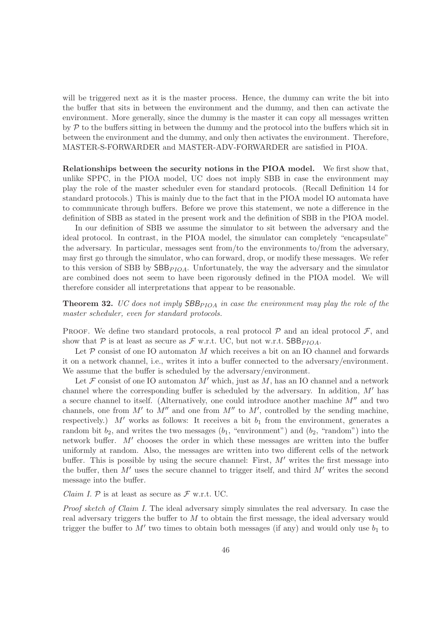will be triggered next as it is the master process. Hence, the dummy can write the bit into the buffer that sits in between the environment and the dummy, and then can activate the environment. More generally, since the dummy is the master it can copy all messages written by  $\mathcal P$  to the buffers sitting in between the dummy and the protocol into the buffers which sit in between the environment and the dummy, and only then activates the environment. Therefore, MASTER-S-FORWARDER and MASTER-ADV-FORWARDER are satisfied in PIOA.

Relationships between the security notions in the PIOA model. We first show that, unlike SPPC, in the PIOA model, UC does not imply SBB in case the environment may play the role of the master scheduler even for standard protocols. (Recall Definition 14 for standard protocols.) This is mainly due to the fact that in the PIOA model IO automata have to communicate through buffers. Before we prove this statement, we note a difference in the definition of SBB as stated in the present work and the definition of SBB in the PIOA model.

In our definition of SBB we assume the simulator to sit between the adversary and the ideal protocol. In contrast, in the PIOA model, the simulator can completely "encapsulate" the adversary. In particular, messages sent from/to the environments to/from the adversary, may first go through the simulator, who can forward, drop, or modify these messages. We refer to this version of SBB by  $SBB_{PIOA}$ . Unfortunately, the way the adversary and the simulator are combined does not seem to have been rigorously defined in the PIOA model. We will therefore consider all interpretations that appear to be reasonable.

**Theorem 32.** UC does not imply  $SBB_{PIOA}$  in case the environment may play the role of the master scheduler, even for standard protocols.

PROOF. We define two standard protocols, a real protocol  $P$  and an ideal protocol  $\mathcal{F}$ , and show that  $P$  is at least as secure as  $F$  w.r.t. UC, but not w.r.t. SBB $P_{IOA}$ .

Let  $P$  consist of one IO automaton  $M$  which receives a bit on an IO channel and forwards it on a network channel, i.e., writes it into a buffer connected to the adversary/environment. We assume that the buffer is scheduled by the adversary/environment.

Let  $\mathcal F$  consist of one IO automaton  $M'$  which, just as  $M$ , has an IO channel and a network channel where the corresponding buffer is scheduled by the adversary. In addition,  $M'$  has a secure channel to itself. (Alternatively, one could introduce another machine  $M''$  and two channels, one from  $M'$  to  $M''$  and one from  $M''$  to  $M'$ , controlled by the sending machine, respectively.) M' works as follows: It receives a bit  $b_1$  from the environment, generates a random bit  $b_2$ , and writes the two messages  $(b_1,$  "environment") and  $(b_2,$  "random") into the network buffer. M′ chooses the order in which these messages are written into the buffer uniformly at random. Also, the messages are written into two different cells of the network buffer. This is possible by using the secure channel: First,  $M'$  writes the first message into the buffer, then  $M'$  uses the secure channel to trigger itself, and third  $M'$  writes the second message into the buffer.

*Claim I.*  $P$  is at least as secure as  $F$  w.r.t. UC.

Proof sketch of Claim I. The ideal adversary simply simulates the real adversary. In case the real adversary triggers the buffer to  $M$  to obtain the first message, the ideal adversary would trigger the buffer to  $M'$  two times to obtain both messages (if any) and would only use  $b_1$  to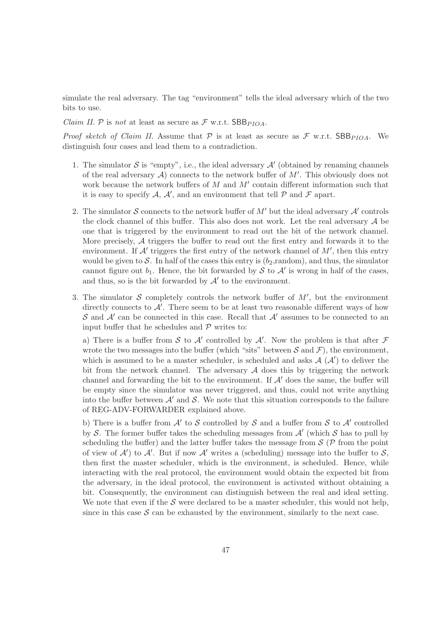simulate the real adversary. The tag "environment" tells the ideal adversary which of the two bits to use.

Claim II. P is not at least as secure as  $\mathcal F$  w.r.t. SBB<sub>PIOA</sub>.

*Proof sketch of Claim II.* Assume that  $P$  is at least as secure as  $F$  w.r.t.  $SBB_{PIOA}$ . We distinguish four cases and lead them to a contradiction.

- 1. The simulator  $S$  is "empty", i.e., the ideal adversary  $A'$  (obtained by renaming channels of the real adversary  $A$ ) connects to the network buffer of  $M'$ . This obviously does not work because the network buffers of  $M$  and  $M'$  contain different information such that it is easy to specify  $A, A'$ , and an environment that tell  $P$  and  $\mathcal F$  apart.
- 2. The simulator S connects to the network buffer of  $M'$  but the ideal adversary  $\mathcal{A}'$  controls the clock channel of this buffer. This also does not work. Let the real adversary  $A$  be one that is triggered by the environment to read out the bit of the network channel. More precisely, A triggers the buffer to read out the first entry and forwards it to the environment. If  $\mathcal{A}'$  triggers the first entry of the network channel of  $M'$ , then this entry would be given to S. In half of the cases this entry is  $(b_2$ , random), and thus, the simulator cannot figure out  $b_1$ . Hence, the bit forwarded by S to A' is wrong in half of the cases, and thus, so is the bit forwarded by  $\mathcal{A}'$  to the environment.
- 3. The simulator  $S$  completely controls the network buffer of  $M'$ , but the environment directly connects to  $A'$ . There seem to be at least two reasonable different ways of how S and  $A'$  can be connected in this case. Recall that  $A'$  assumes to be connected to an input buffer that he schedules and  $P$  writes to:

a) There is a buffer from S to A' controlled by A'. Now the problem is that after  $\mathcal F$ wrote the two messages into the buffer (which "sits" between  $\mathcal S$  and  $\mathcal F$ ), the environment, which is assumed to be a master scheduler, is scheduled and asks  $A(\mathcal{A}')$  to deliver the bit from the network channel. The adversary  $A$  does this by triggering the network channel and forwarding the bit to the environment. If  $\mathcal{A}'$  does the same, the buffer will be empty since the simulator was never triggered, and thus, could not write anything into the buffer between  $A'$  and  $S$ . We note that this situation corresponds to the failure of REG-ADV-FORWARDER explained above.

b) There is a buffer from  $\mathcal{A}'$  to S controlled by S and a buffer from S to  $\mathcal{A}'$  controlled by S. The former buffer takes the scheduling messages from  $\mathcal{A}'$  (which S has to pull by scheduling the buffer) and the latter buffer takes the message from  $\mathcal{S}(\mathcal{P})$  from the point of view of  $\mathcal{A}'$ ) to  $\mathcal{A}'$ . But if now  $\mathcal{A}'$  writes a (scheduling) message into the buffer to  $\mathcal{S},$ then first the master scheduler, which is the environment, is scheduled. Hence, while interacting with the real protocol, the environment would obtain the expected bit from the adversary, in the ideal protocol, the environment is activated without obtaining a bit. Consequently, the environment can distinguish between the real and ideal setting. We note that even if the  $S$  were declared to be a master scheduler, this would not help, since in this case  $S$  can be exhausted by the environment, similarly to the next case.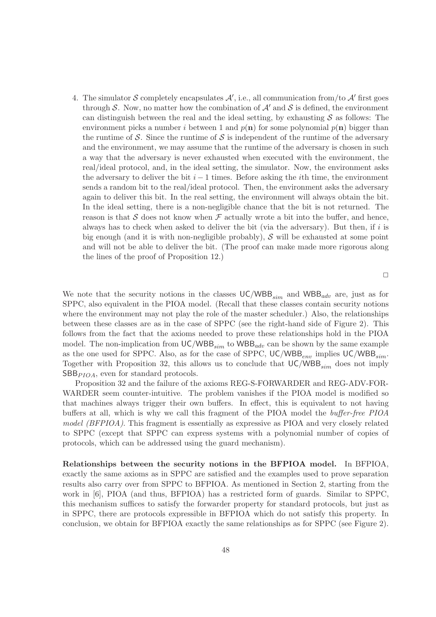4. The simulator S completely encapsulates  $A'$ , i.e., all communication from/to  $A'$  first goes through S. Now, no matter how the combination of  $\mathcal{A}'$  and S is defined, the environment can distinguish between the real and the ideal setting, by exhausting  $S$  as follows: The environment picks a number i between 1 and  $p(n)$  for some polynomial  $p(n)$  bigger than the runtime of S. Since the runtime of S is independent of the runtime of the adversary and the environment, we may assume that the runtime of the adversary is chosen in such a way that the adversary is never exhausted when executed with the environment, the real/ideal protocol, and, in the ideal setting, the simulator. Now, the environment asks the adversary to deliver the bit  $i - 1$  times. Before asking the *i*th time, the environment sends a random bit to the real/ideal protocol. Then, the environment asks the adversary again to deliver this bit. In the real setting, the environment will always obtain the bit. In the ideal setting, there is a non-negligible chance that the bit is not returned. The reason is that S does not know when  $\mathcal F$  actually wrote a bit into the buffer, and hence, always has to check when asked to deliver the bit (via the adversary). But then, if  $i$  is big enough (and it is with non-negligible probably),  $S$  will be exhausted at some point and will not be able to deliver the bit. (The proof can make made more rigorous along the lines of the proof of Proposition 12.)

 $\Box$ 

We note that the security notions in the classes  $UC/WBB_{sim}$  and  $WBB_{adv}$  are, just as for SPPC, also equivalent in the PIOA model. (Recall that these classes contain security notions where the environment may not play the role of the master scheduler.) Also, the relationships between these classes are as in the case of SPPC (see the right-hand side of Figure 2). This follows from the fact that the axioms needed to prove these relationships hold in the PIOA model. The non-implication from  $\mathsf{UC}/\mathsf{WBB}_{sim}$  to  $\mathsf{WBB}_{adv}$  can be shown by the same example as the one used for SPPC. Also, as for the case of SPPC,  $UC/WBB_{env}$  implies  $UC/WBB_{sim}$ . Together with Proposition 32, this allows us to conclude that  $UC/WBB_{sim}$  does not imply  $SBB_{PIOA}$ , even for standard protocols.

Proposition 32 and the failure of the axioms REG-S-FORWARDER and REG-ADV-FOR-WARDER seem counter-intuitive. The problem vanishes if the PIOA model is modified so that machines always trigger their own buffers. In effect, this is equivalent to not having buffers at all, which is why we call this fragment of the PIOA model the buffer-free PIOA model (BFPIOA). This fragment is essentially as expressive as PIOA and very closely related to SPPC (except that SPPC can express systems with a polynomial number of copies of protocols, which can be addressed using the guard mechanism).

Relationships between the security notions in the BFPIOA model. In BFPIOA, exactly the same axioms as in SPPC are satisfied and the examples used to prove separation results also carry over from SPPC to BFPIOA. As mentioned in Section 2, starting from the work in [6], PIOA (and thus, BFPIOA) has a restricted form of guards. Similar to SPPC, this mechanism suffices to satisfy the forwarder property for standard protocols, but just as in SPPC, there are protocols expressible in BFPIOA which do not satisfy this property. In conclusion, we obtain for BFPIOA exactly the same relationships as for SPPC (see Figure 2).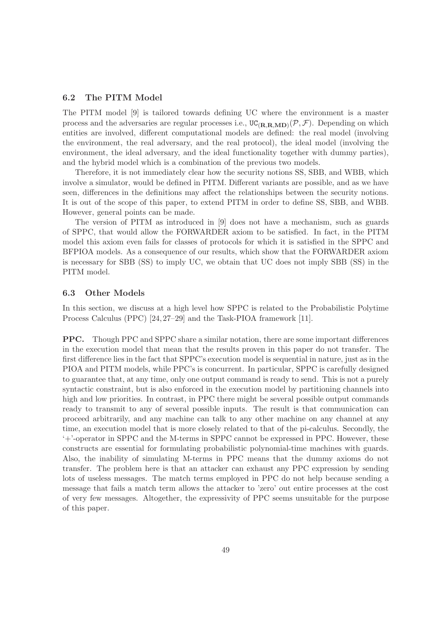#### 6.2 The PITM Model

The PITM model [9] is tailored towards defining UC where the environment is a master process and the adversaries are regular processes i.e.,  $UC_{(R,R,MD)}(\mathcal{P}, \mathcal{F})$ . Depending on which entities are involved, different computational models are defined: the real model (involving the environment, the real adversary, and the real protocol), the ideal model (involving the environment, the ideal adversary, and the ideal functionality together with dummy parties), and the hybrid model which is a combination of the previous two models.

Therefore, it is not immediately clear how the security notions SS, SBB, and WBB, which involve a simulator, would be defined in PITM. Different variants are possible, and as we have seen, differences in the definitions may affect the relationships between the security notions. It is out of the scope of this paper, to extend PITM in order to define SS, SBB, and WBB. However, general points can be made.

The version of PITM as introduced in [9] does not have a mechanism, such as guards of SPPC, that would allow the FORWARDER axiom to be satisfied. In fact, in the PITM model this axiom even fails for classes of protocols for which it is satisfied in the SPPC and BFPIOA models. As a consequence of our results, which show that the FORWARDER axiom is necessary for SBB (SS) to imply UC, we obtain that UC does not imply SBB (SS) in the PITM model.

## 6.3 Other Models

In this section, we discuss at a high level how SPPC is related to the Probabilistic Polytime Process Calculus (PPC) [24, 27–29] and the Task-PIOA framework [11].

PPC. Though PPC and SPPC share a similar notation, there are some important differences in the execution model that mean that the results proven in this paper do not transfer. The first difference lies in the fact that SPPC's execution model is sequential in nature, just as in the PIOA and PITM models, while PPC's is concurrent. In particular, SPPC is carefully designed to guarantee that, at any time, only one output command is ready to send. This is not a purely syntactic constraint, but is also enforced in the execution model by partitioning channels into high and low priorities. In contrast, in PPC there might be several possible output commands ready to transmit to any of several possible inputs. The result is that communication can proceed arbitrarily, and any machine can talk to any other machine on any channel at any time, an execution model that is more closely related to that of the pi-calculus. Secondly, the '+'-operator in SPPC and the M-terms in SPPC cannot be expressed in PPC. However, these constructs are essential for formulating probabilistic polynomial-time machines with guards. Also, the inability of simulating M-terms in PPC means that the dummy axioms do not transfer. The problem here is that an attacker can exhaust any PPC expression by sending lots of useless messages. The match terms employed in PPC do not help because sending a message that fails a match term allows the attacker to 'zero' out entire processes at the cost of very few messages. Altogether, the expressivity of PPC seems unsuitable for the purpose of this paper.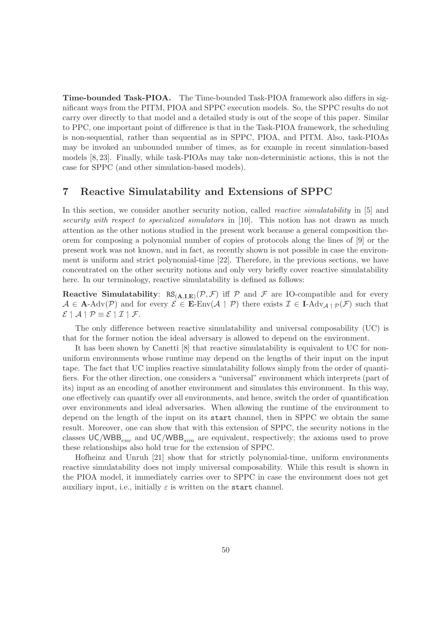Time-bounded Task-PIOA. The Time-bounded Task-PIOA framework also differs in significant ways from the PITM, PIOA and SPPC execution models. So, the SPPC results do not carry over directly to that model and a detailed study is out of the scope of this paper. Similar to PPC, one important point of difference is that in the Task-PIOA framework, the scheduling is non-sequential, rather than sequential as in SPPC, PIOA, and PITM. Also, task-PIOAs may be invoked an unbounded number of times, as for example in recent simulation-based models [8, 23]. Finally, while task-PIOAs may take non-deterministic actions, this is not the case for SPPC (and other simulation-based models).

# 7 Reactive Simulatability and Extensions of SPPC

In this section, we consider another security notion, called *reactive simulatability* in [5] and security with respect to specialized simulators in [10]. This notion has not drawn as much attention as the other notions studied in the present work because a general composition theorem for composing a polynomial number of copies of protocols along the lines of [9] or the present work was not known, and in fact, as recently shown is not possible in case the environment is uniform and strict polynomial-time [22]. Therefore, in the previous sections, we have concentrated on the other security notions and only very briefly cover reactive simulatability here. In our terminology, reactive simulatability is defined as follows:

**Reactive Simulatability:**  $RS_{(A,I,E)}(\mathcal{P},\mathcal{F})$  iff  $\mathcal{P}$  and  $\mathcal{F}$  are IO-compatible and for every  $A \in \mathbf{A}\text{-}Adv(\mathcal{P})$  and for every  $\mathcal{E} \in \mathbf{E}\text{-}Env(\mathcal{A} \uparrow \mathcal{P})$  there exists  $\mathcal{I} \in \mathbf{I}\text{-}Adv_{\mathcal{A} \uparrow \mathcal{P}}(\mathcal{F})$  such that  $\mathcal{E} \upharpoonleft A \upharpoonright \mathcal{P} \equiv \mathcal{E} \upharpoonright \mathcal{I} \upharpoonright \mathcal{F}.$ 

The only difference between reactive simulatability and universal composability (UC) is that for the former notion the ideal adversary is allowed to depend on the environment.

It has been shown by Canetti [8] that reactive simulatability is equivalent to UC for nonuniform environments whose runtime may depend on the lengths of their input on the input tape. The fact that UC implies reactive simulatability follows simply from the order of quantifiers. For the other direction, one considers a "universal" environment which interprets (part of its) input as an encoding of another environment and simulates this environment. In this way, one effectively can quantify over all environments, and hence, switch the order of quantification over environments and ideal adversaries. When allowing the runtime of the environment to depend on the length of the input on its start channel, then in SPPC we obtain the same result. Moreover, one can show that with this extension of SPPC, the security notions in the classes  $UC/WBB_{env}$  and  $UC/WBB_{sim}$  are equivalent, respectively; the axioms used to prove these relationships also hold true for the extension of SPPC.

Hofheinz and Unruh [21] show that for strictly polynomial-time, uniform environments reactive simulatability does not imply universal composability. While this result is shown in the PIOA model, it immediately carries over to SPPC in case the environment does not get auxiliary input, i.e., initially  $\varepsilon$  is written on the start channel.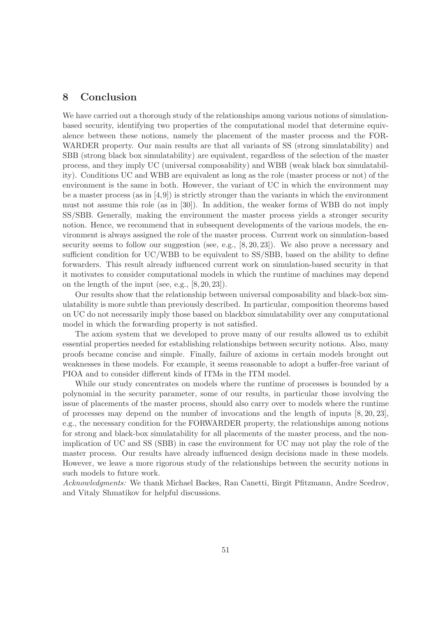# 8 Conclusion

We have carried out a thorough study of the relationships among various notions of simulationbased security, identifying two properties of the computational model that determine equivalence between these notions, namely the placement of the master process and the FOR-WARDER property. Our main results are that all variants of SS (strong simulatability) and SBB (strong black box simulatability) are equivalent, regardless of the selection of the master process, and they imply UC (universal composability) and WBB (weak black box simulatability). Conditions UC and WBB are equivalent as long as the role (master process or not) of the environment is the same in both. However, the variant of UC in which the environment may be a master process (as in  $(4,9)$ ) is strictly stronger than the variants in which the environment must not assume this role (as in [30]). In addition, the weaker forms of WBB do not imply SS/SBB. Generally, making the environment the master process yields a stronger security notion. Hence, we recommend that in subsequent developments of the various models, the environment is always assigned the role of the master process. Current work on simulation-based security seems to follow our suggestion (see, e.g.,  $[8, 20, 23]$ ). We also prove a necessary and sufficient condition for UC/WBB to be equivalent to SS/SBB, based on the ability to define forwarders. This result already influenced current work on simulation-based security in that it motivates to consider computational models in which the runtime of machines may depend on the length of the input (see, e.g., [8, 20, 23]).

Our results show that the relationship between universal composability and black-box simulatability is more subtle than previously described. In particular, composition theorems based on UC do not necessarily imply those based on blackbox simulatability over any computational model in which the forwarding property is not satisfied.

The axiom system that we developed to prove many of our results allowed us to exhibit essential properties needed for establishing relationships between security notions. Also, many proofs became concise and simple. Finally, failure of axioms in certain models brought out weaknesses in these models. For example, it seems reasonable to adopt a buffer-free variant of PIOA and to consider different kinds of ITMs in the ITM model.

While our study concentrates on models where the runtime of processes is bounded by a polynomial in the security parameter, some of our results, in particular those involving the issue of placements of the master process, should also carry over to models where the runtime of processes may depend on the number of invocations and the length of inputs [8, 20, 23], e.g., the necessary condition for the FORWARDER property, the relationships among notions for strong and black-box simulatability for all placements of the master process, and the nonimplication of UC and SS (SBB) in case the environment for UC may not play the role of the master process. Our results have already influenced design decisions made in these models. However, we leave a more rigorous study of the relationships between the security notions in such models to future work.

Acknowledgments: We thank Michael Backes, Ran Canetti, Birgit Pfitzmann, Andre Scedrov, and Vitaly Shmatikov for helpful discussions.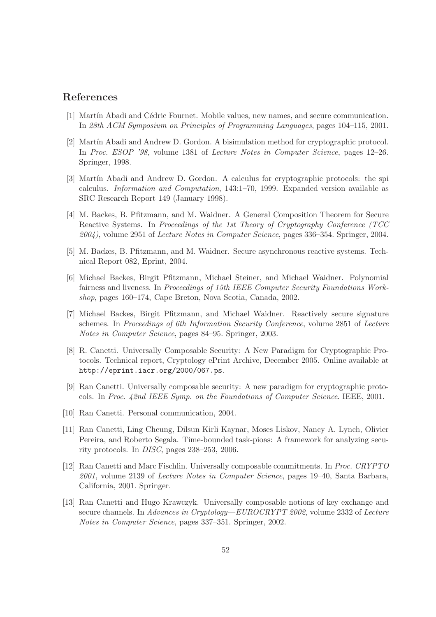# References

- [1] Martín Abadi and Cédric Fournet. Mobile values, new names, and secure communication. In 28th ACM Symposium on Principles of Programming Languages, pages 104–115, 2001.
- [2] Martín Abadi and Andrew D. Gordon. A bisimulation method for cryptographic protocol. In Proc. ESOP '98, volume 1381 of Lecture Notes in Computer Science, pages 12–26. Springer, 1998.
- [3] Martín Abadi and Andrew D. Gordon. A calculus for cryptographic protocols: the spi calculus. Information and Computation, 143:1–70, 1999. Expanded version available as SRC Research Report 149 (January 1998).
- [4] M. Backes, B. Pfitzmann, and M. Waidner. A General Composition Theorem for Secure Reactive Systems. In Proceedings of the 1st Theory of Cryptography Conference (TCC 2004), volume 2951 of Lecture Notes in Computer Science, pages 336–354. Springer, 2004.
- [5] M. Backes, B. Pfitzmann, and M. Waidner. Secure asynchronous reactive systems. Technical Report 082, Eprint, 2004.
- [6] Michael Backes, Birgit Pfitzmann, Michael Steiner, and Michael Waidner. Polynomial fairness and liveness. In Proceedings of 15th IEEE Computer Security Foundations Workshop, pages 160–174, Cape Breton, Nova Scotia, Canada, 2002.
- [7] Michael Backes, Birgit Pfitzmann, and Michael Waidner. Reactively secure signature schemes. In Proceedings of 6th Information Security Conference, volume 2851 of Lecture Notes in Computer Science, pages 84–95. Springer, 2003.
- [8] R. Canetti. Universally Composable Security: A New Paradigm for Cryptographic Protocols. Technical report, Cryptology ePrint Archive, December 2005. Online available at http://eprint.iacr.org/2000/067.ps.
- [9] Ran Canetti. Universally composable security: A new paradigm for cryptographic protocols. In Proc. 42nd IEEE Symp. on the Foundations of Computer Science. IEEE, 2001.
- [10] Ran Canetti. Personal communication, 2004.
- [11] Ran Canetti, Ling Cheung, Dilsun Kirli Kaynar, Moses Liskov, Nancy A. Lynch, Olivier Pereira, and Roberto Segala. Time-bounded task-pioas: A framework for analyzing security protocols. In DISC, pages 238–253, 2006.
- [12] Ran Canetti and Marc Fischlin. Universally composable commitments. In Proc. CRYPTO 2001, volume 2139 of Lecture Notes in Computer Science, pages 19–40, Santa Barbara, California, 2001. Springer.
- [13] Ran Canetti and Hugo Krawczyk. Universally composable notions of key exchange and secure channels. In Advances in Cryptology—EUROCRYPT 2002, volume 2332 of Lecture Notes in Computer Science, pages 337–351. Springer, 2002.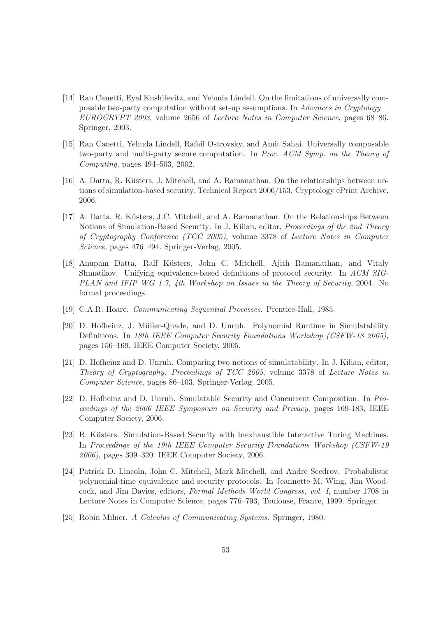- [14] Ran Canetti, Eyal Kushilevitz, and Yehuda Lindell. On the limitations of universally composable two-party computation without set-up assumptions. In Advances in Cryptology— EUROCRYPT 2003, volume 2656 of Lecture Notes in Computer Science, pages 68–86. Springer, 2003.
- [15] Ran Canetti, Yehuda Lindell, Rafail Ostrovsky, and Amit Sahai. Universally composable two-party and multi-party secure computation. In Proc. ACM Symp. on the Theory of Computing, pages 494–503, 2002.
- [16] A. Datta, R. Küsters, J. Mitchell, and A. Ramanathan. On the relationships between notions of simulation-based security. Technical Report 2006/153, Cryptology ePrint Archive, 2006.
- [17] A. Datta, R. Küsters, J.C. Mitchell, and A. Ramanathan. On the Relationships Between Notions of Simulation-Based Security. In J. Kilian, editor, Proceedings of the 2nd Theory of Cryptography Conference (TCC 2005), volume 3378 of Lecture Notes in Computer Science, pages 476–494. Springer-Verlag, 2005.
- [18] Anupam Datta, Ralf Küsters, John C. Mitchell, Ajith Ramanathan, and Vitaly Shmatikov. Unifying equivalence-based definitions of protocol security. In ACM SIG-PLAN and IFIP WG 1.7, 4th Workshop on Issues in the Theory of Security, 2004. No formal proceedings.
- [19] C.A.R. Hoare. Communicating Sequential Processes. Prentice-Hall, 1985.
- [20] D. Hofheinz, J. Müller-Quade, and D. Unruh. Polynomial Runtime in Simulatability Definitions. In 18th IEEE Computer Security Foundations Workshop (CSFW-18 2005), pages 156–169. IEEE Computer Society, 2005.
- [21] D. Hofheinz and D. Unruh. Comparing two notions of simulatability. In J. Kilian, editor, Theory of Cryptography, Proceedings of TCC 2005, volume 3378 of Lecture Notes in Computer Science, pages 86–103. Springer-Verlag, 2005.
- [22] D. Hofheinz and D. Unruh. Simulatable Security and Concurrent Composition. In Proceedings of the 2006 IEEE Symposium on Security and Privacy, pages 169-183, IEEE Computer Society, 2006.
- [23] R. Küsters. Simulation-Based Security with Inexhaustible Interactive Turing Machines. In Proceedings of the 19th IEEE Computer Security Foundations Workshop (CSFW-19 2006), pages 309–320. IEEE Computer Society, 2006.
- [24] Patrick D. Lincoln, John C. Mitchell, Mark Mitchell, and Andre Scedrov. Probabilistic polynomial-time equivalence and security protocols. In Jeannette M. Wing, Jim Woodcock, and Jim Davies, editors, Formal Methods World Congress, vol. I, number 1708 in Lecture Notes in Computer Science, pages 776–793, Toulouse, France, 1999. Springer.
- [25] Robin Milner. A Calculus of Communicating Systems. Springer, 1980.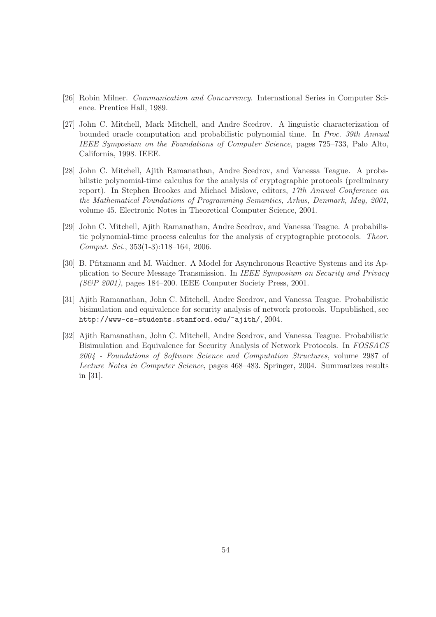- [26] Robin Milner. Communication and Concurrency. International Series in Computer Science. Prentice Hall, 1989.
- [27] John C. Mitchell, Mark Mitchell, and Andre Scedrov. A linguistic characterization of bounded oracle computation and probabilistic polynomial time. In Proc. 39th Annual IEEE Symposium on the Foundations of Computer Science, pages 725–733, Palo Alto, California, 1998. IEEE.
- [28] John C. Mitchell, Ajith Ramanathan, Andre Scedrov, and Vanessa Teague. A probabilistic polynomial-time calculus for the analysis of cryptographic protocols (preliminary report). In Stephen Brookes and Michael Mislove, editors, 17th Annual Conference on the Mathematical Foundations of Programming Semantics, Arhus, Denmark, May, 2001, volume 45. Electronic Notes in Theoretical Computer Science, 2001.
- [29] John C. Mitchell, Ajith Ramanathan, Andre Scedrov, and Vanessa Teague. A probabilistic polynomial-time process calculus for the analysis of cryptographic protocols. Theor. Comput. Sci., 353(1-3):118–164, 2006.
- [30] B. Pfitzmann and M. Waidner. A Model for Asynchronous Reactive Systems and its Application to Secure Message Transmission. In IEEE Symposium on Security and Privacy (S&P 2001), pages 184–200. IEEE Computer Society Press, 2001.
- [31] Ajith Ramanathan, John C. Mitchell, Andre Scedrov, and Vanessa Teague. Probabilistic bisimulation and equivalence for security analysis of network protocols. Unpublished, see http://www-cs-students.stanford.edu/~ajith/, 2004.
- [32] Ajith Ramanathan, John C. Mitchell, Andre Scedrov, and Vanessa Teague. Probabilistic Bisimulation and Equivalence for Security Analysis of Network Protocols. In FOSSACS 2004 - Foundations of Software Science and Computation Structures, volume 2987 of Lecture Notes in Computer Science, pages 468–483. Springer, 2004. Summarizes results in [31].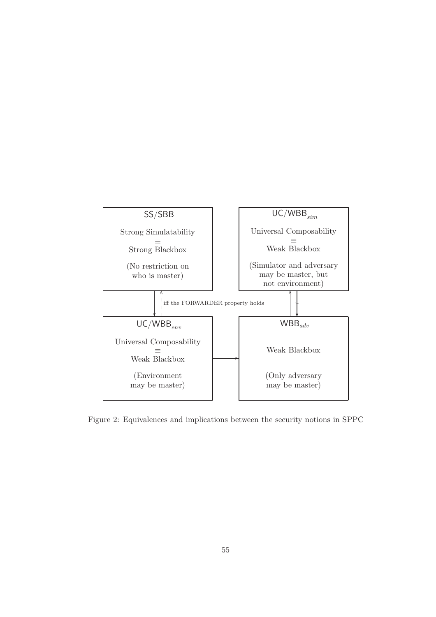

Figure 2: Equivalences and implications between the security notions in SPPC